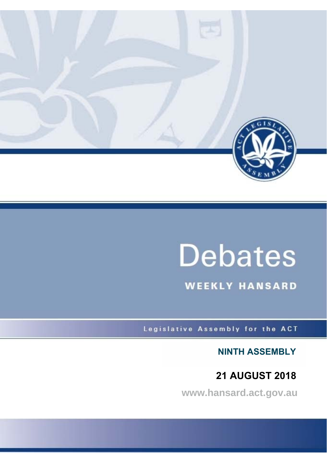

# **Debates**

**WEEKLY HANSARD** 

Legislative Assembly for the ACT

**NINTH ASSEMBLY**

# **21 AUGUST 2018**

**www.hansard.act.gov.au**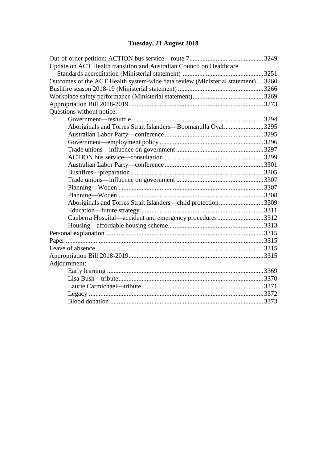## **[Tuesday, 21 August 2018](#page-2-0)**

| Update on ACT Health transition and Australian Council on Healthcare           |  |
|--------------------------------------------------------------------------------|--|
|                                                                                |  |
| Outcomes of the ACT Health system-wide data review (Ministerial statement)3260 |  |
|                                                                                |  |
|                                                                                |  |
|                                                                                |  |
| Questions without notice:                                                      |  |
|                                                                                |  |
| Aboriginals and Torres Strait Islanders-Boomanulla Oval3295                    |  |
|                                                                                |  |
|                                                                                |  |
|                                                                                |  |
|                                                                                |  |
|                                                                                |  |
|                                                                                |  |
|                                                                                |  |
|                                                                                |  |
|                                                                                |  |
| Aboriginals and Torres Strait Islanders—child protection3309                   |  |
|                                                                                |  |
| Canberra Hospital—accident and emergency procedures3312                        |  |
|                                                                                |  |
|                                                                                |  |
|                                                                                |  |
|                                                                                |  |
|                                                                                |  |
| Adjournment:                                                                   |  |
|                                                                                |  |
|                                                                                |  |
|                                                                                |  |
|                                                                                |  |
|                                                                                |  |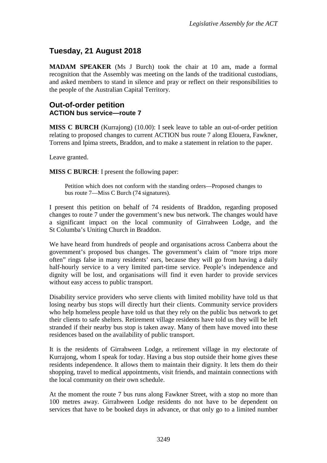### <span id="page-2-0"></span>**Tuesday, 21 August 2018**

**MADAM SPEAKER** (Ms J Burch) took the chair at 10 am, made a formal recognition that the Assembly was meeting on the lands of the traditional custodians, and asked members to stand in silence and pray or reflect on their responsibilities to the people of the Australian Capital Territory.

#### <span id="page-2-2"></span><span id="page-2-1"></span>**Out-of-order petition ACTION bus service—route 7**

**MISS C BURCH** (Kurrajong) (10.00): I seek leave to table an out-of-order petition relating to proposed changes to current ACTION bus route 7 along Elouera, Fawkner, Torrens and Ipima streets, Braddon, and to make a statement in relation to the paper.

Leave granted.

**MISS C BURCH**: I present the following paper:

Petition which does not conform with the standing orders—Proposed changes to bus route 7—Miss C Burch (74 signatures).

I present this petition on behalf of 74 residents of Braddon, regarding proposed changes to route 7 under the government's new bus network. The changes would have a significant impact on the local community of Girrahween Lodge, and the St Columba's Uniting Church in Braddon.

We have heard from hundreds of people and organisations across Canberra about the government's proposed bus changes. The government's claim of "more trips more often" rings false in many residents' ears, because they will go from having a daily half-hourly service to a very limited part-time service. People's independence and dignity will be lost, and organisations will find it even harder to provide services without easy access to public transport.

Disability service providers who serve clients with limited mobility have told us that losing nearby bus stops will directly hurt their clients. Community service providers who help homeless people have told us that they rely on the public bus network to get their clients to safe shelters. Retirement village residents have told us they will be left stranded if their nearby bus stop is taken away. Many of them have moved into these residences based on the availability of public transport.

It is the residents of Girrahween Lodge, a retirement village in my electorate of Kurrajong, whom I speak for today. Having a bus stop outside their home gives these residents independence. It allows them to maintain their dignity. It lets them do their shopping, travel to medical appointments, visit friends, and maintain connections with the local community on their own schedule.

At the moment the route 7 bus runs along Fawkner Street, with a stop no more than 100 metres away. Girrahween Lodge residents do not have to be dependent on services that have to be booked days in advance, or that only go to a limited number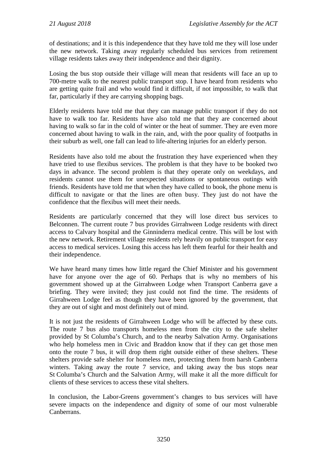of destinations; and it is this independence that they have told me they will lose under the new network. Taking away regularly scheduled bus services from retirement village residents takes away their independence and their dignity.

Losing the bus stop outside their village will mean that residents will face an up to 700-metre walk to the nearest public transport stop. I have heard from residents who are getting quite frail and who would find it difficult, if not impossible, to walk that far, particularly if they are carrying shopping bags.

Elderly residents have told me that they can manage public transport if they do not have to walk too far. Residents have also told me that they are concerned about having to walk so far in the cold of winter or the heat of summer. They are even more concerned about having to walk in the rain, and, with the poor quality of footpaths in their suburb as well, one fall can lead to life-altering injuries for an elderly person.

Residents have also told me about the frustration they have experienced when they have tried to use flexibus services. The problem is that they have to be booked two days in advance. The second problem is that they operate only on weekdays, and residents cannot use them for unexpected situations or spontaneous outings with friends. Residents have told me that when they have called to book, the phone menu is difficult to navigate or that the lines are often busy. They just do not have the confidence that the flexibus will meet their needs.

Residents are particularly concerned that they will lose direct bus services to Belconnen. The current route 7 bus provides Girrahween Lodge residents with direct access to Calvary hospital and the Ginninderra medical centre. This will be lost with the new network. Retirement village residents rely heavily on public transport for easy access to medical services. Losing this access has left them fearful for their health and their independence.

We have heard many times how little regard the Chief Minister and his government have for anyone over the age of 60. Perhaps that is why no members of his government showed up at the Girrahween Lodge when Transport Canberra gave a briefing. They were invited; they just could not find the time. The residents of Girrahween Lodge feel as though they have been ignored by the government, that they are out of sight and most definitely out of mind.

It is not just the residents of Girrahween Lodge who will be affected by these cuts. The route 7 bus also transports homeless men from the city to the safe shelter provided by St Columba's Church, and to the nearby Salvation Army. Organisations who help homeless men in Civic and Braddon know that if they can get those men onto the route 7 bus, it will drop them right outside either of these shelters. These shelters provide safe shelter for homeless men, protecting them from harsh Canberra winters. Taking away the route 7 service, and taking away the bus stops near St Columba's Church and the Salvation Army, will make it all the more difficult for clients of these services to access these vital shelters.

In conclusion, the Labor-Greens government's changes to bus services will have severe impacts on the independence and dignity of some of our most vulnerable Canberrans.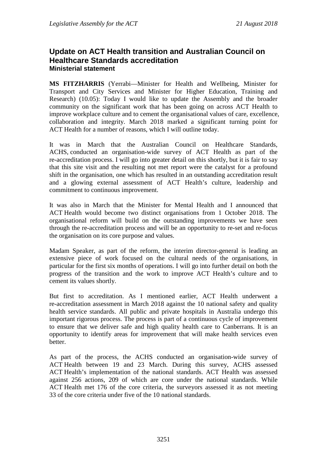#### <span id="page-4-0"></span>**Update on ACT Health transition and Australian Council on Healthcare Standards accreditation Ministerial statement**

<span id="page-4-1"></span>**MS FITZHARRIS** (Yerrabi—Minister for Health and Wellbeing, Minister for Transport and City Services and Minister for Higher Education, Training and Research) (10.05): Today I would like to update the Assembly and the broader community on the significant work that has been going on across ACT Health to improve workplace culture and to cement the organisational values of care, excellence, collaboration and integrity. March 2018 marked a significant turning point for ACT Health for a number of reasons, which I will outline today.

It was in March that the Australian Council on Healthcare Standards, ACHS, conducted an organisation-wide survey of ACT Health as part of the re-accreditation process. I will go into greater detail on this shortly, but it is fair to say that this site visit and the resulting not met report were the catalyst for a profound shift in the organisation, one which has resulted in an outstanding accreditation result and a glowing external assessment of ACT Health's culture, leadership and commitment to continuous improvement.

It was also in March that the Minister for Mental Health and I announced that ACT Health would become two distinct organisations from 1 October 2018. The organisational reform will build on the outstanding improvements we have seen through the re-accreditation process and will be an opportunity to re-set and re-focus the organisation on its core purpose and values.

Madam Speaker, as part of the reform, the interim director-general is leading an extensive piece of work focused on the cultural needs of the organisations, in particular for the first six months of operations. I will go into further detail on both the progress of the transition and the work to improve ACT Health's culture and to cement its values shortly.

But first to accreditation. As I mentioned earlier, ACT Health underwent a re-accreditation assessment in March 2018 against the 10 national safety and quality health service standards. All public and private hospitals in Australia undergo this important rigorous process. The process is part of a continuous cycle of improvement to ensure that we deliver safe and high quality health care to Canberrans. It is an opportunity to identify areas for improvement that will make health services even better.

As part of the process, the ACHS conducted an organisation-wide survey of ACT Health between 19 and 23 March. During this survey, ACHS assessed ACT Health's implementation of the national standards. ACT Health was assessed against 256 actions, 209 of which are core under the national standards. While ACT Health met 176 of the core criteria, the surveyors assessed it as not meeting 33 of the core criteria under five of the 10 national standards.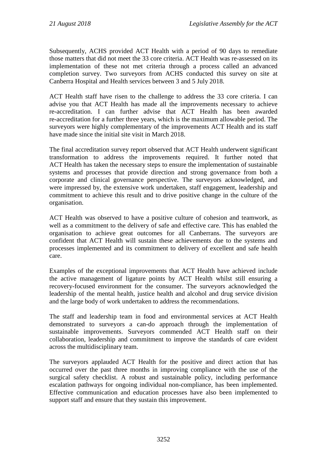Subsequently, ACHS provided ACT Health with a period of 90 days to remediate those matters that did not meet the 33 core criteria. ACT Health was re-assessed on its implementation of these not met criteria through a process called an advanced completion survey. Two surveyors from ACHS conducted this survey on site at Canberra Hospital and Health services between 3 and 5 July 2018.

ACT Health staff have risen to the challenge to address the 33 core criteria. I can advise you that ACT Health has made all the improvements necessary to achieve re-accreditation. I can further advise that ACT Health has been awarded re-accreditation for a further three years, which is the maximum allowable period. The surveyors were highly complementary of the improvements ACT Health and its staff have made since the initial site visit in March 2018.

The final accreditation survey report observed that ACT Health underwent significant transformation to address the improvements required. It further noted that ACT Health has taken the necessary steps to ensure the implementation of sustainable systems and processes that provide direction and strong governance from both a corporate and clinical governance perspective. The surveyors acknowledged, and were impressed by, the extensive work undertaken, staff engagement, leadership and commitment to achieve this result and to drive positive change in the culture of the organisation.

ACT Health was observed to have a positive culture of cohesion and teamwork, as well as a commitment to the delivery of safe and effective care. This has enabled the organisation to achieve great outcomes for all Canberrans. The surveyors are confident that ACT Health will sustain these achievements due to the systems and processes implemented and its commitment to delivery of excellent and safe health care.

Examples of the exceptional improvements that ACT Health have achieved include the active management of ligature points by ACT Health whilst still ensuring a recovery-focused environment for the consumer. The surveyors acknowledged the leadership of the mental health, justice health and alcohol and drug service division and the large body of work undertaken to address the recommendations.

The staff and leadership team in food and environmental services at ACT Health demonstrated to surveyors a can-do approach through the implementation of sustainable improvements. Surveyors commended ACT Health staff on their collaboration, leadership and commitment to improve the standards of care evident across the multidisciplinary team.

The surveyors applauded ACT Health for the positive and direct action that has occurred over the past three months in improving compliance with the use of the surgical safety checklist. A robust and sustainable policy, including performance escalation pathways for ongoing individual non-compliance, has been implemented. Effective communication and education processes have also been implemented to support staff and ensure that they sustain this improvement.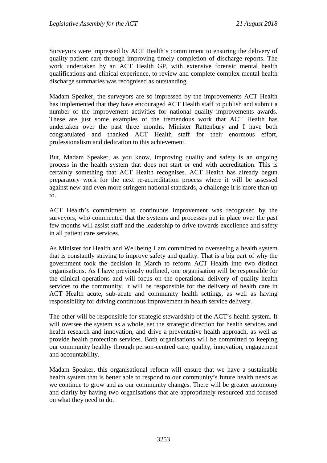Surveyors were impressed by ACT Health's commitment to ensuring the delivery of quality patient care through improving timely completion of discharge reports. The work undertaken by an ACT Health GP, with extensive forensic mental health qualifications and clinical experience, to review and complete complex mental health discharge summaries was recognised as outstanding.

Madam Speaker, the surveyors are so impressed by the improvements ACT Health has implemented that they have encouraged ACT Health staff to publish and submit a number of the improvement activities for national quality improvements awards. These are just some examples of the tremendous work that ACT Health has undertaken over the past three months. Minister Rattenbury and I have both congratulated and thanked ACT Health staff for their enormous effort, professionalism and dedication to this achievement.

But, Madam Speaker, as you know, improving quality and safety is an ongoing process in the health system that does not start or end with accreditation. This is certainly something that ACT Health recognises. ACT Health has already begun preparatory work for the next re-accreditation process where it will be assessed against new and even more stringent national standards, a challenge it is more than up to.

ACT Health's commitment to continuous improvement was recognised by the surveyors, who commented that the systems and processes put in place over the past few months will assist staff and the leadership to drive towards excellence and safety in all patient care services.

As Minister for Health and Wellbeing I am committed to overseeing a health system that is constantly striving to improve safety and quality. That is a big part of why the government took the decision in March to reform ACT Health into two distinct organisations. As I have previously outlined, one organisation will be responsible for the clinical operations and will focus on the operational delivery of quality health services to the community. It will be responsible for the delivery of health care in ACT Health acute, sub-acute and community health settings, as well as having responsibility for driving continuous improvement in health service delivery.

The other will be responsible for strategic stewardship of the ACT's health system. It will oversee the system as a whole, set the strategic direction for health services and health research and innovation, and drive a preventative health approach, as well as provide health protection services. Both organisations will be committed to keeping our community healthy through person-centred care, quality, innovation, engagement and accountability.

Madam Speaker, this organisational reform will ensure that we have a sustainable health system that is better able to respond to our community's future health needs as we continue to grow and as our community changes. There will be greater autonomy and clarity by having two organisations that are appropriately resourced and focused on what they need to do.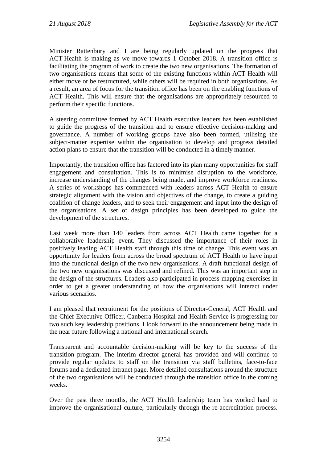Minister Rattenbury and I are being regularly updated on the progress that ACT Health is making as we move towards 1 October 2018. A transition office is facilitating the program of work to create the two new organisations. The formation of two organisations means that some of the existing functions within ACT Health will either move or be restructured, while others will be required in both organisations. As a result, an area of focus for the transition office has been on the enabling functions of ACT Health. This will ensure that the organisations are appropriately resourced to perform their specific functions.

A steering committee formed by ACT Health executive leaders has been established to guide the progress of the transition and to ensure effective decision-making and governance. A number of working groups have also been formed, utilising the subject-matter expertise within the organisation to develop and progress detailed action plans to ensure that the transition will be conducted in a timely manner.

Importantly, the transition office has factored into its plan many opportunities for staff engagement and consultation. This is to minimise disruption to the workforce, increase understanding of the changes being made, and improve workforce readiness. A series of workshops has commenced with leaders across ACT Health to ensure strategic alignment with the vision and objectives of the change, to create a guiding coalition of change leaders, and to seek their engagement and input into the design of the organisations. A set of design principles has been developed to guide the development of the structures.

Last week more than 140 leaders from across ACT Health came together for a collaborative leadership event. They discussed the importance of their roles in positively leading ACT Health staff through this time of change. This event was an opportunity for leaders from across the broad spectrum of ACT Health to have input into the functional design of the two new organisations. A draft functional design of the two new organisations was discussed and refined. This was an important step in the design of the structures. Leaders also participated in process-mapping exercises in order to get a greater understanding of how the organisations will interact under various scenarios.

I am pleased that recruitment for the positions of Director-General, ACT Health and the Chief Executive Officer, Canberra Hospital and Health Service is progressing for two such key leadership positions. I look forward to the announcement being made in the near future following a national and international search.

Transparent and accountable decision-making will be key to the success of the transition program. The interim director-general has provided and will continue to provide regular updates to staff on the transition via staff bulletins, face-to-face forums and a dedicated intranet page. More detailed consultations around the structure of the two organisations will be conducted through the transition office in the coming weeks.

Over the past three months, the ACT Health leadership team has worked hard to improve the organisational culture, particularly through the re-accreditation process.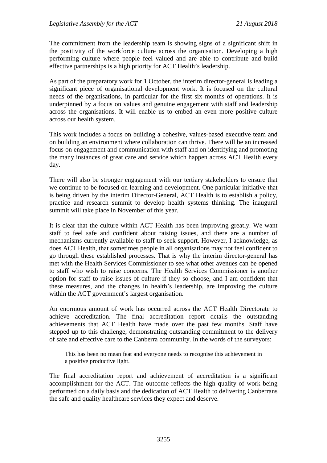The commitment from the leadership team is showing signs of a significant shift in the positivity of the workforce culture across the organisation. Developing a high performing culture where people feel valued and are able to contribute and build effective partnerships is a high priority for ACT Health's leadership.

As part of the preparatory work for 1 October, the interim director-general is leading a significant piece of organisational development work. It is focused on the cultural needs of the organisations, in particular for the first six months of operations. It is underpinned by a focus on values and genuine engagement with staff and leadership across the organisations. It will enable us to embed an even more positive culture across our health system.

This work includes a focus on building a cohesive, values-based executive team and on building an environment where collaboration can thrive. There will be an increased focus on engagement and communication with staff and on identifying and promoting the many instances of great care and service which happen across ACT Health every day.

There will also be stronger engagement with our tertiary stakeholders to ensure that we continue to be focused on learning and development. One particular initiative that is being driven by the interim Director-General, ACT Health is to establish a policy, practice and research summit to develop health systems thinking. The inaugural summit will take place in November of this year.

It is clear that the culture within ACT Health has been improving greatly. We want staff to feel safe and confident about raising issues, and there are a number of mechanisms currently available to staff to seek support. However, I acknowledge, as does ACT Health, that sometimes people in all organisations may not feel confident to go through these established processes. That is why the interim director-general has met with the Health Services Commissioner to see what other avenues can be opened to staff who wish to raise concerns. The Health Services Commissioner is another option for staff to raise issues of culture if they so choose, and I am confident that these measures, and the changes in health's leadership, are improving the culture within the ACT government's largest organisation.

An enormous amount of work has occurred across the ACT Health Directorate to achieve accreditation. The final accreditation report details the outstanding achievements that ACT Health have made over the past few months. Staff have stepped up to this challenge, demonstrating outstanding commitment to the delivery of safe and effective care to the Canberra community. In the words of the surveyors:

This has been no mean feat and everyone needs to recognise this achievement in a positive productive light.

The final accreditation report and achievement of accreditation is a significant accomplishment for the ACT. The outcome reflects the high quality of work being performed on a daily basis and the dedication of ACT Health to delivering Canberrans the safe and quality healthcare services they expect and deserve.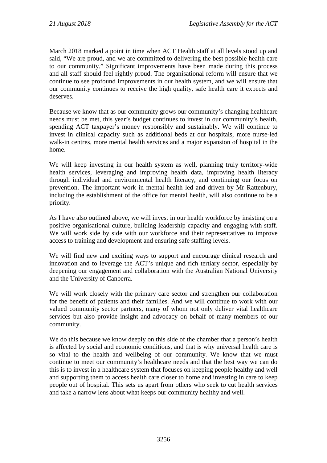March 2018 marked a point in time when ACT Health staff at all levels stood up and said, "We are proud, and we are committed to delivering the best possible health care to our community." Significant improvements have been made during this process and all staff should feel rightly proud. The organisational reform will ensure that we continue to see profound improvements in our health system, and we will ensure that our community continues to receive the high quality, safe health care it expects and deserves.

Because we know that as our community grows our community's changing healthcare needs must be met, this year's budget continues to invest in our community's health, spending ACT taxpayer's money responsibly and sustainably. We will continue to invest in clinical capacity such as additional beds at our hospitals, more nurse-led walk-in centres, more mental health services and a major expansion of hospital in the home.

We will keep investing in our health system as well, planning truly territory-wide health services, leveraging and improving health data, improving health literacy through individual and environmental health literacy, and continuing our focus on prevention. The important work in mental health led and driven by Mr Rattenbury, including the establishment of the office for mental health, will also continue to be a priority.

As I have also outlined above, we will invest in our health workforce by insisting on a positive organisational culture, building leadership capacity and engaging with staff. We will work side by side with our workforce and their representatives to improve access to training and development and ensuring safe staffing levels.

We will find new and exciting ways to support and encourage clinical research and innovation and to leverage the ACT's unique and rich tertiary sector, especially by deepening our engagement and collaboration with the Australian National University and the University of Canberra.

We will work closely with the primary care sector and strengthen our collaboration for the benefit of patients and their families. And we will continue to work with our valued community sector partners, many of whom not only deliver vital healthcare services but also provide insight and advocacy on behalf of many members of our community.

We do this because we know deeply on this side of the chamber that a person's health is affected by social and economic conditions, and that is why universal health care is so vital to the health and wellbeing of our community. We know that we must continue to meet our community's healthcare needs and that the best way we can do this is to invest in a healthcare system that focuses on keeping people healthy and well and supporting them to access health care closer to home and investing in care to keep people out of hospital. This sets us apart from others who seek to cut health services and take a narrow lens about what keeps our community healthy and well.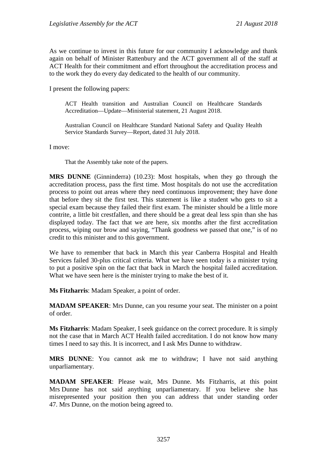As we continue to invest in this future for our community I acknowledge and thank again on behalf of Minister Rattenbury and the ACT government all of the staff at ACT Health for their commitment and effort throughout the accreditation process and to the work they do every day dedicated to the health of our community.

I present the following papers:

ACT Health transition and Australian Council on Healthcare Standards Accreditation—Update—Ministerial statement, 21 August 2018.

Australian Council on Healthcare Standard National Safety and Quality Health Service Standards Survey—Report, dated 31 July 2018.

I move:

That the Assembly take note of the papers.

**MRS DUNNE** (Ginninderra) (10.23): Most hospitals, when they go through the accreditation process, pass the first time. Most hospitals do not use the accreditation process to point out areas where they need continuous improvement; they have done that before they sit the first test. This statement is like a student who gets to sit a special exam because they failed their first exam. The minister should be a little more contrite, a little bit crestfallen, and there should be a great deal less spin than she has displayed today. The fact that we are here, six months after the first accreditation process, wiping our brow and saying, "Thank goodness we passed that one," is of no credit to this minister and to this government.

We have to remember that back in March this year Canberra Hospital and Health Services failed 30-plus critical criteria. What we have seen today is a minister trying to put a positive spin on the fact that back in March the hospital failed accreditation. What we have seen here is the minister trying to make the best of it.

**Ms Fitzharris**: Madam Speaker, a point of order.

**MADAM SPEAKER**: Mrs Dunne, can you resume your seat. The minister on a point of order.

**Ms Fitzharris**: Madam Speaker, I seek guidance on the correct procedure. It is simply not the case that in March ACT Health failed accreditation. I do not know how many times I need to say this. It is incorrect, and I ask Mrs Dunne to withdraw.

**MRS DUNNE**: You cannot ask me to withdraw; I have not said anything unparliamentary.

**MADAM SPEAKER**: Please wait, Mrs Dunne. Ms Fitzharris, at this point Mrs Dunne has not said anything unparliamentary. If you believe she has misrepresented your position then you can address that under standing order 47. Mrs Dunne, on the motion being agreed to.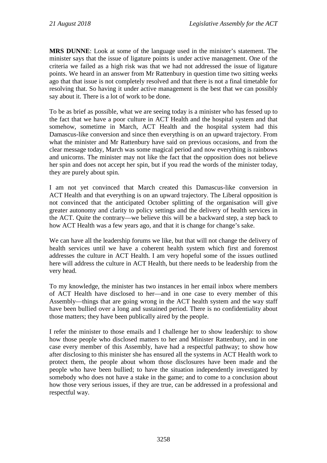**MRS DUNNE**: Look at some of the language used in the minister's statement. The minister says that the issue of ligature points is under active management. One of the criteria we failed as a high risk was that we had not addressed the issue of ligature points. We heard in an answer from Mr Rattenbury in question time two sitting weeks ago that that issue is not completely resolved and that there is not a final timetable for resolving that. So having it under active management is the best that we can possibly say about it. There is a lot of work to be done.

To be as brief as possible, what we are seeing today is a minister who has fessed up to the fact that we have a poor culture in ACT Health and the hospital system and that somehow, sometime in March, ACT Health and the hospital system had this Damascus-like conversion and since then everything is on an upward trajectory. From what the minister and Mr Rattenbury have said on previous occasions, and from the clear message today, March was some magical period and now everything is rainbows and unicorns. The minister may not like the fact that the opposition does not believe her spin and does not accept her spin, but if you read the words of the minister today, they are purely about spin.

I am not yet convinced that March created this Damascus-like conversion in ACT Health and that everything is on an upward trajectory. The Liberal opposition is not convinced that the anticipated October splitting of the organisation will give greater autonomy and clarity to policy settings and the delivery of health services in the ACT. Quite the contrary—we believe this will be a backward step, a step back to how ACT Health was a few years ago, and that it is change for change's sake.

We can have all the leadership forums we like, but that will not change the delivery of health services until we have a coherent health system which first and foremost addresses the culture in ACT Health. I am very hopeful some of the issues outlined here will address the culture in ACT Health, but there needs to be leadership from the very head.

To my knowledge, the minister has two instances in her email inbox where members of ACT Health have disclosed to her—and in one case to every member of this Assembly—things that are going wrong in the ACT health system and the way staff have been bullied over a long and sustained period. There is no confidentiality about those matters; they have been publically aired by the people.

I refer the minister to those emails and I challenge her to show leadership: to show how those people who disclosed matters to her and Minister Rattenbury, and in one case every member of this Assembly, have had a respectful pathway; to show how after disclosing to this minister she has ensured all the systems in ACT Health work to protect them, the people about whom those disclosures have been made and the people who have been bullied; to have the situation independently investigated by somebody who does not have a stake in the game; and to come to a conclusion about how those very serious issues, if they are true, can be addressed in a professional and respectful way.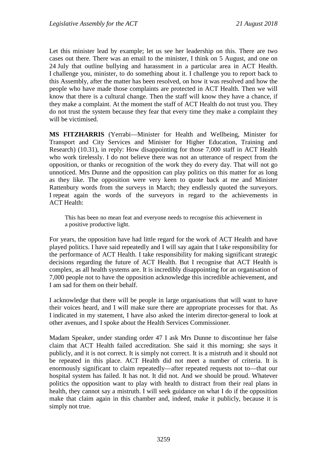Let this minister lead by example; let us see her leadership on this. There are two cases out there. There was an email to the minister, I think on 5 August, and one on 24 July that outline bullying and harassment in a particular area in ACT Health. I challenge you, minister, to do something about it. I challenge you to report back to this Assembly, after the matter has been resolved, on how it was resolved and how the people who have made those complaints are protected in ACT Health. Then we will know that there is a cultural change. Then the staff will know they have a chance, if they make a complaint. At the moment the staff of ACT Health do not trust you. They do not trust the system because they fear that every time they make a complaint they will be victimised.

**MS FITZHARRIS** (Yerrabi—Minister for Health and Wellbeing, Minister for Transport and City Services and Minister for Higher Education, Training and Research) (10.31), in reply: How disappointing for those 7,000 staff in ACT Health who work tirelessly. I do not believe there was not an utterance of respect from the opposition, or thanks or recognition of the work they do every day. That will not go unnoticed. Mrs Dunne and the opposition can play politics on this matter for as long as they like. The opposition were very keen to quote back at me and Minister Rattenbury words from the surveys in March; they endlessly quoted the surveyors. I repeat again the words of the surveyors in regard to the achievements in ACT Health:

This has been no mean feat and everyone needs to recognise this achievement in a positive productive light.

For years, the opposition have had little regard for the work of ACT Health and have played politics. I have said repeatedly and I will say again that I take responsibility for the performance of ACT Health. I take responsibility for making significant strategic decisions regarding the future of ACT Health. But I recognise that ACT Health is complex, as all health systems are. It is incredibly disappointing for an organisation of 7,000 people not to have the opposition acknowledge this incredible achievement, and I am sad for them on their behalf.

I acknowledge that there will be people in large organisations that will want to have their voices heard, and I will make sure there are appropriate processes for that. As I indicated in my statement, I have also asked the interim director-general to look at other avenues, and I spoke about the Health Services Commissioner.

Madam Speaker, under standing order 47 I ask Mrs Dunne to discontinue her false claim that ACT Health failed accreditation. She said it this morning; she says it publicly, and it is not correct. It is simply not correct. It is a mistruth and it should not be repeated in this place. ACT Health did not meet a number of criteria. It is enormously significant to claim repeatedly—after repeated requests not to—that our hospital system has failed. It has not. It did not. And we should be proud. Whatever politics the opposition want to play with health to distract from their real plans in health, they cannot say a mistruth. I will seek guidance on what I do if the opposition make that claim again in this chamber and, indeed, make it publicly, because it is simply not true.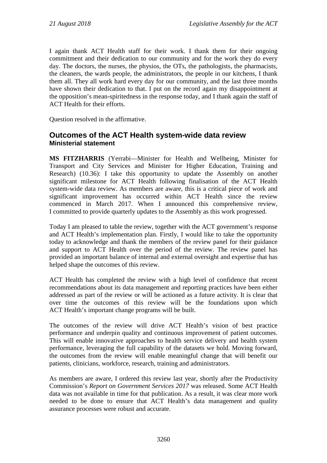I again thank ACT Health staff for their work. I thank them for their ongoing commitment and their dedication to our community and for the work they do every day. The doctors, the nurses, the physios, the OTs, the pathologists, the pharmacists, the cleaners, the wards people, the administrators, the people in our kitchens, I thank them all. They all work hard every day for our community, and the last three months have shown their dedication to that. I put on the record again my disappointment at the opposition's mean-spiritedness in the response today, and I thank again the staff of ACT Health for their efforts.

Question resolved in the affirmative.

#### <span id="page-13-1"></span><span id="page-13-0"></span>**Outcomes of the ACT Health system-wide data review Ministerial statement**

**MS FITZHARRIS** (Yerrabi—Minister for Health and Wellbeing, Minister for Transport and City Services and Minister for Higher Education, Training and Research) (10.36): I take this opportunity to update the Assembly on another significant milestone for ACT Health following finalisation of the ACT Health system-wide data review. As members are aware, this is a critical piece of work and significant improvement has occurred within ACT Health since the review commenced in March 2017. When I announced this comprehensive review, I committed to provide quarterly updates to the Assembly as this work progressed.

Today I am pleased to table the review, together with the ACT government's response and ACT Health's implementation plan. Firstly, I would like to take the opportunity today to acknowledge and thank the members of the review panel for their guidance and support to ACT Health over the period of the review. The review panel has provided an important balance of internal and external oversight and expertise that has helped shape the outcomes of this review.

ACT Health has completed the review with a high level of confidence that recent recommendations about its data management and reporting practices have been either addressed as part of the review or will be actioned as a future activity. It is clear that over time the outcomes of this review will be the foundations upon which ACT Health's important change programs will be built.

The outcomes of the review will drive ACT Health's vision of best practice performance and underpin quality and continuous improvement of patient outcomes. This will enable innovative approaches to health service delivery and health system performance, leveraging the full capability of the datasets we hold. Moving forward, the outcomes from the review will enable meaningful change that will benefit our patients, clinicians, workforce, research, training and administrators.

As members are aware, I ordered this review last year, shortly after the Productivity Commission's *Report on Government Services 2017* was released. Some ACT Health data was not available in time for that publication. As a result, it was clear more work needed to be done to ensure that ACT Health's data management and quality assurance processes were robust and accurate.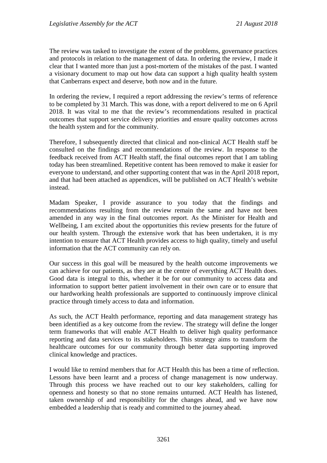The review was tasked to investigate the extent of the problems, governance practices and protocols in relation to the management of data. In ordering the review, I made it clear that I wanted more than just a post-mortem of the mistakes of the past. I wanted a visionary document to map out how data can support a high quality health system that Canberrans expect and deserve, both now and in the future.

In ordering the review, I required a report addressing the review's terms of reference to be completed by 31 March. This was done, with a report delivered to me on 6 April 2018. It was vital to me that the review's recommendations resulted in practical outcomes that support service delivery priorities and ensure quality outcomes across the health system and for the community.

Therefore, I subsequently directed that clinical and non-clinical ACT Health staff be consulted on the findings and recommendations of the review. In response to the feedback received from ACT Health staff, the final outcomes report that I am tabling today has been streamlined. Repetitive content has been removed to make it easier for everyone to understand, and other supporting content that was in the April 2018 report, and that had been attached as appendices, will be published on ACT Health's website instead.

Madam Speaker, I provide assurance to you today that the findings and recommendations resulting from the review remain the same and have not been amended in any way in the final outcomes report. As the Minister for Health and Wellbeing, I am excited about the opportunities this review presents for the future of our health system. Through the extensive work that has been undertaken, it is my intention to ensure that ACT Health provides access to high quality, timely and useful information that the ACT community can rely on.

Our success in this goal will be measured by the health outcome improvements we can achieve for our patients, as they are at the centre of everything ACT Health does. Good data is integral to this, whether it be for our community to access data and information to support better patient involvement in their own care or to ensure that our hardworking health professionals are supported to continuously improve clinical practice through timely access to data and information.

As such, the ACT Health performance, reporting and data management strategy has been identified as a key outcome from the review. The strategy will define the longer term frameworks that will enable ACT Health to deliver high quality performance reporting and data services to its stakeholders. This strategy aims to transform the healthcare outcomes for our community through better data supporting improved clinical knowledge and practices.

I would like to remind members that for ACT Health this has been a time of reflection. Lessons have been learnt and a process of change management is now underway. Through this process we have reached out to our key stakeholders, calling for openness and honesty so that no stone remains unturned. ACT Health has listened, taken ownership of and responsibility for the changes ahead, and we have now embedded a leadership that is ready and committed to the journey ahead.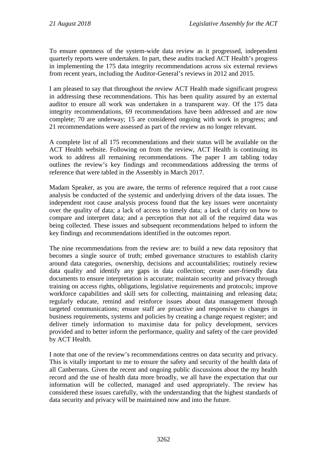To ensure openness of the system-wide data review as it progressed, independent quarterly reports were undertaken. In part, these audits tracked ACT Health's progress in implementing the 175 data integrity recommendations across six external reviews from recent years, including the Auditor-General's reviews in 2012 and 2015.

I am pleased to say that throughout the review ACT Health made significant progress in addressing these recommendations. This has been quality assured by an external auditor to ensure all work was undertaken in a transparent way. Of the 175 data integrity recommendations, 69 recommendations have been addressed and are now complete; 70 are underway; 15 are considered ongoing with work in progress; and 21 recommendations were assessed as part of the review as no longer relevant.

A complete list of all 175 recommendations and their status will be available on the ACT Health website. Following on from the review, ACT Health is continuing its work to address all remaining recommendations. The paper I am tabling today outlines the review's key findings and recommendations addressing the terms of reference that were tabled in the Assembly in March 2017.

Madam Speaker, as you are aware, the terms of reference required that a root cause analysis be conducted of the systemic and underlying drivers of the data issues. The independent root cause analysis process found that the key issues were uncertainty over the quality of data; a lack of access to timely data; a lack of clarity on how to compare and interpret data; and a perception that not all of the required data was being collected. These issues and subsequent recommendations helped to inform the key findings and recommendations identified in the outcomes report.

The nine recommendations from the review are: to build a new data repository that becomes a single source of truth; embed governance structures to establish clarity around data categories, ownership, decisions and accountabilities; routinely review data quality and identify any gaps in data collection; create user-friendly data documents to ensure interpretation is accurate; maintain security and privacy through training on access rights, obligations, legislative requirements and protocols; improve workforce capabilities and skill sets for collecting, maintaining and releasing data; regularly educate, remind and reinforce issues about data management through targeted communications; ensure staff are proactive and responsive to changes in business requirements, systems and policies by creating a change request register; and deliver timely information to maximise data for policy development, services provided and to better inform the performance, quality and safety of the care provided by ACT Health.

I note that one of the review's recommendations centres on data security and privacy. This is vitally important to me to ensure the safety and security of the health data of all Canberrans. Given the recent and ongoing public discussions about the my health record and the use of health data more broadly, we all have the expectation that our information will be collected, managed and used appropriately. The review has considered these issues carefully, with the understanding that the highest standards of data security and privacy will be maintained now and into the future.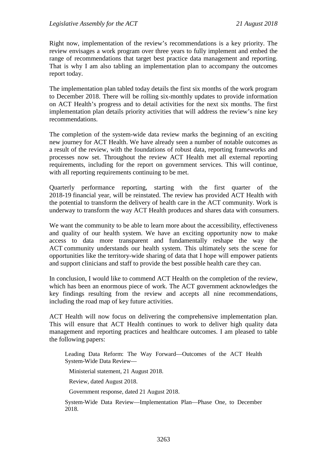Right now, implementation of the review's recommendations is a key priority. The review envisages a work program over three years to fully implement and embed the range of recommendations that target best practice data management and reporting. That is why I am also tabling an implementation plan to accompany the outcomes report today.

The implementation plan tabled today details the first six months of the work program to December 2018. There will be rolling six-monthly updates to provide information on ACT Health's progress and to detail activities for the next six months. The first implementation plan details priority activities that will address the review's nine key recommendations.

The completion of the system-wide data review marks the beginning of an exciting new journey for ACT Health. We have already seen a number of notable outcomes as a result of the review, with the foundations of robust data, reporting frameworks and processes now set. Throughout the review ACT Health met all external reporting requirements, including for the report on government services. This will continue, with all reporting requirements continuing to be met.

Quarterly performance reporting, starting with the first quarter of the 2018-19 financial year, will be reinstated. The review has provided ACT Health with the potential to transform the delivery of health care in the ACT community. Work is underway to transform the way ACT Health produces and shares data with consumers.

We want the community to be able to learn more about the accessibility, effectiveness and quality of our health system. We have an exciting opportunity now to make access to data more transparent and fundamentally reshape the way the ACT community understands our health system. This ultimately sets the scene for opportunities like the territory-wide sharing of data that I hope will empower patients and support clinicians and staff to provide the best possible health care they can.

In conclusion, I would like to commend ACT Health on the completion of the review, which has been an enormous piece of work. The ACT government acknowledges the key findings resulting from the review and accepts all nine recommendations, including the road map of key future activities.

ACT Health will now focus on delivering the comprehensive implementation plan. This will ensure that ACT Health continues to work to deliver high quality data management and reporting practices and healthcare outcomes. I am pleased to table the following papers:

Leading Data Reform: The Way Forward—Outcomes of the ACT Health System-Wide Data Review—

Ministerial statement, 21 August 2018.

Review, dated August 2018.

Government response, dated 21 August 2018.

System-Wide Data Review—Implementation Plan—Phase One, to December 2018.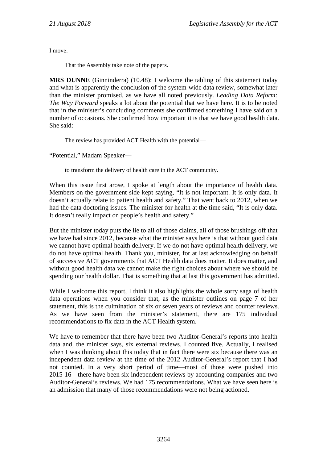I move:

That the Assembly take note of the papers.

**MRS DUNNE** (Ginninderra) (10.48): I welcome the tabling of this statement today and what is apparently the conclusion of the system-wide data review, somewhat later than the minister promised, as we have all noted previously. *Leading Data Reform: The Way Forward* speaks a lot about the potential that we have here. It is to be noted that in the minister's concluding comments she confirmed something I have said on a number of occasions. She confirmed how important it is that we have good health data. She said:

The review has provided ACT Health with the potential—

"Potential," Madam Speaker—

to transform the delivery of health care in the ACT community.

When this issue first arose, I spoke at length about the importance of health data. Members on the government side kept saying, "It is not important. It is only data. It doesn't actually relate to patient health and safety." That went back to 2012, when we had the data doctoring issues. The minister for health at the time said, "It is only data. It doesn't really impact on people's health and safety."

But the minister today puts the lie to all of those claims, all of those brushings off that we have had since 2012, because what the minister says here is that without good data we cannot have optimal health delivery. If we do not have optimal health delivery, we do not have optimal health. Thank you, minister, for at last acknowledging on behalf of successive ACT governments that ACT Health data does matter. It does matter, and without good health data we cannot make the right choices about where we should be spending our health dollar. That is something that at last this government has admitted.

While I welcome this report, I think it also highlights the whole sorry saga of health data operations when you consider that, as the minister outlines on page 7 of her statement, this is the culmination of six or seven years of reviews and counter reviews. As we have seen from the minister's statement, there are 175 individual recommendations to fix data in the ACT Health system.

We have to remember that there have been two Auditor-General's reports into health data and, the minister says, six external reviews. I counted five. Actually, I realised when I was thinking about this today that in fact there were six because there was an independent data review at the time of the 2012 Auditor-General's report that I had not counted. In a very short period of time—most of those were pushed into 2015-16—there have been six independent reviews by accounting companies and two Auditor-General's reviews. We had 175 recommendations. What we have seen here is an admission that many of those recommendations were not being actioned.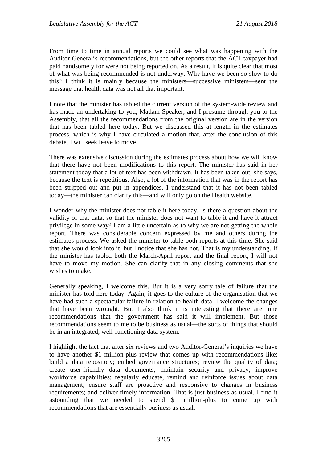From time to time in annual reports we could see what was happening with the Auditor-General's recommendations, but the other reports that the ACT taxpayer had paid handsomely for were not being reported on. As a result, it is quite clear that most of what was being recommended is not underway. Why have we been so slow to do this? I think it is mainly because the ministers—successive ministers—sent the message that health data was not all that important.

I note that the minister has tabled the current version of the system-wide review and has made an undertaking to you, Madam Speaker, and I presume through you to the Assembly, that all the recommendations from the original version are in the version that has been tabled here today. But we discussed this at length in the estimates process, which is why I have circulated a motion that, after the conclusion of this debate, I will seek leave to move.

There was extensive discussion during the estimates process about how we will know that there have not been modifications to this report. The minister has said in her statement today that a lot of text has been withdrawn. It has been taken out, she says, because the text is repetitious. Also, a lot of the information that was in the report has been stripped out and put in appendices. I understand that it has not been tabled today—the minister can clarify this—and will only go on the Health website.

I wonder why the minister does not table it here today. Is there a question about the validity of that data, so that the minister does not want to table it and have it attract privilege in some way? I am a little uncertain as to why we are not getting the whole report. There was considerable concern expressed by me and others during the estimates process. We asked the minister to table both reports at this time. She said that she would look into it, but I notice that she has not. That is my understanding. If the minister has tabled both the March-April report and the final report, I will not have to move my motion. She can clarify that in any closing comments that she wishes to make.

Generally speaking, I welcome this. But it is a very sorry tale of failure that the minister has told here today. Again, it goes to the culture of the organisation that we have had such a spectacular failure in relation to health data. I welcome the changes that have been wrought. But I also think it is interesting that there are nine recommendations that the government has said it will implement. But those recommendations seem to me to be business as usual—the sorts of things that should be in an integrated, well-functioning data system.

I highlight the fact that after six reviews and two Auditor-General's inquiries we have to have another \$1 million-plus review that comes up with recommendations like: build a data repository; embed governance structures; review the quality of data; create user-friendly data documents; maintain security and privacy; improve workforce capabilities; regularly educate, remind and reinforce issues about data management; ensure staff are proactive and responsive to changes in business requirements; and deliver timely information. That is just business as usual. I find it astounding that we needed to spend \$1 million-plus to come up with recommendations that are essentially business as usual.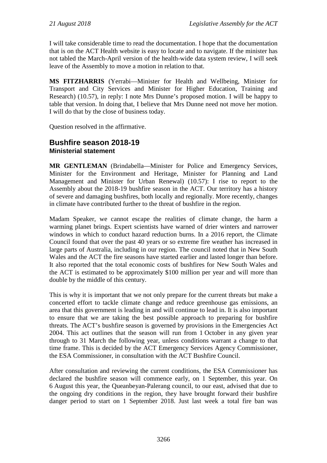I will take considerable time to read the documentation. I hope that the documentation that is on the ACT Health website is easy to locate and to navigate. If the minister has not tabled the March-April version of the health-wide data system review, I will seek leave of the Assembly to move a motion in relation to that.

**MS FITZHARRIS** (Yerrabi—Minister for Health and Wellbeing, Minister for Transport and City Services and Minister for Higher Education, Training and Research) (10.57), in reply: I note Mrs Dunne's proposed motion. I will be happy to table that version. In doing that, I believe that Mrs Dunne need not move her motion. I will do that by the close of business today.

Question resolved in the affirmative.

#### <span id="page-19-1"></span><span id="page-19-0"></span>**Bushfire season 2018-19 Ministerial statement**

**MR GENTLEMAN** (Brindabella—Minister for Police and Emergency Services, Minister for the Environment and Heritage, Minister for Planning and Land Management and Minister for Urban Renewal) (10.57): I rise to report to the Assembly about the 2018-19 bushfire season in the ACT. Our territory has a history of severe and damaging bushfires, both locally and regionally. More recently, changes in climate have contributed further to the threat of bushfire in the region.

Madam Speaker, we cannot escape the realities of climate change, the harm a warming planet brings. Expert scientists have warned of drier winters and narrower windows in which to conduct hazard reduction burns. In a 2016 report, the Climate Council found that over the past 40 years or so extreme fire weather has increased in large parts of Australia, including in our region. The council noted that in New South Wales and the ACT the fire seasons have started earlier and lasted longer than before. It also reported that the total economic costs of bushfires for New South Wales and the ACT is estimated to be approximately \$100 million per year and will more than double by the middle of this century.

This is why it is important that we not only prepare for the current threats but make a concerted effort to tackle climate change and reduce greenhouse gas emissions, an area that this government is leading in and will continue to lead in. It is also important to ensure that we are taking the best possible approach to preparing for bushfire threats. The ACT's bushfire season is governed by provisions in the Emergencies Act 2004. This act outlines that the season will run from 1 October in any given year through to 31 March the following year, unless conditions warrant a change to that time frame. This is decided by the ACT Emergency Services Agency Commissioner, the ESA Commissioner, in consultation with the ACT Bushfire Council.

After consultation and reviewing the current conditions, the ESA Commissioner has declared the bushfire season will commence early, on 1 September, this year. On 6 August this year, the Queanbeyan-Palerang council, to our east, advised that due to the ongoing dry conditions in the region, they have brought forward their bushfire danger period to start on 1 September 2018. Just last week a total fire ban was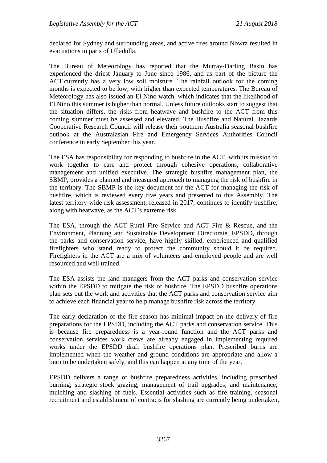declared for Sydney and surrounding areas, and active fires around Nowra resulted in evacuations to parts of Ulladulla.

The Bureau of Meteorology has reported that the Murray-Darling Basin has experienced the driest January to June since 1986, and as part of the picture the ACT currently has a very low soil moisture. The rainfall outlook for the coming months is expected to be low, with higher than expected temperatures. The Bureau of Meteorology has also issued an El Nino watch, which indicates that the likelihood of El Nino this summer is higher than normal. Unless future outlooks start to suggest that the situation differs, the risks from heatwave and bushfire to the ACT from this coming summer must be assessed and elevated. The Bushfire and Natural Hazards Cooperative Research Council will release their southern Australia seasonal bushfire outlook at the Australasian Fire and Emergency Services Authorities Council conference in early September this year.

The ESA has responsibility for responding to bushfire in the ACT, with its mission to work together to care and protect through cohesive operations, collaborative management and unified executive. The strategic bushfire management plan, the SBMP, provides a planned and measured approach to managing the risk of bushfire in the territory. The SBMP is the key document for the ACT for managing the risk of bushfire, which is reviewed every five years and presented to this Assembly. The latest territory-wide risk assessment, released in 2017, continues to identify bushfire, along with heatwave, as the ACT's extreme risk.

The ESA, through the ACT Rural Fire Service and ACT Fire & Rescue, and the Environment, Planning and Sustainable Development Directorate, EPSDD, through the parks and conservation service, have highly skilled, experienced and qualified firefighters who stand ready to protect the community should it be required. Firefighters in the ACT are a mix of volunteers and employed people and are well resourced and well trained.

The ESA assists the land managers from the ACT parks and conservation service within the EPSDD to mitigate the risk of bushfire. The EPSDD bushfire operations plan sets out the work and activities that the ACT parks and conservation service aim to achieve each financial year to help manage bushfire risk across the territory.

The early declaration of the fire season has minimal impact on the delivery of fire preparations for the EPSDD, including the ACT parks and conservation service. This is because fire preparedness is a year-round function and the ACT parks and conservation services work crews are already engaged in implementing required works under the EPSDD draft bushfire operations plan. Prescribed burns are implemented when the weather and ground conditions are appropriate and allow a burn to be undertaken safely, and this can happen at any time of the year.

EPSDD delivers a range of bushfire preparedness activities, including prescribed burning; strategic stock grazing; management of trail upgrades; and maintenance, mulching and slashing of fuels. Essential activities such as fire training, seasonal recruitment and establishment of contracts for slashing are currently being undertaken,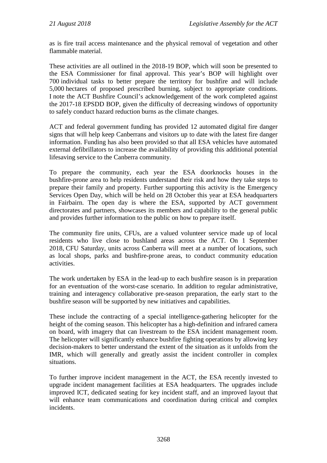as is fire trail access maintenance and the physical removal of vegetation and other flammable material.

These activities are all outlined in the 2018-19 BOP, which will soon be presented to the ESA Commissioner for final approval. This year's BOP will highlight over 700 individual tasks to better prepare the territory for bushfire and will include 5,000 hectares of proposed prescribed burning, subject to appropriate conditions. I note the ACT Bushfire Council's acknowledgement of the work completed against the 2017-18 EPSDD BOP, given the difficulty of decreasing windows of opportunity to safely conduct hazard reduction burns as the climate changes.

ACT and federal government funding has provided 12 automated digital fire danger signs that will help keep Canberrans and visitors up to date with the latest fire danger information. Funding has also been provided so that all ESA vehicles have automated external defibrillators to increase the availability of providing this additional potential lifesaving service to the Canberra community.

To prepare the community, each year the ESA doorknocks houses in the bushfire-prone area to help residents understand their risk and how they take steps to prepare their family and property. Further supporting this activity is the Emergency Services Open Day, which will be held on 28 October this year at ESA headquarters in Fairbairn. The open day is where the ESA, supported by ACT government directorates and partners, showcases its members and capability to the general public and provides further information to the public on how to prepare itself.

The community fire units, CFUs, are a valued volunteer service made up of local residents who live close to bushland areas across the ACT. On 1 September 2018, CFU Saturday, units across Canberra will meet at a number of locations, such as local shops, parks and bushfire-prone areas, to conduct community education activities.

The work undertaken by ESA in the lead-up to each bushfire season is in preparation for an eventuation of the worst-case scenario. In addition to regular administrative, training and interagency collaborative pre-season preparation, the early start to the bushfire season will be supported by new initiatives and capabilities.

These include the contracting of a special intelligence-gathering helicopter for the height of the coming season. This helicopter has a high-definition and infrared camera on board, with imagery that can livestream to the ESA incident management room. The helicopter will significantly enhance bushfire fighting operations by allowing key decision-makers to better understand the extent of the situation as it unfolds from the IMR, which will generally and greatly assist the incident controller in complex situations.

To further improve incident management in the ACT, the ESA recently invested to upgrade incident management facilities at ESA headquarters. The upgrades include improved ICT, dedicated seating for key incident staff, and an improved layout that will enhance team communications and coordination during critical and complex incidents.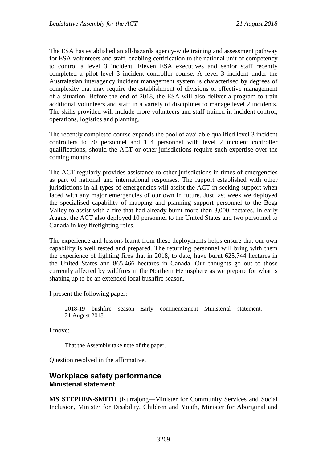The ESA has established an all-hazards agency-wide training and assessment pathway for ESA volunteers and staff, enabling certification to the national unit of competency to control a level 3 incident. Eleven ESA executives and senior staff recently completed a pilot level 3 incident controller course. A level 3 incident under the Australasian interagency incident management system is characterised by degrees of complexity that may require the establishment of divisions of effective management of a situation. Before the end of 2018, the ESA will also deliver a program to train additional volunteers and staff in a variety of disciplines to manage level 2 incidents. The skills provided will include more volunteers and staff trained in incident control, operations, logistics and planning.

The recently completed course expands the pool of available qualified level 3 incident controllers to 70 personnel and 114 personnel with level 2 incident controller qualifications, should the ACT or other jurisdictions require such expertise over the coming months.

The ACT regularly provides assistance to other jurisdictions in times of emergencies as part of national and international responses. The rapport established with other jurisdictions in all types of emergencies will assist the ACT in seeking support when faced with any major emergencies of our own in future. Just last week we deployed the specialised capability of mapping and planning support personnel to the Bega Valley to assist with a fire that had already burnt more than 3,000 hectares. In early August the ACT also deployed 10 personnel to the United States and two personnel to Canada in key firefighting roles.

The experience and lessons learnt from these deployments helps ensure that our own capability is well tested and prepared. The returning personnel will bring with them the experience of fighting fires that in 2018, to date, have burnt 625,744 hectares in the United States and 865,466 hectares in Canada. Our thoughts go out to those currently affected by wildfires in the Northern Hemisphere as we prepare for what is shaping up to be an extended local bushfire season.

I present the following paper:

2018-19 bushfire season—Early commencement—Ministerial statement, 21 August 2018.

I move:

That the Assembly take note of the paper.

Question resolved in the affirmative.

#### <span id="page-22-1"></span><span id="page-22-0"></span>**Workplace safety performance Ministerial statement**

**MS STEPHEN-SMITH** (Kurrajong—Minister for Community Services and Social Inclusion, Minister for Disability, Children and Youth, Minister for Aboriginal and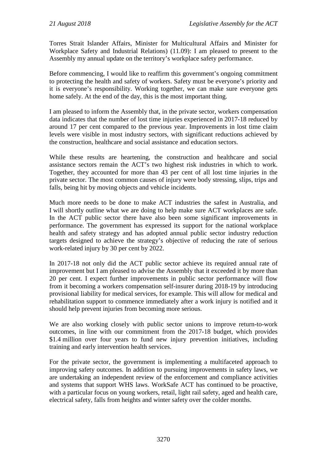Torres Strait Islander Affairs, Minister for Multicultural Affairs and Minister for Workplace Safety and Industrial Relations) (11.09): I am pleased to present to the Assembly my annual update on the territory's workplace safety performance.

Before commencing, I would like to reaffirm this government's ongoing commitment to protecting the health and safety of workers. Safety must be everyone's priority and it is everyone's responsibility. Working together, we can make sure everyone gets home safely. At the end of the day, this is the most important thing.

I am pleased to inform the Assembly that, in the private sector, workers compensation data indicates that the number of lost time injuries experienced in 2017-18 reduced by around 17 per cent compared to the previous year. Improvements in lost time claim levels were visible in most industry sectors, with significant reductions achieved by the construction, healthcare and social assistance and education sectors.

While these results are heartening, the construction and healthcare and social assistance sectors remain the ACT's two highest risk industries in which to work. Together, they accounted for more than 43 per cent of all lost time injuries in the private sector. The most common causes of injury were body stressing, slips, trips and falls, being hit by moving objects and vehicle incidents.

Much more needs to be done to make ACT industries the safest in Australia, and I will shortly outline what we are doing to help make sure ACT workplaces are safe. In the ACT public sector there have also been some significant improvements in performance. The government has expressed its support for the national workplace health and safety strategy and has adopted annual public sector industry reduction targets designed to achieve the strategy's objective of reducing the rate of serious work-related injury by 30 per cent by 2022.

In 2017-18 not only did the ACT public sector achieve its required annual rate of improvement but I am pleased to advise the Assembly that it exceeded it by more than 20 per cent. I expect further improvements in public sector performance will flow from it becoming a workers compensation self-insurer during 2018-19 by introducing provisional liability for medical services, for example. This will allow for medical and rehabilitation support to commence immediately after a work injury is notified and it should help prevent injuries from becoming more serious.

We are also working closely with public sector unions to improve return-to-work outcomes, in line with our commitment from the 2017-18 budget, which provides \$1.4 million over four years to fund new injury prevention initiatives, including training and early intervention health services.

For the private sector, the government is implementing a multifaceted approach to improving safety outcomes. In addition to pursuing improvements in safety laws, we are undertaking an independent review of the enforcement and compliance activities and systems that support WHS laws. WorkSafe ACT has continued to be proactive, with a particular focus on young workers, retail, light rail safety, aged and health care, electrical safety, falls from heights and winter safety over the colder months.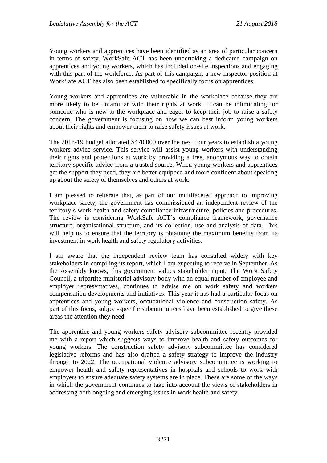Young workers and apprentices have been identified as an area of particular concern in terms of safety. WorkSafe ACT has been undertaking a dedicated campaign on apprentices and young workers, which has included on-site inspections and engaging with this part of the workforce. As part of this campaign, a new inspector position at WorkSafe ACT has also been established to specifically focus on apprentices.

Young workers and apprentices are vulnerable in the workplace because they are more likely to be unfamiliar with their rights at work. It can be intimidating for someone who is new to the workplace and eager to keep their job to raise a safety concern. The government is focusing on how we can best inform young workers about their rights and empower them to raise safety issues at work.

The 2018-19 budget allocated \$470,000 over the next four years to establish a young workers advice service. This service will assist young workers with understanding their rights and protections at work by providing a free, anonymous way to obtain territory-specific advice from a trusted source. When young workers and apprentices get the support they need, they are better equipped and more confident about speaking up about the safety of themselves and others at work.

I am pleased to reiterate that, as part of our multifaceted approach to improving workplace safety, the government has commissioned an independent review of the territory's work health and safety compliance infrastructure, policies and procedures. The review is considering WorkSafe ACT's compliance framework, governance structure, organisational structure, and its collection, use and analysis of data. This will help us to ensure that the territory is obtaining the maximum benefits from its investment in work health and safety regulatory activities.

I am aware that the independent review team has consulted widely with key stakeholders in compiling its report, which I am expecting to receive in September. As the Assembly knows, this government values stakeholder input. The Work Safety Council, a tripartite ministerial advisory body with an equal number of employee and employer representatives, continues to advise me on work safety and workers compensation developments and initiatives. This year it has had a particular focus on apprentices and young workers, occupational violence and construction safety. As part of this focus, subject-specific subcommittees have been established to give these areas the attention they need.

The apprentice and young workers safety advisory subcommittee recently provided me with a report which suggests ways to improve health and safety outcomes for young workers. The construction safety advisory subcommittee has considered legislative reforms and has also drafted a safety strategy to improve the industry through to 2022. The occupational violence advisory subcommittee is working to empower health and safety representatives in hospitals and schools to work with employers to ensure adequate safety systems are in place. These are some of the ways in which the government continues to take into account the views of stakeholders in addressing both ongoing and emerging issues in work health and safety.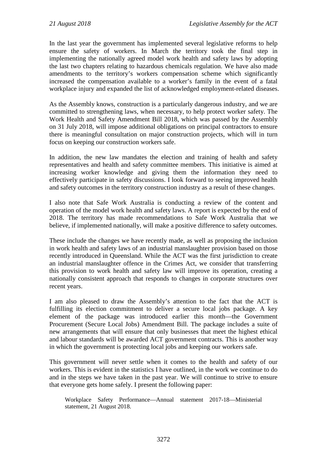In the last year the government has implemented several legislative reforms to help ensure the safety of workers. In March the territory took the final step in implementing the nationally agreed model work health and safety laws by adopting the last two chapters relating to hazardous chemicals regulation. We have also made amendments to the territory's workers compensation scheme which significantly increased the compensation available to a worker's family in the event of a fatal workplace injury and expanded the list of acknowledged employment-related diseases.

As the Assembly knows, construction is a particularly dangerous industry, and we are committed to strengthening laws, when necessary, to help protect worker safety. The Work Health and Safety Amendment Bill 2018, which was passed by the Assembly on 31 July 2018, will impose additional obligations on principal contractors to ensure there is meaningful consultation on major construction projects, which will in turn focus on keeping our construction workers safe.

In addition, the new law mandates the election and training of health and safety representatives and health and safety committee members. This initiative is aimed at increasing worker knowledge and giving them the information they need to effectively participate in safety discussions. I look forward to seeing improved health and safety outcomes in the territory construction industry as a result of these changes.

I also note that Safe Work Australia is conducting a review of the content and operation of the model work health and safety laws. A report is expected by the end of 2018. The territory has made recommendations to Safe Work Australia that we believe, if implemented nationally, will make a positive difference to safety outcomes.

These include the changes we have recently made, as well as proposing the inclusion in work health and safety laws of an industrial manslaughter provision based on those recently introduced in Queensland. While the ACT was the first jurisdiction to create an industrial manslaughter offence in the Crimes Act, we consider that transferring this provision to work health and safety law will improve its operation, creating a nationally consistent approach that responds to changes in corporate structures over recent years.

I am also pleased to draw the Assembly's attention to the fact that the ACT is fulfilling its election commitment to deliver a secure local jobs package. A key element of the package was introduced earlier this month—the Government Procurement (Secure Local Jobs) Amendment Bill. The package includes a suite of new arrangements that will ensure that only businesses that meet the highest ethical and labour standards will be awarded ACT government contracts. This is another way in which the government is protecting local jobs and keeping our workers safe.

This government will never settle when it comes to the health and safety of our workers. This is evident in the statistics I have outlined, in the work we continue to do and in the steps we have taken in the past year. We will continue to strive to ensure that everyone gets home safely. I present the following paper:

Workplace Safety Performance—Annual statement 2017-18—Ministerial statement, 21 August 2018.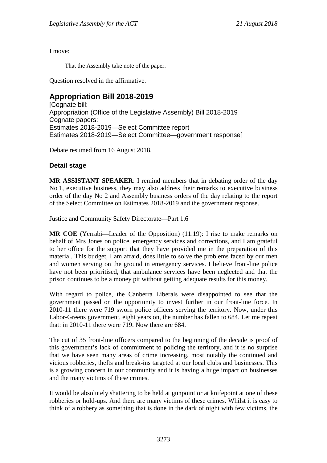I move:

That the Assembly take note of the paper.

Question resolved in the affirmative.

#### <span id="page-26-0"></span>**Appropriation Bill 2018-2019**

[Cognate bill: Appropriation (Office of the Legislative Assembly) Bill 2018-2019 Cognate papers: Estimates 2018-2019—Select Committee report Estimates 2018-2019—Select Committee—government response]

Debate resumed from 16 August 2018.

#### **Detail stage**

**MR ASSISTANT SPEAKER**: I remind members that in debating order of the day No 1, executive business, they may also address their remarks to executive business order of the day No 2 and Assembly business orders of the day relating to the report of the Select Committee on Estimates 2018-2019 and the government response.

Justice and Community Safety Directorate—Part 1.6

**MR COE** (Yerrabi—Leader of the Opposition) (11.19): I rise to make remarks on behalf of Mrs Jones on police, emergency services and corrections, and I am grateful to her office for the support that they have provided me in the preparation of this material. This budget, I am afraid, does little to solve the problems faced by our men and women serving on the ground in emergency services. I believe front-line police have not been prioritised, that ambulance services have been neglected and that the prison continues to be a money pit without getting adequate results for this money.

With regard to police, the Canberra Liberals were disappointed to see that the government passed on the opportunity to invest further in our front-line force. In 2010-11 there were 719 sworn police officers serving the territory. Now, under this Labor-Greens government, eight years on, the number has fallen to 684. Let me repeat that: in 2010-11 there were 719. Now there are 684.

The cut of 35 front-line officers compared to the beginning of the decade is proof of this government's lack of commitment to policing the territory, and it is no surprise that we have seen many areas of crime increasing, most notably the continued and vicious robberies, thefts and break-ins targeted at our local clubs and businesses. This is a growing concern in our community and it is having a huge impact on businesses and the many victims of these crimes.

It would be absolutely shattering to be held at gunpoint or at knifepoint at one of these robberies or hold-ups. And there are many victims of these crimes. Whilst it is easy to think of a robbery as something that is done in the dark of night with few victims, the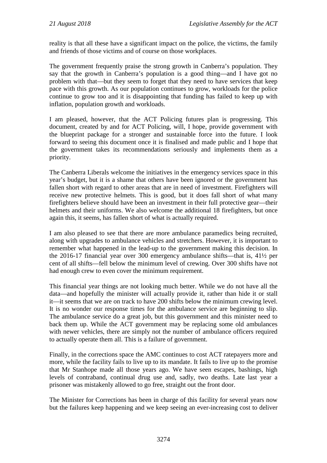reality is that all these have a significant impact on the police, the victims, the family and friends of those victims and of course on those workplaces.

The government frequently praise the strong growth in Canberra's population. They say that the growth in Canberra's population is a good thing—and I have got no problem with that—but they seem to forget that they need to have services that keep pace with this growth. As our population continues to grow, workloads for the police continue to grow too and it is disappointing that funding has failed to keep up with inflation, population growth and workloads.

I am pleased, however, that the ACT Policing futures plan is progressing. This document, created by and for ACT Policing, will, I hope, provide government with the blueprint package for a stronger and sustainable force into the future. I look forward to seeing this document once it is finalised and made public and I hope that the government takes its recommendations seriously and implements them as a priority.

The Canberra Liberals welcome the initiatives in the emergency services space in this year's budget, but it is a shame that others have been ignored or the government has fallen short with regard to other areas that are in need of investment. Firefighters will receive new protective helmets. This is good, but it does fall short of what many firefighters believe should have been an investment in their full protective gear—their helmets and their uniforms. We also welcome the additional 18 firefighters, but once again this, it seems, has fallen short of what is actually required.

I am also pleased to see that there are more ambulance paramedics being recruited, along with upgrades to ambulance vehicles and stretchers. However, it is important to remember what happened in the lead-up to the government making this decision. In the 2016-17 financial year over 300 emergency ambulance shifts—that is, 41½ per cent of all shifts—fell below the minimum level of crewing. Over 300 shifts have not had enough crew to even cover the minimum requirement.

This financial year things are not looking much better. While we do not have all the data—and hopefully the minister will actually provide it, rather than hide it or stall it—it seems that we are on track to have 200 shifts below the minimum crewing level. It is no wonder our response times for the ambulance service are beginning to slip. The ambulance service do a great job, but this government and this minister need to back them up. While the ACT government may be replacing some old ambulances with newer vehicles, there are simply not the number of ambulance officers required to actually operate them all. This is a failure of government.

Finally, in the corrections space the AMC continues to cost ACT ratepayers more and more, while the facility fails to live up to its mandate. It fails to live up to the promise that Mr Stanhope made all those years ago. We have seen escapes, bashings, high levels of contraband, continual drug use and, sadly, two deaths. Late last year a prisoner was mistakenly allowed to go free, straight out the front door.

The Minister for Corrections has been in charge of this facility for several years now but the failures keep happening and we keep seeing an ever-increasing cost to deliver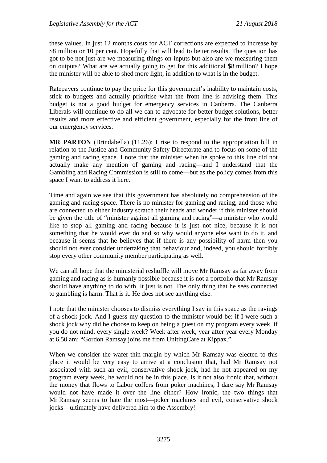these values. In just 12 months costs for ACT corrections are expected to increase by \$8 million or 10 per cent. Hopefully that will lead to better results. The question has got to be not just are we measuring things on inputs but also are we measuring them on outputs? What are we actually going to get for this additional \$8 million? I hope the minister will be able to shed more light, in addition to what is in the budget.

Ratepayers continue to pay the price for this government's inability to maintain costs, stick to budgets and actually prioritise what the front line is advising them. This budget is not a good budget for emergency services in Canberra. The Canberra Liberals will continue to do all we can to advocate for better budget solutions, better results and more effective and efficient government, especially for the front line of our emergency services.

**MR PARTON** (Brindabella) (11.26): I rise to respond to the appropriation bill in relation to the Justice and Community Safety Directorate and to focus on some of the gaming and racing space. I note that the minister when he spoke to this line did not actually make any mention of gaming and racing—and I understand that the Gambling and Racing Commission is still to come—but as the policy comes from this space I want to address it here.

Time and again we see that this government has absolutely no comprehension of the gaming and racing space. There is no minister for gaming and racing, and those who are connected to either industry scratch their heads and wonder if this minister should be given the title of "minister against all gaming and racing"—a minister who would like to stop all gaming and racing because it is just not nice, because it is not something that he would ever do and so why would anyone else want to do it, and because it seems that he believes that if there is any possibility of harm then you should not ever consider undertaking that behaviour and, indeed, you should forcibly stop every other community member participating as well.

We can all hope that the ministerial reshuffle will move Mr Ramsay as far away from gaming and racing as is humanly possible because it is not a portfolio that Mr Ramsay should have anything to do with. It just is not. The only thing that he sees connected to gambling is harm. That is it. He does not see anything else.

I note that the minister chooses to dismiss everything I say in this space as the ravings of a shock jock. And I guess my question to the minister would be: if I were such a shock jock why did he choose to keep on being a guest on my program every week, if you do not mind, every single week? Week after week, year after year every Monday at 6.50 am: "Gordon Ramsay joins me from UnitingCare at Kippax."

When we consider the wafer-thin margin by which Mr Ramsay was elected to this place it would be very easy to arrive at a conclusion that, had Mr Ramsay not associated with such an evil, conservative shock jock, had he not appeared on my program every week, he would not be in this place. Is it not also ironic that, without the money that flows to Labor coffers from poker machines, I dare say Mr Ramsay would not have made it over the line either? How ironic, the two things that Mr Ramsay seems to hate the most—poker machines and evil, conservative shock jocks—ultimately have delivered him to the Assembly!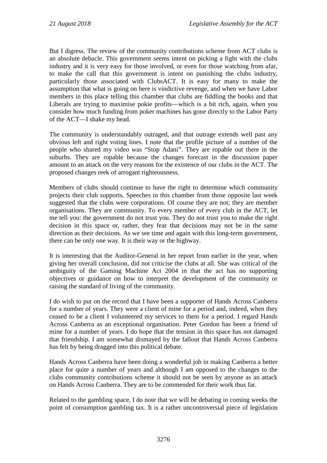But I digress. The review of the community contributions scheme from ACT clubs is an absolute debacle. This government seems intent on picking a fight with the clubs industry and it is very easy for those involved, or even for those watching from afar, to make the call that this government is intent on punishing the clubs industry, particularly those associated with ClubsACT. It is easy for many to make the assumption that what is going on here is vindictive revenge, and when we have Labor members in this place telling this chamber that clubs are fiddling the books and that Liberals are trying to maximise pokie profits—which is a bit rich, again, when you consider how much funding from poker machines has gone directly to the Labor Party of the ACT—I shake my head.

The community is understandably outraged, and that outrage extends well past any obvious left and right voting lines. I note that the profile picture of a number of the people who shared my video was "Stop Adani". They are ropable out there in the suburbs. They are ropable because the changes forecast in the discussion paper amount to an attack on the very reasons for the existence of our clubs in the ACT. The proposed changes reek of arrogant righteousness.

Members of clubs should continue to have the right to determine which community projects their club supports. Speeches in this chamber from those opposite last week suggested that the clubs were corporations. Of course they are not; they are member organisations. They are community. To every member of every club in the ACT, let me tell you: the government do not trust you. They do not trust you to make the right decision in this space or, rather, they fear that decisions may not be in the same direction as their decisions. As we see time and again with this long-term government, there can be only one way. It is their way or the highway.

It is interesting that the Auditor-General in her report from earlier in the year, when giving her overall conclusion, did not criticise the clubs at all. She was critical of the ambiguity of the Gaming Machine Act 2004 in that the act has no supporting objectives or guidance on how to interpret the development of the community or raising the standard of living of the community.

I do wish to put on the record that I have been a supporter of Hands Across Canberra for a number of years. They were a client of mine for a period and, indeed, when they ceased to be a client I volunteered my services to them for a period. I regard Hands Across Canberra as an exceptional organisation. Peter Gordon has been a friend of mine for a number of years. I do hope that the tension in this space has not damaged that friendship. I am somewhat dismayed by the fallout that Hands Across Canberra has felt by being dragged into this political debate.

Hands Across Canberra have been doing a wonderful job in making Canberra a better place for quite a number of years and although I am opposed to the changes to the clubs community contributions scheme it should not be seen by anyone as an attack on Hands Across Canberra. They are to be commended for their work thus far.

Related to the gambling space, I do note that we will be debating in coming weeks the point of consumption gambling tax. It is a rather uncontroversial piece of legislation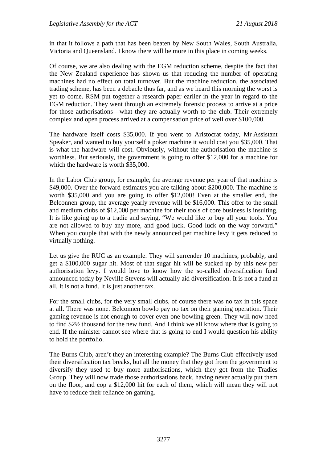in that it follows a path that has been beaten by New South Wales, South Australia, Victoria and Queensland. I know there will be more in this place in coming weeks.

Of course, we are also dealing with the EGM reduction scheme, despite the fact that the New Zealand experience has shown us that reducing the number of operating machines had no effect on total turnover. But the machine reduction, the associated trading scheme, has been a debacle thus far, and as we heard this morning the worst is yet to come. RSM put together a research paper earlier in the year in regard to the EGM reduction. They went through an extremely forensic process to arrive at a price for those authorisations—what they are actually worth to the club. Their extremely complex and open process arrived at a compensation price of well over \$100,000.

The hardware itself costs \$35,000. If you went to Aristocrat today, Mr Assistant Speaker, and wanted to buy yourself a poker machine it would cost you \$35,000. That is what the hardware will cost. Obviously, without the authorisation the machine is worthless. But seriously, the government is going to offer \$12,000 for a machine for which the hardware is worth \$35,000.

In the Labor Club group, for example, the average revenue per year of that machine is \$49,000. Over the forward estimates you are talking about \$200,000. The machine is worth \$35,000 and you are going to offer \$12,000! Even at the smaller end, the Belconnen group, the average yearly revenue will be \$16,000. This offer to the small and medium clubs of \$12,000 per machine for their tools of core business is insulting. It is like going up to a tradie and saying, "We would like to buy all your tools. You are not allowed to buy any more, and good luck. Good luck on the way forward." When you couple that with the newly announced per machine levy it gets reduced to virtually nothing.

Let us give the RUC as an example. They will surrender 10 machines, probably, and get a \$100,000 sugar hit. Most of that sugar hit will be sucked up by this new per authorisation levy. I would love to know how the so-called diversification fund announced today by Neville Stevens will actually aid diversification. It is not a fund at all. It is not a fund. It is just another tax.

For the small clubs, for the very small clubs, of course there was no tax in this space at all. There was none. Belconnen bowlo pay no tax on their gaming operation. Their gaming revenue is not enough to cover even one bowling green. They will now need to find \$2½ thousand for the new fund. And I think we all know where that is going to end. If the minister cannot see where that is going to end I would question his ability to hold the portfolio.

The Burns Club, aren't they an interesting example? The Burns Club effectively used their diversification tax breaks, but all the money that they got from the government to diversify they used to buy more authorisations, which they got from the Tradies Group. They will now trade those authorisations back, having never actually put them on the floor, and cop a \$12,000 hit for each of them, which will mean they will not have to reduce their reliance on gaming.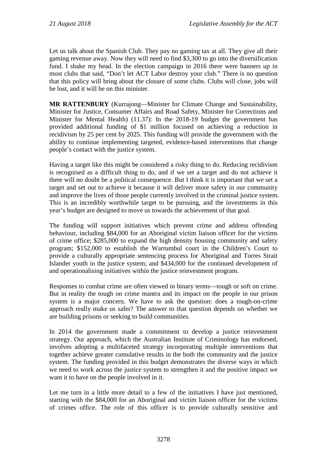Let us talk about the Spanish Club. They pay no gaming tax at all. They give all their gaming revenue away. Now they will need to find \$3,300 to go into the diversification fund. I shake my head. In the election campaign in 2016 there were banners up in most clubs that said, "Don't let ACT Labor destroy your club." There is no question that this policy will bring about the closure of some clubs. Clubs will close, jobs will be lost, and it will be on this minister.

**MR RATTENBURY** (Kurrajong—Minister for Climate Change and Sustainability, Minister for Justice, Consumer Affairs and Road Safety, Minister for Corrections and Minister for Mental Health) (11.37): In the 2018-19 budget the government has provided additional funding of \$1 million focused on achieving a reduction in recidivism by 25 per cent by 2025. This funding will provide the government with the ability to continue implementing targeted, evidence-based interventions that change people's contact with the justice system.

Having a target like this might be considered a risky thing to do. Reducing recidivism is recognised as a difficult thing to do, and if we set a target and do not achieve it there will no doubt be a political consequence. But I think it is important that we set a target and set out to achieve it because it will deliver more safety in our community and improve the lives of those people currently involved in the criminal justice system. This is an incredibly worthwhile target to be pursuing, and the investments in this year's budget are designed to move us towards the achievement of that goal.

The funding will support initiatives which prevent crime and address offending behaviour, including \$84,000 for an Aboriginal victim liaison officer for the victims of crime office; \$285,000 to expand the high density housing community and safety program; \$152,000 to establish the Warrumbul court in the Children's Court to provide a culturally appropriate sentencing process for Aboriginal and Torres Strait Islander youth in the justice system; and \$434,000 for the continued development of and operationalising initiatives within the justice reinvestment program.

Responses to combat crime are often viewed in binary terms—tough or soft on crime. But in reality the tough on crime mantra and its impact on the people in our prison system is a major concern. We have to ask the question: does a tough-on-crime approach really make us safer? The answer to that question depends on whether we are building prisons or seeking to build communities.

In 2014 the government made a commitment to develop a justice reinvestment strategy. Our approach, which the Australian Institute of Criminology has endorsed, involves adopting a multifaceted strategy incorporating multiple interventions that together achieve greater cumulative results in the both the community and the justice system. The funding provided in this budget demonstrates the diverse ways in which we need to work across the justice system to strengthen it and the positive impact we want it to have on the people involved in it.

Let me turn in a little more detail to a few of the initiatives I have just mentioned, starting with the \$84,000 for an Aboriginal and victim liaison officer for the victims of crimes office. The role of this officer is to provide culturally sensitive and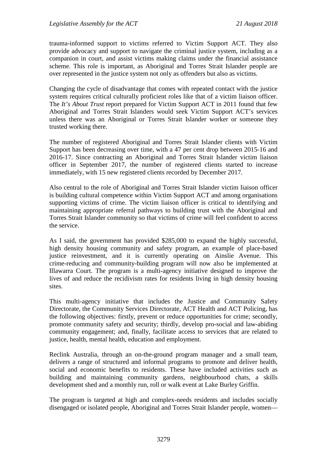trauma-informed support to victims referred to Victim Support ACT. They also provide advocacy and support to navigate the criminal justice system, including as a companion in court, and assist victims making claims under the financial assistance scheme. This role is important, as Aboriginal and Torres Strait Islander people are over represented in the justice system not only as offenders but also as victims.

Changing the cycle of disadvantage that comes with repeated contact with the justice system requires critical culturally proficient roles like that of a victim liaison officer. The *It's About Trust* report prepared for Victim Support ACT in 2011 found that few Aboriginal and Torres Strait Islanders would seek Victim Support ACT's services unless there was an Aboriginal or Torres Strait Islander worker or someone they trusted working there.

The number of registered Aboriginal and Torres Strait Islander clients with Victim Support has been decreasing over time, with a 47 per cent drop between 2015-16 and 2016-17. Since contracting an Aboriginal and Torres Strait Islander victim liaison officer in September 2017, the number of registered clients started to increase immediately, with 15 new registered clients recorded by December 2017.

Also central to the role of Aboriginal and Torres Strait Islander victim liaison officer is building cultural competence within Victim Support ACT and among organisations supporting victims of crime. The victim liaison officer is critical to identifying and maintaining appropriate referral pathways to building trust with the Aboriginal and Torres Strait Islander community so that victims of crime will feel confident to access the service.

As I said, the government has provided \$285,000 to expand the highly successful, high density housing community and safety program, an example of place-based justice reinvestment, and it is currently operating on Ainslie Avenue. This crime-reducing and community-building program will now also be implemented at Illawarra Court. The program is a multi-agency initiative designed to improve the lives of and reduce the recidivism rates for residents living in high density housing sites.

This multi-agency initiative that includes the Justice and Community Safety Directorate, the Community Services Directorate, ACT Health and ACT Policing, has the following objectives: firstly, prevent or reduce opportunities for crime; secondly, promote community safety and security; thirdly, develop pro-social and law-abiding community engagement; and, finally, facilitate access to services that are related to justice, health, mental health, education and employment.

Reclink Australia, through an on-the-ground program manager and a small team, delivers a range of structured and informal programs to promote and deliver health, social and economic benefits to residents. These have included activities such as building and maintaining community gardens, neighbourhood chats, a skills development shed and a monthly run, roll or walk event at Lake Burley Griffin.

The program is targeted at high and complex-needs residents and includes socially disengaged or isolated people, Aboriginal and Torres Strait Islander people, women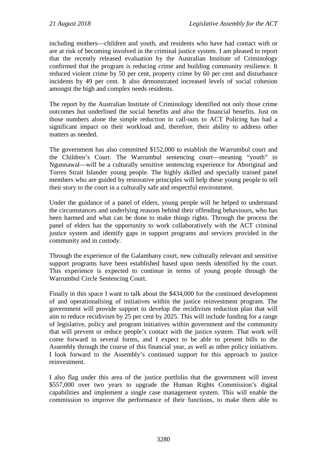including mothers—children and youth, and residents who have had contact with or are at risk of becoming involved in the criminal justice system. I am pleased to report that the recently released evaluation by the Australian Institute of Criminology confirmed that the program is reducing crime and building community resilience. It reduced violent crime by 50 per cent, property crime by 60 per cent and disturbance incidents by 49 per cent. It also demonstrated increased levels of social cohesion amongst the high and complex needs residents.

The report by the Australian Institute of Criminology identified not only those crime outcomes but underlined the social benefits and also the financial benefits. Just on those numbers alone the simple reduction in call-outs to ACT Policing has had a significant impact on their workload and, therefore, their ability to address other matters as needed.

The government has also committed \$152,000 to establish the Warrumbul court and the Children's Court. The Warrumbul sentencing court—meaning "youth" in Ngunnawal—will be a culturally sensitive sentencing experience for Aboriginal and Torres Strait Islander young people. The highly skilled and specially trained panel members who are guided by restorative principles will help these young people to tell their story to the court in a culturally safe and respectful environment.

Under the guidance of a panel of elders, young people will be helped to understand the circumstances and underlying reasons behind their offending behaviours, who has been harmed and what can be done to make things rights. Through the process the panel of elders has the opportunity to work collaboratively with the ACT criminal justice system and identify gaps in support programs and services provided in the community and in custody.

Through the experience of the Galambany court, new culturally relevant and sensitive support programs have been established based upon needs identified by the court. This experience is expected to continue in terms of young people through the Warrumbul Circle Sentencing Court.

Finally in this space I want to talk about the \$434,000 for the continued development of and operationalising of initiatives within the justice reinvestment program. The government will provide support to develop the recidivism reduction plan that will aim to reduce recidivism by 25 per cent by 2025. This will include funding for a range of legislative, policy and program initiatives within government and the community that will prevent or reduce people's contact with the justice system. That work will come forward in several forms, and I expect to be able to present bills to the Assembly through the course of this financial year, as well as other policy initiatives. I look forward to the Assembly's continued support for this approach to justice reinvestment.

I also flag under this area of the justice portfolio that the government will invest \$557,000 over two years to upgrade the Human Rights Commission's digital capabilities and implement a single case management system. This will enable the commission to improve the performance of their functions, to make them able to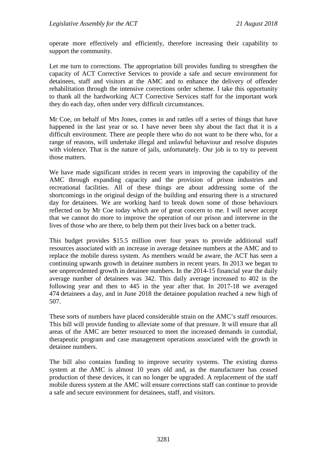operate more effectively and efficiently, therefore increasing their capability to support the community.

Let me turn to corrections. The appropriation bill provides funding to strengthen the capacity of ACT Corrective Services to provide a safe and secure environment for detainees, staff and visitors at the AMC and to enhance the delivery of offender rehabilitation through the intensive corrections order scheme. I take this opportunity to thank all the hardworking ACT Corrective Services staff for the important work they do each day, often under very difficult circumstances.

Mr Coe, on behalf of Mrs Jones, comes in and rattles off a series of things that have happened in the last year or so. I have never been shy about the fact that it is a difficult environment. There are people there who do not want to be there who, for a range of reasons, will undertake illegal and unlawful behaviour and resolve disputes with violence. That is the nature of jails, unfortunately. Our job is to try to prevent those matters.

We have made significant strides in recent years in improving the capability of the AMC through expanding capacity and the provision of prison industries and recreational facilities. All of these things are about addressing some of the shortcomings in the original design of the building and ensuring there is a structured day for detainees. We are working hard to break down some of those behaviours reflected on by Mr Coe today which are of great concern to me. I will never accept that we cannot do more to improve the operation of our prison and intervene in the lives of those who are there, to help them put their lives back on a better track.

This budget provides \$15.5 million over four years to provide additional staff resources associated with an increase in average detainee numbers at the AMC and to replace the mobile duress system. As members would be aware, the ACT has seen a continuing upwards growth in detainee numbers in recent years. In 2013 we began to see unprecedented growth in detainee numbers. In the 2014-15 financial year the daily average number of detainees was 342. This daily average increased to 402 in the following year and then to 445 in the year after that. In 2017-18 we averaged 474 detainees a day, and in June 2018 the detainee population reached a new high of 507.

These sorts of numbers have placed considerable strain on the AMC's staff resources. This bill will provide funding to alleviate some of that pressure. It will ensure that all areas of the AMC are better resourced to meet the increased demands in custodial, therapeutic program and case management operations associated with the growth in detainee numbers.

The bill also contains funding to improve security systems. The existing duress system at the AMC is almost 10 years old and, as the manufacturer has ceased production of these devices, it can no longer be upgraded. A replacement of the staff mobile duress system at the AMC will ensure corrections staff can continue to provide a safe and secure environment for detainees, staff, and visitors.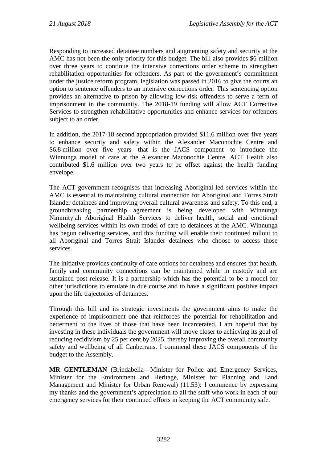Responding to increased detainee numbers and augmenting safety and security at the AMC has not been the only priority for this budget. The bill also provides \$6 million over three years to continue the intensive corrections order scheme to strengthen rehabilitation opportunities for offenders. As part of the government's commitment under the justice reform program, legislation was passed in 2016 to give the courts an option to sentence offenders to an intensive corrections order. This sentencing option provides an alternative to prison by allowing low-risk offenders to serve a term of imprisonment in the community. The 2018-19 funding will allow ACT Corrective Services to strengthen rehabilitative opportunities and enhance services for offenders subject to an order.

In addition, the 2017-18 second appropriation provided \$11.6 million over five years to enhance security and safety within the Alexander Maconochie Centre and \$6.8 million over five years—that is the JACS component—to introduce the Winnunga model of care at the Alexander Maconochie Centre. ACT Health also contributed \$1.6 million over two years to be offset against the health funding envelope.

The ACT government recognises that increasing Aboriginal-led services within the AMC is essential to maintaining cultural connection for Aboriginal and Torres Strait Islander detainees and improving overall cultural awareness and safety. To this end, a groundbreaking partnership agreement is being developed with Winnunga Nimmityjah Aboriginal Health Services to deliver health, social and emotional wellbeing services within its own model of care to detainees at the AMC. Winnunga has begun delivering services, and this funding will enable their continued rollout to all Aboriginal and Torres Strait Islander detainees who choose to access those services.

The initiative provides continuity of care options for detainees and ensures that health, family and community connections can be maintained while in custody and are sustained post release. It is a partnership which has the potential to be a model for other jurisdictions to emulate in due course and to have a significant positive impact upon the life trajectories of detainees.

Through this bill and its strategic investments the government aims to make the experience of imprisonment one that reinforces the potential for rehabilitation and betterment to the lives of those that have been incarcerated. I am hopeful that by investing in these individuals the government will move closer to achieving its goal of reducing recidivism by 25 per cent by 2025, thereby improving the overall community safety and wellbeing of all Canberrans. I commend these JACS components of the budget to the Assembly.

**MR GENTLEMAN** (Brindabella—Minister for Police and Emergency Services, Minister for the Environment and Heritage, Minister for Planning and Land Management and Minister for Urban Renewal) (11.53): I commence by expressing my thanks and the government's appreciation to all the staff who work in each of our emergency services for their continued efforts in keeping the ACT community safe.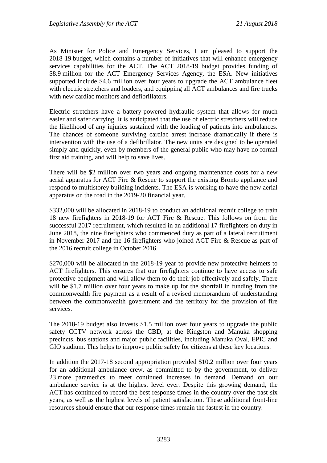As Minister for Police and Emergency Services, I am pleased to support the 2018-19 budget, which contains a number of initiatives that will enhance emergency services capabilities for the ACT. The ACT 2018-19 budget provides funding of \$8.9 million for the ACT Emergency Services Agency, the ESA. New initiatives supported include \$4.6 million over four years to upgrade the ACT ambulance fleet with electric stretchers and loaders, and equipping all ACT ambulances and fire trucks with new cardiac monitors and defibrillators.

Electric stretchers have a battery-powered hydraulic system that allows for much easier and safer carrying. It is anticipated that the use of electric stretchers will reduce the likelihood of any injuries sustained with the loading of patients into ambulances. The chances of someone surviving cardiac arrest increase dramatically if there is intervention with the use of a defibrillator. The new units are designed to be operated simply and quickly, even by members of the general public who may have no formal first aid training, and will help to save lives.

There will be \$2 million over two years and ongoing maintenance costs for a new aerial apparatus for ACT Fire & Rescue to support the existing Bronto appliance and respond to multistorey building incidents. The ESA is working to have the new aerial apparatus on the road in the 2019-20 financial year.

\$332,000 will be allocated in 2018-19 to conduct an additional recruit college to train 18 new firefighters in 2018-19 for ACT Fire & Rescue. This follows on from the successful 2017 recruitment, which resulted in an additional 17 firefighters on duty in June 2018, the nine firefighters who commenced duty as part of a lateral recruitment in November 2017 and the 16 firefighters who joined ACT Fire & Rescue as part of the 2016 recruit college in October 2016.

\$270,000 will be allocated in the 2018-19 year to provide new protective helmets to ACT firefighters. This ensures that our firefighters continue to have access to safe protective equipment and will allow them to do their job effectively and safely. There will be \$1.7 million over four years to make up for the shortfall in funding from the commonwealth fire payment as a result of a revised memorandum of understanding between the commonwealth government and the territory for the provision of fire services.

The 2018-19 budget also invests \$1.5 million over four years to upgrade the public safety CCTV network across the CBD, at the Kingston and Manuka shopping precincts, bus stations and major public facilities, including Manuka Oval, EPIC and GIO stadium. This helps to improve public safety for citizens at these key locations.

In addition the 2017-18 second appropriation provided \$10.2 million over four years for an additional ambulance crew, as committed to by the government, to deliver 23 more paramedics to meet continued increases in demand. Demand on our ambulance service is at the highest level ever. Despite this growing demand, the ACT has continued to record the best response times in the country over the past six years, as well as the highest levels of patient satisfaction. These additional front-line resources should ensure that our response times remain the fastest in the country.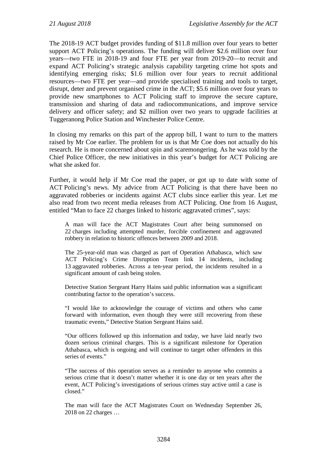The 2018-19 ACT budget provides funding of \$11.8 million over four years to better support ACT Policing's operations. The funding will deliver \$2.6 million over four years—two FTE in 2018-19 and four FTE per year from 2019-20—to recruit and expand ACT Policing's strategic analysis capability targeting crime hot spots and identifying emerging risks; \$1.6 million over four years to recruit additional resources—two FTE per year—and provide specialised training and tools to target, disrupt, deter and prevent organised crime in the ACT; \$5.6 million over four years to provide new smartphones to ACT Policing staff to improve the secure capture, transmission and sharing of data and radiocommunications, and improve service delivery and officer safety; and \$2 million over two years to upgrade facilities at Tuggeranong Police Station and Winchester Police Centre.

In closing my remarks on this part of the approp bill, I want to turn to the matters raised by Mr Coe earlier. The problem for us is that Mr Coe does not actually do his research. He is more concerned about spin and scaremongering. As he was told by the Chief Police Officer, the new initiatives in this year's budget for ACT Policing are what she asked for.

Further, it would help if Mr Coe read the paper, or got up to date with some of ACT Policing's news. My advice from ACT Policing is that there have been no aggravated robberies or incidents against ACT clubs since earlier this year. Let me also read from two recent media releases from ACT Policing. One from 16 August, entitled "Man to face 22 charges linked to historic aggravated crimes", says:

A man will face the ACT Magistrates Court after being summonsed on 22 charges including attempted murder, forcible confinement and aggravated robbery in relation to historic offences between 2009 and 2018.

The 25-year-old man was charged as part of Operation Athabasca, which saw ACT Policing's Crime Disruption Team link 14 incidents, including 13 aggravated robberies. Across a ten-year period, the incidents resulted in a significant amount of cash being stolen.

Detective Station Sergeant Harry Hains said public information was a significant contributing factor to the operation's success.

"I would like to acknowledge the courage of victims and others who came forward with information, even though they were still recovering from these traumatic events," Detective Station Sergeant Hains said.

"Our officers followed up this information and today, we have laid nearly two dozen serious criminal charges. This is a significant milestone for Operation Athabasca, which is ongoing and will continue to target other offenders in this series of events."

"The success of this operation serves as a reminder to anyone who commits a serious crime that it doesn't matter whether it is one day or ten years after the event, ACT Policing's investigations of serious crimes stay active until a case is closed."

The man will face the ACT Magistrates Court on Wednesday September 26, 2018 on 22 charges …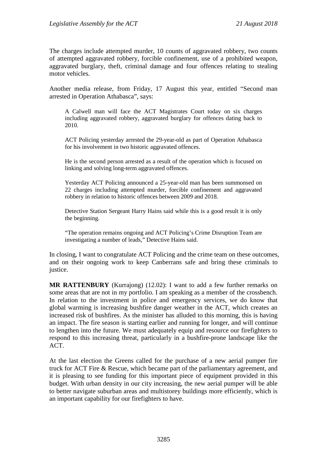The charges include attempted murder, 10 counts of aggravated robbery, two counts of attempted aggravated robbery, forcible confinement, use of a prohibited weapon, aggravated burglary, theft, criminal damage and four offences relating to stealing motor vehicles.

Another media release, from Friday, 17 August this year, entitled "Second man arrested in Operation Athabasca", says:

A Calwell man will face the ACT Magistrates Court today on six charges including aggravated robbery, aggravated burglary for offences dating back to 2010.

ACT Policing yesterday arrested the 29-year-old as part of Operation Athabasca for his involvement in two historic aggravated offences.

He is the second person arrested as a result of the operation which is focused on linking and solving long-term aggravated offences.

Yesterday ACT Policing announced a 25-year-old man has been summonsed on 22 charges including attempted murder, forcible confinement and aggravated robbery in relation to historic offences between 2009 and 2018.

Detective Station Sergeant Harry Hains said while this is a good result it is only the beginning.

"The operation remains ongoing and ACT Policing's Crime Disruption Team are investigating a number of leads," Detective Hains said.

In closing, I want to congratulate ACT Policing and the crime team on these outcomes, and on their ongoing work to keep Canberrans safe and bring these criminals to justice.

**MR RATTENBURY** (Kurrajong) (12.02): I want to add a few further remarks on some areas that are not in my portfolio. I am speaking as a member of the crossbench. In relation to the investment in police and emergency services, we do know that global warming is increasing bushfire danger weather in the ACT, which creates an increased risk of bushfires. As the minister has alluded to this morning, this is having an impact. The fire season is starting earlier and running for longer, and will continue to lengthen into the future. We must adequately equip and resource our firefighters to respond to this increasing threat, particularly in a bushfire-prone landscape like the ACT.

At the last election the Greens called for the purchase of a new aerial pumper fire truck for ACT Fire & Rescue, which became part of the parliamentary agreement, and it is pleasing to see funding for this important piece of equipment provided in this budget. With urban density in our city increasing, the new aerial pumper will be able to better navigate suburban areas and multistorey buildings more efficiently, which is an important capability for our firefighters to have.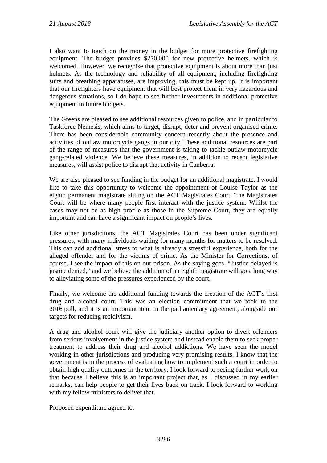I also want to touch on the money in the budget for more protective firefighting equipment. The budget provides \$270,000 for new protective helmets, which is welcomed. However, we recognise that protective equipment is about more than just helmets. As the technology and reliability of all equipment, including firefighting suits and breathing apparatuses, are improving, this must be kept up. It is important that our firefighters have equipment that will best protect them in very hazardous and dangerous situations, so I do hope to see further investments in additional protective equipment in future budgets.

The Greens are pleased to see additional resources given to police, and in particular to Taskforce Nemesis, which aims to target, disrupt, deter and prevent organised crime. There has been considerable community concern recently about the presence and activities of outlaw motorcycle gangs in our city. These additional resources are part of the range of measures that the government is taking to tackle outlaw motorcycle gang-related violence. We believe these measures, in addition to recent legislative measures, will assist police to disrupt that activity in Canberra.

We are also pleased to see funding in the budget for an additional magistrate. I would like to take this opportunity to welcome the appointment of Louise Taylor as the eighth permanent magistrate sitting on the ACT Magistrates Court. The Magistrates Court will be where many people first interact with the justice system. Whilst the cases may not be as high profile as those in the Supreme Court, they are equally important and can have a significant impact on people's lives.

Like other jurisdictions, the ACT Magistrates Court has been under significant pressures, with many individuals waiting for many months for matters to be resolved. This can add additional stress to what is already a stressful experience, both for the alleged offender and for the victims of crime. As the Minister for Corrections, of course, I see the impact of this on our prison. As the saying goes, "Justice delayed is justice denied," and we believe the addition of an eighth magistrate will go a long way to alleviating some of the pressures experienced by the court.

Finally, we welcome the additional funding towards the creation of the ACT's first drug and alcohol court. This was an election commitment that we took to the 2016 poll, and it is an important item in the parliamentary agreement, alongside our targets for reducing recidivism.

A drug and alcohol court will give the judiciary another option to divert offenders from serious involvement in the justice system and instead enable them to seek proper treatment to address their drug and alcohol addictions. We have seen the model working in other jurisdictions and producing very promising results. I know that the government is in the process of evaluating how to implement such a court in order to obtain high quality outcomes in the territory. I look forward to seeing further work on that because I believe this is an important project that, as I discussed in my earlier remarks, can help people to get their lives back on track. I look forward to working with my fellow ministers to deliver that.

Proposed expenditure agreed to.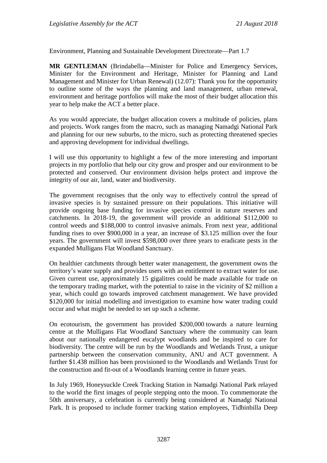Environment, Planning and Sustainable Development Directorate—Part 1.7

**MR GENTLEMAN** (Brindabella—Minister for Police and Emergency Services, Minister for the Environment and Heritage, Minister for Planning and Land Management and Minister for Urban Renewal) (12.07): Thank you for the opportunity to outline some of the ways the planning and land management, urban renewal, environment and heritage portfolios will make the most of their budget allocation this year to help make the ACT a better place.

As you would appreciate, the budget allocation covers a multitude of policies, plans and projects. Work ranges from the macro, such as managing Namadgi National Park and planning for our new suburbs, to the micro, such as protecting threatened species and approving development for individual dwellings.

I will use this opportunity to highlight a few of the more interesting and important projects in my portfolio that help our city grow and prosper and our environment to be protected and conserved. Our environment division helps protect and improve the integrity of our air, land, water and biodiversity.

The government recognises that the only way to effectively control the spread of invasive species is by sustained pressure on their populations. This initiative will provide ongoing base funding for invasive species control in nature reserves and catchments. In 2018-19, the government will provide an additional \$112,000 to control weeds and \$188,000 to control invasive animals. From next year, additional funding rises to over \$900,000 in a year, an increase of \$3.125 million over the four years. The government will invest \$598,000 over three years to eradicate pests in the expanded Mulligans Flat Woodland Sanctuary.

On healthier catchments through better water management, the government owns the territory's water supply and provides users with an entitlement to extract water for use. Given current use, approximately 15 gigalitres could be made available for trade on the temporary trading market, with the potential to raise in the vicinity of \$2 million a year, which could go towards improved catchment management. We have provided \$120,000 for initial modelling and investigation to examine how water trading could occur and what might be needed to set up such a scheme.

On ecotourism, the government has provided \$200,000 towards a nature learning centre at the Mulligans Flat Woodland Sanctuary where the community can learn about our nationally endangered eucalypt woodlands and be inspired to care for biodiversity. The centre will be run by the Woodlands and Wetlands Trust, a unique partnership between the conservation community, ANU and ACT government. A further \$1.438 million has been provisioned to the Woodlands and Wetlands Trust for the construction and fit-out of a Woodlands learning centre in future years.

In July 1969, Honeysuckle Creek Tracking Station in Namadgi National Park relayed to the world the first images of people stepping onto the moon. To commemorate the 50th anniversary, a celebration is currently being considered at Namadgi National Park. It is proposed to include former tracking station employees, Tidbinbilla Deep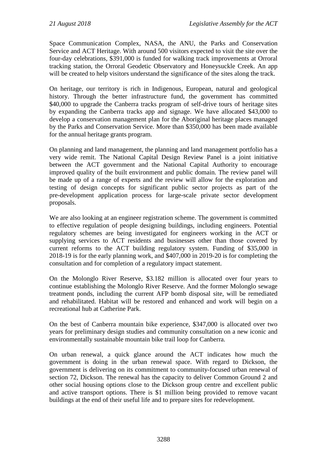Space Communication Complex, NASA, the ANU, the Parks and Conservation Service and ACT Heritage. With around 500 visitors expected to visit the site over the four-day celebrations, \$391,000 is funded for walking track improvements at Orroral tracking station, the Orroral Geodetic Observatory and Honeysuckle Creek. An app will be created to help visitors understand the significance of the sites along the track.

On heritage, our territory is rich in Indigenous, European, natural and geological history. Through the better infrastructure fund, the government has committed \$40,000 to upgrade the Canberra tracks program of self-drive tours of heritage sites by expanding the Canberra tracks app and signage. We have allocated \$43,000 to develop a conservation management plan for the Aboriginal heritage places managed by the Parks and Conservation Service. More than \$350,000 has been made available for the annual heritage grants program.

On planning and land management, the planning and land management portfolio has a very wide remit. The National Capital Design Review Panel is a joint initiative between the ACT government and the National Capital Authority to encourage improved quality of the built environment and public domain. The review panel will be made up of a range of experts and the review will allow for the exploration and testing of design concepts for significant public sector projects as part of the pre-development application process for large-scale private sector development proposals.

We are also looking at an engineer registration scheme. The government is committed to effective regulation of people designing buildings, including engineers. Potential regulatory schemes are being investigated for engineers working in the ACT or supplying services to ACT residents and businesses other than those covered by current reforms to the ACT building regulatory system. Funding of \$35,000 in 2018-19 is for the early planning work, and \$407,000 in 2019-20 is for completing the consultation and for completion of a regulatory impact statement.

On the Molonglo River Reserve, \$3.182 million is allocated over four years to continue establishing the Molonglo River Reserve. And the former Molonglo sewage treatment ponds, including the current AFP bomb disposal site, will be remediated and rehabilitated. Habitat will be restored and enhanced and work will begin on a recreational hub at Catherine Park.

On the best of Canberra mountain bike experience, \$347,000 is allocated over two years for preliminary design studies and community consultation on a new iconic and environmentally sustainable mountain bike trail loop for Canberra.

On urban renewal, a quick glance around the ACT indicates how much the government is doing in the urban renewal space. With regard to Dickson, the government is delivering on its commitment to community-focused urban renewal of section 72, Dickson. The renewal has the capacity to deliver Common Ground 2 and other social housing options close to the Dickson group centre and excellent public and active transport options. There is \$1 million being provided to remove vacant buildings at the end of their useful life and to prepare sites for redevelopment.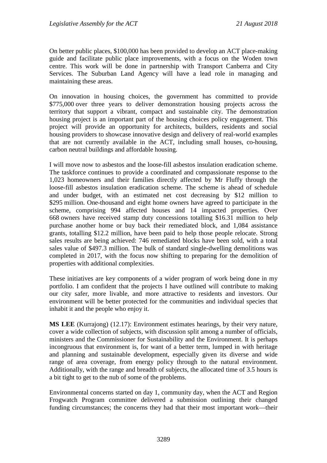On better public places, \$100,000 has been provided to develop an ACT place-making guide and facilitate public place improvements, with a focus on the Woden town centre. This work will be done in partnership with Transport Canberra and City Services. The Suburban Land Agency will have a lead role in managing and maintaining these areas.

On innovation in housing choices, the government has committed to provide \$775,000 over three years to deliver demonstration housing projects across the territory that support a vibrant, compact and sustainable city. The demonstration housing project is an important part of the housing choices policy engagement. This project will provide an opportunity for architects, builders, residents and social housing providers to showcase innovative design and delivery of real-world examples that are not currently available in the ACT, including small houses, co-housing, carbon neutral buildings and affordable housing.

I will move now to asbestos and the loose-fill asbestos insulation eradication scheme. The taskforce continues to provide a coordinated and compassionate response to the 1,023 homeowners and their families directly affected by Mr Fluffy through the loose-fill asbestos insulation eradication scheme. The scheme is ahead of schedule and under budget, with an estimated net cost decreasing by \$12 million to \$295 million. One-thousand and eight home owners have agreed to participate in the scheme, comprising 994 affected houses and 14 impacted properties. Over 668 owners have received stamp duty concessions totalling \$16.31 million to help purchase another home or buy back their remediated block, and 1,084 assistance grants, totalling \$12.2 million, have been paid to help those people relocate. Strong sales results are being achieved: 746 remediated blocks have been sold, with a total sales value of \$497.3 million. The bulk of standard single-dwelling demolitions was completed in 2017, with the focus now shifting to preparing for the demolition of properties with additional complexities.

These initiatives are key components of a wider program of work being done in my portfolio. I am confident that the projects I have outlined will contribute to making our city safer, more livable, and more attractive to residents and investors. Our environment will be better protected for the communities and individual species that inhabit it and the people who enjoy it.

**MS LEE** (Kurrajong) (12.17): Environment estimates hearings, by their very nature, cover a wide collection of subjects, with discussion split among a number of officials, ministers and the Commissioner for Sustainability and the Environment. It is perhaps incongruous that environment is, for want of a better term, lumped in with heritage and planning and sustainable development, especially given its diverse and wide range of area coverage, from energy policy through to the natural environment. Additionally, with the range and breadth of subjects, the allocated time of 3.5 hours is a bit tight to get to the nub of some of the problems.

Environmental concerns started on day 1, community day, when the ACT and Region Frogwatch Program committee delivered a submission outlining their changed funding circumstances; the concerns they had that their most important work—their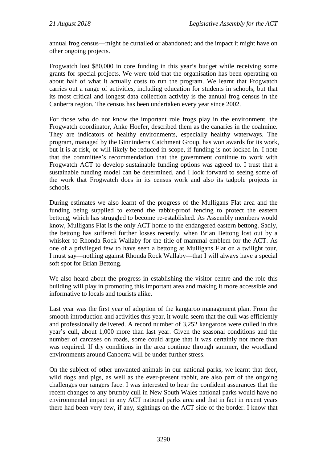annual frog census—might be curtailed or abandoned; and the impact it might have on other ongoing projects.

Frogwatch lost \$80,000 in core funding in this year's budget while receiving some grants for special projects. We were told that the organisation has been operating on about half of what it actually costs to run the program. We learnt that Frogwatch carries out a range of activities, including education for students in schools, but that its most critical and longest data collection activity is the annual frog census in the Canberra region. The census has been undertaken every year since 2002.

For those who do not know the important role frogs play in the environment, the Frogwatch coordinator, Anke Hoefer, described them as the canaries in the coalmine. They are indicators of healthy environments, especially healthy waterways. The program, managed by the Ginninderra Catchment Group, has won awards for its work, but it is at risk, or will likely be reduced in scope, if funding is not locked in. I note that the committee's recommendation that the government continue to work with Frogwatch ACT to develop sustainable funding options was agreed to. I trust that a sustainable funding model can be determined, and I look forward to seeing some of the work that Frogwatch does in its census work and also its tadpole projects in schools.

During estimates we also learnt of the progress of the Mulligans Flat area and the funding being supplied to extend the rabbit-proof fencing to protect the eastern bettong, which has struggled to become re-established. As Assembly members would know, Mulligans Flat is the only ACT home to the endangered eastern bettong. Sadly, the bettong has suffered further losses recently, when Brian Bettong lost out by a whisker to Rhonda Rock Wallaby for the title of mammal emblem for the ACT. As one of a privileged few to have seen a bettong at Mulligans Flat on a twilight tour, I must say—nothing against Rhonda Rock Wallaby—that I will always have a special soft spot for Brian Bettong.

We also heard about the progress in establishing the visitor centre and the role this building will play in promoting this important area and making it more accessible and informative to locals and tourists alike.

Last year was the first year of adoption of the kangaroo management plan. From the smooth introduction and activities this year, it would seem that the cull was efficiently and professionally delivered. A record number of 3,252 kangaroos were culled in this year's cull, about 1,000 more than last year. Given the seasonal conditions and the number of carcases on roads, some could argue that it was certainly not more than was required. If dry conditions in the area continue through summer, the woodland environments around Canberra will be under further stress.

On the subject of other unwanted animals in our national parks, we learnt that deer, wild dogs and pigs, as well as the ever-present rabbit, are also part of the ongoing challenges our rangers face. I was interested to hear the confident assurances that the recent changes to any brumby cull in New South Wales national parks would have no environmental impact in any ACT national parks area and that in fact in recent years there had been very few, if any, sightings on the ACT side of the border. I know that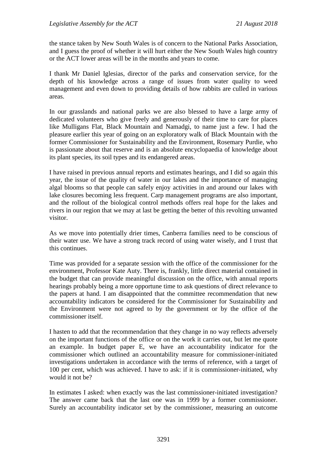the stance taken by New South Wales is of concern to the National Parks Association, and I guess the proof of whether it will hurt either the New South Wales high country or the ACT lower areas will be in the months and years to come.

I thank Mr Daniel Iglesias, director of the parks and conservation service, for the depth of his knowledge across a range of issues from water quality to weed management and even down to providing details of how rabbits are culled in various areas.

In our grasslands and national parks we are also blessed to have a large army of dedicated volunteers who give freely and generously of their time to care for places like Mulligans Flat, Black Mountain and Namadgi, to name just a few. I had the pleasure earlier this year of going on an exploratory walk of Black Mountain with the former Commissioner for Sustainability and the Environment, Rosemary Purdie, who is passionate about that reserve and is an absolute encyclopaedia of knowledge about its plant species, its soil types and its endangered areas.

I have raised in previous annual reports and estimates hearings, and I did so again this year, the issue of the quality of water in our lakes and the importance of managing algal blooms so that people can safely enjoy activities in and around our lakes with lake closures becoming less frequent. Carp management programs are also important, and the rollout of the biological control methods offers real hope for the lakes and rivers in our region that we may at last be getting the better of this revolting unwanted visitor.

As we move into potentially drier times, Canberra families need to be conscious of their water use. We have a strong track record of using water wisely, and I trust that this continues.

Time was provided for a separate session with the office of the commissioner for the environment, Professor Kate Auty. There is, frankly, little direct material contained in the budget that can provide meaningful discussion on the office, with annual reports hearings probably being a more opportune time to ask questions of direct relevance to the papers at hand. I am disappointed that the committee recommendation that new accountability indicators be considered for the Commissioner for Sustainability and the Environment were not agreed to by the government or by the office of the commissioner itself.

I hasten to add that the recommendation that they change in no way reflects adversely on the important functions of the office or on the work it carries out, but let me quote an example. In budget paper E, we have an accountability indicator for the commissioner which outlined an accountability measure for commissioner-initiated investigations undertaken in accordance with the terms of reference, with a target of 100 per cent, which was achieved. I have to ask: if it is commissioner-initiated, why would it not be?

In estimates I asked: when exactly was the last commissioner-initiated investigation? The answer came back that the last one was in 1999 by a former commissioner. Surely an accountability indicator set by the commissioner, measuring an outcome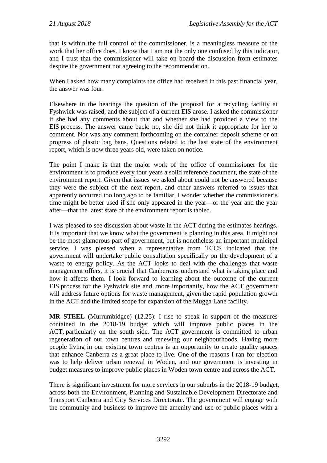that is within the full control of the commissioner, is a meaningless measure of the work that her office does. I know that I am not the only one confused by this indicator, and I trust that the commissioner will take on board the discussion from estimates despite the government not agreeing to the recommendation.

When I asked how many complaints the office had received in this past financial year, the answer was four.

Elsewhere in the hearings the question of the proposal for a recycling facility at Fyshwick was raised, and the subject of a current EIS arose. I asked the commissioner if she had any comments about that and whether she had provided a view to the EIS process. The answer came back: no, she did not think it appropriate for her to comment. Nor was any comment forthcoming on the container deposit scheme or on progress of plastic bag bans. Questions related to the last state of the environment report, which is now three years old, were taken on notice.

The point I make is that the major work of the office of commissioner for the environment is to produce every four years a solid reference document, the state of the environment report. Given that issues we asked about could not be answered because they were the subject of the next report, and other answers referred to issues that apparently occurred too long ago to be familiar, I wonder whether the commissioner's time might be better used if she only appeared in the year—or the year and the year after—that the latest state of the environment report is tabled.

I was pleased to see discussion about waste in the ACT during the estimates hearings. It is important that we know what the government is planning in this area. It might not be the most glamorous part of government, but is nonetheless an important municipal service. I was pleased when a representative from TCCS indicated that the government will undertake public consultation specifically on the development of a waste to energy policy. As the ACT looks to deal with the challenges that waste management offers, it is crucial that Canberrans understand what is taking place and how it affects them. I look forward to learning about the outcome of the current EIS process for the Fyshwick site and, more importantly, how the ACT government will address future options for waste management, given the rapid population growth in the ACT and the limited scope for expansion of the Mugga Lane facility.

**MR STEEL** (Murrumbidgee) (12.25): I rise to speak in support of the measures contained in the 2018-19 budget which will improve public places in the ACT, particularly on the south side. The ACT government is committed to urban regeneration of our town centres and renewing our neighbourhoods. Having more people living in our existing town centres is an opportunity to create quality spaces that enhance Canberra as a great place to live. One of the reasons I ran for election was to help deliver urban renewal in Woden, and our government is investing in budget measures to improve public places in Woden town centre and across the ACT.

There is significant investment for more services in our suburbs in the 2018-19 budget, across both the Environment, Planning and Sustainable Development Directorate and Transport Canberra and City Services Directorate. The government will engage with the community and business to improve the amenity and use of public places with a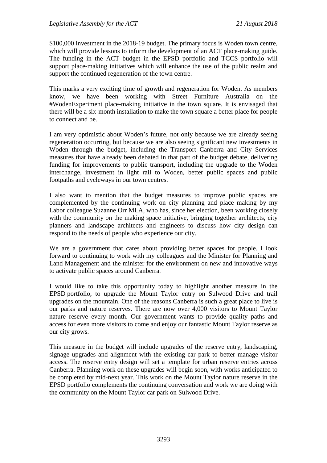\$100,000 investment in the 2018-19 budget. The primary focus is Woden town centre, which will provide lessons to inform the development of an ACT place-making guide. The funding in the ACT budget in the EPSD portfolio and TCCS portfolio will support place-making initiatives which will enhance the use of the public realm and support the continued regeneration of the town centre.

This marks a very exciting time of growth and regeneration for Woden. As members know, we have been working with Street Furniture Australia on the #WodenExperiment place-making initiative in the town square. It is envisaged that there will be a six-month installation to make the town square a better place for people to connect and be.

I am very optimistic about Woden's future, not only because we are already seeing regeneration occurring, but because we are also seeing significant new investments in Woden through the budget, including the Transport Canberra and City Services measures that have already been debated in that part of the budget debate, delivering funding for improvements to public transport, including the upgrade to the Woden interchange, investment in light rail to Woden, better public spaces and public footpaths and cycleways in our town centres.

I also want to mention that the budget measures to improve public spaces are complemented by the continuing work on city planning and place making by my Labor colleague Suzanne Orr MLA, who has, since her election, been working closely with the community on the making space initiative, bringing together architects, city planners and landscape architects and engineers to discuss how city design can respond to the needs of people who experience our city.

We are a government that cares about providing better spaces for people. I look forward to continuing to work with my colleagues and the Minister for Planning and Land Management and the minister for the environment on new and innovative ways to activate public spaces around Canberra.

I would like to take this opportunity today to highlight another measure in the EPSD portfolio, to upgrade the Mount Taylor entry on Sulwood Drive and trail upgrades on the mountain. One of the reasons Canberra is such a great place to live is our parks and nature reserves. There are now over 4,000 visitors to Mount Taylor nature reserve every month. Our government wants to provide quality paths and access for even more visitors to come and enjoy our fantastic Mount Taylor reserve as our city grows.

This measure in the budget will include upgrades of the reserve entry, landscaping, signage upgrades and alignment with the existing car park to better manage visitor access. The reserve entry design will set a template for urban reserve entries across Canberra. Planning work on these upgrades will begin soon, with works anticipated to be completed by mid-next year. This work on the Mount Taylor nature reserve in the EPSD portfolio complements the continuing conversation and work we are doing with the community on the Mount Taylor car park on Sulwood Drive.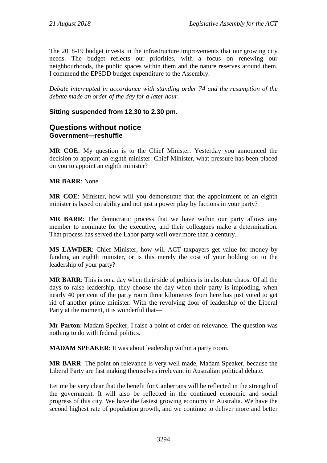The 2018-19 budget invests in the infrastructure improvements that our growing city needs. The budget reflects our priorities, with a focus on renewing our neighbourhoods, the public spaces within them and the nature reserves around them. I commend the EPSDD budget expenditure to the Assembly.

*Debate interrupted in accordance with standing order 74 and the resumption of the debate made an order of the day for a later hour.*

## **Sitting suspended from 12.30 to 2.30 pm.**

## **Questions without notice Government—reshuffle**

**MR COE**: My question is to the Chief Minister. Yesterday you announced the decision to appoint an eighth minister. Chief Minister, what pressure has been placed on you to appoint an eighth minister?

**MR BARR**: None.

**MR COE**: Minister, how will you demonstrate that the appointment of an eighth minister is based on ability and not just a power play by factions in your party?

**MR BARR**: The democratic process that we have within our party allows any member to nominate for the executive, and their colleagues make a determination. That process has served the Labor party well over more than a century.

**MS LAWDER**: Chief Minister, how will ACT taxpayers get value for money by funding an eighth minister, or is this merely the cost of your holding on to the leadership of your party?

**MR BARR**: This is on a day when their side of politics is in absolute chaos. Of all the days to raise leadership, they choose the day when their party is imploding, when nearly 40 per cent of the party room three kilometres from here has just voted to get rid of another prime minister. With the revolving door of leadership of the Liberal Party at the moment, it is wonderful that—

**Mr Parton**: Madam Speaker, I raise a point of order on relevance. The question was nothing to do with federal politics.

**MADAM SPEAKER**: It was about leadership within a party room.

**MR BARR**: The point on relevance is very well made, Madam Speaker, because the Liberal Party are fast making themselves irrelevant in Australian political debate.

Let me be very clear that the benefit for Canberrans will be reflected in the strength of the government. It will also be reflected in the continued economic and social progress of this city. We have the fastest growing economy in Australia. We have the second highest rate of population growth, and we continue to deliver more and better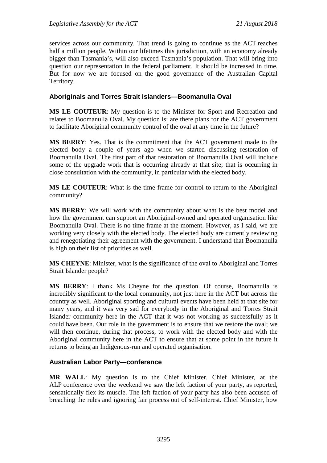services across our community. That trend is going to continue as the ACT reaches half a million people. Within our lifetimes this jurisdiction, with an economy already bigger than Tasmania's, will also exceed Tasmania's population. That will bring into question our representation in the federal parliament. It should be increased in time. But for now we are focused on the good governance of the Australian Capital Territory.

## **Aboriginals and Torres Strait Islanders—Boomanulla Oval**

**MS LE COUTEUR**: My question is to the Minister for Sport and Recreation and relates to Boomanulla Oval. My question is: are there plans for the ACT government to facilitate Aboriginal community control of the oval at any time in the future?

**MS BERRY**: Yes. That is the commitment that the ACT government made to the elected body a couple of years ago when we started discussing restoration of Boomanulla Oval. The first part of that restoration of Boomanulla Oval will include some of the upgrade work that is occurring already at that site; that is occurring in close consultation with the community, in particular with the elected body.

**MS LE COUTEUR**: What is the time frame for control to return to the Aboriginal community?

**MS BERRY**: We will work with the community about what is the best model and how the government can support an Aboriginal-owned and operated organisation like Boomanulla Oval. There is no time frame at the moment. However, as I said, we are working very closely with the elected body. The elected body are currently reviewing and renegotiating their agreement with the government. I understand that Boomanulla is high on their list of priorities as well.

**MS CHEYNE**: Minister, what is the significance of the oval to Aboriginal and Torres Strait Islander people?

**MS BERRY**: I thank Ms Cheyne for the question. Of course, Boomanulla is incredibly significant to the local community, not just here in the ACT but across the country as well. Aboriginal sporting and cultural events have been held at that site for many years, and it was very sad for everybody in the Aboriginal and Torres Strait Islander community here in the ACT that it was not working as successfully as it could have been. Our role in the government is to ensure that we restore the oval; we will then continue, during that process, to work with the elected body and with the Aboriginal community here in the ACT to ensure that at some point in the future it returns to being an Indigenous-run and operated organisation.

### **Australian Labor Party—conference**

**MR WALL**: My question is to the Chief Minister. Chief Minister, at the ALP conference over the weekend we saw the left faction of your party, as reported, sensationally flex its muscle. The left faction of your party has also been accused of breaching the rules and ignoring fair process out of self-interest. Chief Minister, how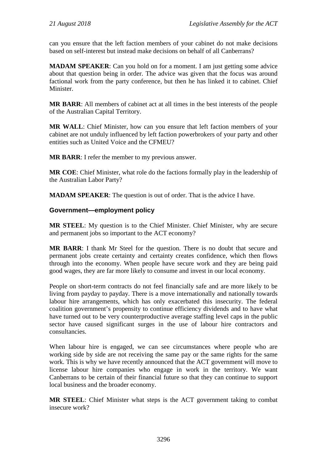can you ensure that the left faction members of your cabinet do not make decisions based on self-interest but instead make decisions on behalf of all Canberrans?

**MADAM SPEAKER:** Can you hold on for a moment. I am just getting some advice about that question being in order. The advice was given that the focus was around factional work from the party conference, but then he has linked it to cabinet. Chief Minister.

**MR BARR**: All members of cabinet act at all times in the best interests of the people of the Australian Capital Territory.

**MR WALL**: Chief Minister, how can you ensure that left faction members of your cabinet are not unduly influenced by left faction powerbrokers of your party and other entities such as United Voice and the CFMEU?

**MR BARR**: I refer the member to my previous answer.

**MR COE**: Chief Minister, what role do the factions formally play in the leadership of the Australian Labor Party?

**MADAM SPEAKER**: The question is out of order. That is the advice I have.

### **Government—employment policy**

**MR STEEL**: My question is to the Chief Minister. Chief Minister, why are secure and permanent jobs so important to the ACT economy?

**MR BARR**: I thank Mr Steel for the question. There is no doubt that secure and permanent jobs create certainty and certainty creates confidence, which then flows through into the economy. When people have secure work and they are being paid good wages, they are far more likely to consume and invest in our local economy.

People on short-term contracts do not feel financially safe and are more likely to be living from payday to payday. There is a move internationally and nationally towards labour hire arrangements, which has only exacerbated this insecurity. The federal coalition government's propensity to continue efficiency dividends and to have what have turned out to be very counterproductive average staffing level caps in the public sector have caused significant surges in the use of labour hire contractors and consultancies.

When labour hire is engaged, we can see circumstances where people who are working side by side are not receiving the same pay or the same rights for the same work. This is why we have recently announced that the ACT government will move to license labour hire companies who engage in work in the territory. We want Canberrans to be certain of their financial future so that they can continue to support local business and the broader economy.

**MR STEEL**: Chief Minister what steps is the ACT government taking to combat insecure work?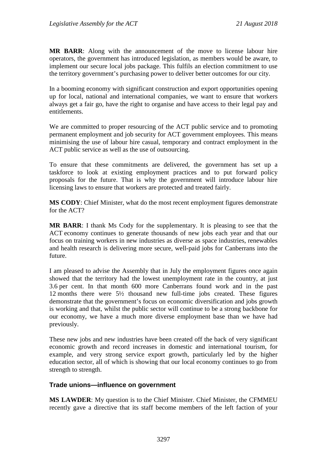**MR BARR**: Along with the announcement of the move to license labour hire operators, the government has introduced legislation, as members would be aware, to implement our secure local jobs package. This fulfils an election commitment to use the territory government's purchasing power to deliver better outcomes for our city.

In a booming economy with significant construction and export opportunities opening up for local, national and international companies, we want to ensure that workers always get a fair go, have the right to organise and have access to their legal pay and entitlements.

We are committed to proper resourcing of the ACT public service and to promoting permanent employment and job security for ACT government employees. This means minimising the use of labour hire casual, temporary and contract employment in the ACT public service as well as the use of outsourcing.

To ensure that these commitments are delivered, the government has set up a taskforce to look at existing employment practices and to put forward policy proposals for the future. That is why the government will introduce labour hire licensing laws to ensure that workers are protected and treated fairly.

**MS CODY**: Chief Minister, what do the most recent employment figures demonstrate for the ACT?

**MR BARR**: I thank Ms Cody for the supplementary. It is pleasing to see that the ACT economy continues to generate thousands of new jobs each year and that our focus on training workers in new industries as diverse as space industries, renewables and health research is delivering more secure, well-paid jobs for Canberrans into the future.

I am pleased to advise the Assembly that in July the employment figures once again showed that the territory had the lowest unemployment rate in the country, at just 3.6 per cent. In that month 600 more Canberrans found work and in the past 12 months there were 5½ thousand new full-time jobs created. These figures demonstrate that the government's focus on economic diversification and jobs growth is working and that, whilst the public sector will continue to be a strong backbone for our economy, we have a much more diverse employment base than we have had previously.

These new jobs and new industries have been created off the back of very significant economic growth and record increases in domestic and international tourism, for example, and very strong service export growth, particularly led by the higher education sector, all of which is showing that our local economy continues to go from strength to strength.

### **Trade unions—influence on government**

**MS LAWDER**: My question is to the Chief Minister. Chief Minister, the CFMMEU recently gave a directive that its staff become members of the left faction of your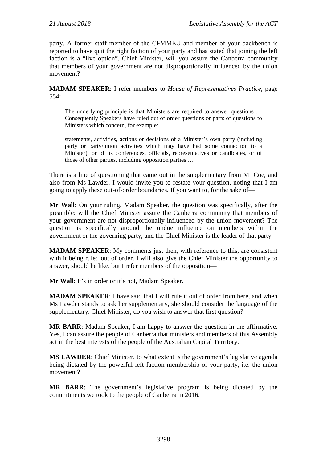party. A former staff member of the CFMMEU and member of your backbench is reported to have quit the right faction of your party and has stated that joining the left faction is a "live option". Chief Minister, will you assure the Canberra community that members of your government are not disproportionally influenced by the union movement?

**MADAM SPEAKER**: I refer members to *House of Representatives Practice*, page 554:

The underlying principle is that Ministers are required to answer questions … Consequently Speakers have ruled out of order questions or parts of questions to Ministers which concern, for example:

statements, activities, actions or decisions of a Minister's own party (including party or party/union activities which may have had some connection to a Minister), or of its conferences, officials, representatives or candidates, or of those of other parties, including opposition parties …

There is a line of questioning that came out in the supplementary from Mr Coe, and also from Ms Lawder. I would invite you to restate your question, noting that I am going to apply these out-of-order boundaries. If you want to, for the sake of—

**Mr Wall**: On your ruling, Madam Speaker, the question was specifically, after the preamble: will the Chief Minister assure the Canberra community that members of your government are not disproportionally influenced by the union movement? The question is specifically around the undue influence on members within the government or the governing party, and the Chief Minister is the leader of that party.

**MADAM SPEAKER**: My comments just then, with reference to this, are consistent with it being ruled out of order. I will also give the Chief Minister the opportunity to answer, should he like, but I refer members of the opposition—

**Mr Wall**: It's in order or it's not, Madam Speaker.

**MADAM SPEAKER**: I have said that I will rule it out of order from here, and when Ms Lawder stands to ask her supplementary, she should consider the language of the supplementary. Chief Minister, do you wish to answer that first question?

**MR BARR**: Madam Speaker, I am happy to answer the question in the affirmative. Yes, I can assure the people of Canberra that ministers and members of this Assembly act in the best interests of the people of the Australian Capital Territory.

**MS LAWDER**: Chief Minister, to what extent is the government's legislative agenda being dictated by the powerful left faction membership of your party, i.e. the union movement?

**MR BARR**: The government's legislative program is being dictated by the commitments we took to the people of Canberra in 2016.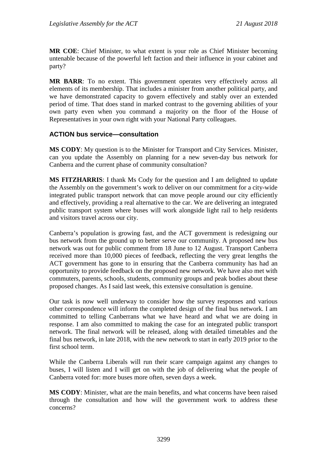**MR COE**: Chief Minister, to what extent is your role as Chief Minister becoming untenable because of the powerful left faction and their influence in your cabinet and party?

**MR BARR**: To no extent. This government operates very effectively across all elements of its membership. That includes a minister from another political party, and we have demonstrated capacity to govern effectively and stably over an extended period of time. That does stand in marked contrast to the governing abilities of your own party even when you command a majority on the floor of the House of Representatives in your own right with your National Party colleagues.

## **ACTION bus service—consultation**

**MS CODY**: My question is to the Minister for Transport and City Services. Minister, can you update the Assembly on planning for a new seven-day bus network for Canberra and the current phase of community consultation?

**MS FITZHARRIS**: I thank Ms Cody for the question and I am delighted to update the Assembly on the government's work to deliver on our commitment for a city-wide integrated public transport network that can move people around our city efficiently and effectively, providing a real alternative to the car. We are delivering an integrated public transport system where buses will work alongside light rail to help residents and visitors travel across our city.

Canberra's population is growing fast, and the ACT government is redesigning our bus network from the ground up to better serve our community. A proposed new bus network was out for public comment from 18 June to 12 August. Transport Canberra received more than 10,000 pieces of feedback, reflecting the very great lengths the ACT government has gone to in ensuring that the Canberra community has had an opportunity to provide feedback on the proposed new network. We have also met with commuters, parents, schools, students, community groups and peak bodies about these proposed changes. As I said last week, this extensive consultation is genuine.

Our task is now well underway to consider how the survey responses and various other correspondence will inform the completed design of the final bus network. I am committed to telling Canberrans what we have heard and what we are doing in response. I am also committed to making the case for an integrated public transport network. The final network will be released, along with detailed timetables and the final bus network, in late 2018, with the new network to start in early 2019 prior to the first school term.

While the Canberra Liberals will run their scare campaign against any changes to buses, I will listen and I will get on with the job of delivering what the people of Canberra voted for: more buses more often, seven days a week.

**MS CODY**: Minister, what are the main benefits, and what concerns have been raised through the consultation and how will the government work to address these concerns?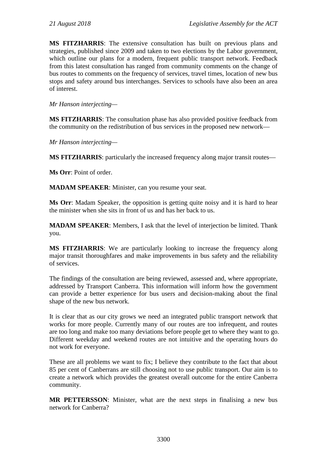**MS FITZHARRIS**: The extensive consultation has built on previous plans and strategies, published since 2009 and taken to two elections by the Labor government, which outline our plans for a modern, frequent public transport network. Feedback from this latest consultation has ranged from community comments on the change of bus routes to comments on the frequency of services, travel times, location of new bus stops and safety around bus interchanges. Services to schools have also been an area of interest.

*Mr Hanson interjecting—*

**MS FITZHARRIS**: The consultation phase has also provided positive feedback from the community on the redistribution of bus services in the proposed new network—

*Mr Hanson interjecting—*

**MS FITZHARRIS**: particularly the increased frequency along major transit routes—

**Ms Orr**: Point of order.

**MADAM SPEAKER**: Minister, can you resume your seat.

**Ms Orr**: Madam Speaker, the opposition is getting quite noisy and it is hard to hear the minister when she sits in front of us and has her back to us.

**MADAM SPEAKER**: Members, I ask that the level of interjection be limited. Thank you.

**MS FITZHARRIS**: We are particularly looking to increase the frequency along major transit thoroughfares and make improvements in bus safety and the reliability of services.

The findings of the consultation are being reviewed, assessed and, where appropriate, addressed by Transport Canberra. This information will inform how the government can provide a better experience for bus users and decision-making about the final shape of the new bus network.

It is clear that as our city grows we need an integrated public transport network that works for more people. Currently many of our routes are too infrequent, and routes are too long and make too many deviations before people get to where they want to go. Different weekday and weekend routes are not intuitive and the operating hours do not work for everyone.

These are all problems we want to fix; I believe they contribute to the fact that about 85 per cent of Canberrans are still choosing not to use public transport. Our aim is to create a network which provides the greatest overall outcome for the entire Canberra community.

**MR PETTERSSON**: Minister, what are the next steps in finalising a new bus network for Canberra?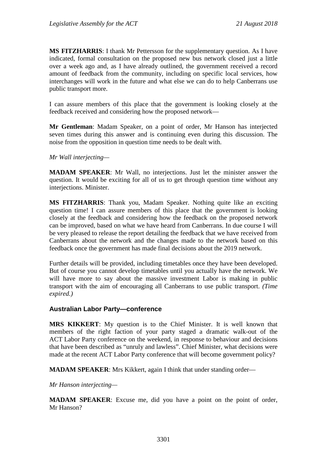**MS FITZHARRIS**: I thank Mr Pettersson for the supplementary question. As I have indicated, formal consultation on the proposed new bus network closed just a little over a week ago and, as I have already outlined, the government received a record amount of feedback from the community, including on specific local services, how interchanges will work in the future and what else we can do to help Canberrans use public transport more.

I can assure members of this place that the government is looking closely at the feedback received and considering how the proposed network—

**Mr Gentleman**: Madam Speaker, on a point of order, Mr Hanson has interjected seven times during this answer and is continuing even during this discussion. The noise from the opposition in question time needs to be dealt with.

*Mr Wall interjecting—*

**MADAM SPEAKER**: Mr Wall, no interjections. Just let the minister answer the question. It would be exciting for all of us to get through question time without any interjections. Minister.

**MS FITZHARRIS**: Thank you, Madam Speaker. Nothing quite like an exciting question time! I can assure members of this place that the government is looking closely at the feedback and considering how the feedback on the proposed network can be improved, based on what we have heard from Canberrans. In due course I will be very pleased to release the report detailing the feedback that we have received from Canberrans about the network and the changes made to the network based on this feedback once the government has made final decisions about the 2019 network.

Further details will be provided, including timetables once they have been developed. But of course you cannot develop timetables until you actually have the network. We will have more to say about the massive investment Labor is making in public transport with the aim of encouraging all Canberrans to use public transport. *(Time expired.)*

#### **Australian Labor Party—conference**

**MRS KIKKERT**: My question is to the Chief Minister. It is well known that members of the right faction of your party staged a dramatic walk-out of the ACT Labor Party conference on the weekend, in response to behaviour and decisions that have been described as "unruly and lawless". Chief Minister, what decisions were made at the recent ACT Labor Party conference that will become government policy?

**MADAM SPEAKER**: Mrs Kikkert, again I think that under standing order—

*Mr Hanson interjecting—*

**MADAM SPEAKER**: Excuse me, did you have a point on the point of order, Mr Hanson?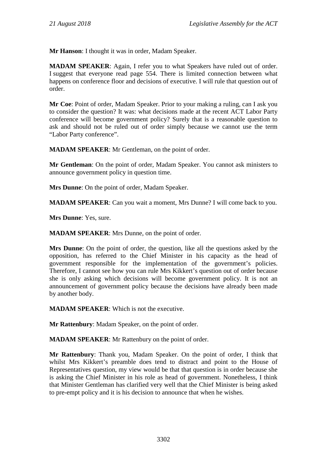**Mr Hanson**: I thought it was in order, Madam Speaker.

**MADAM SPEAKER**: Again, I refer you to what Speakers have ruled out of order. I suggest that everyone read page 554. There is limited connection between what happens on conference floor and decisions of executive. I will rule that question out of order.

**Mr Coe**: Point of order, Madam Speaker. Prior to your making a ruling, can I ask you to consider the question? It was: what decisions made at the recent ACT Labor Party conference will become government policy? Surely that is a reasonable question to ask and should not be ruled out of order simply because we cannot use the term "Labor Party conference".

**MADAM SPEAKER**: Mr Gentleman, on the point of order.

**Mr Gentleman**: On the point of order, Madam Speaker. You cannot ask ministers to announce government policy in question time.

**Mrs Dunne**: On the point of order, Madam Speaker.

**MADAM SPEAKER**: Can you wait a moment, Mrs Dunne? I will come back to you.

**Mrs Dunne**: Yes, sure.

**MADAM SPEAKER**: Mrs Dunne, on the point of order.

**Mrs Dunne**: On the point of order, the question, like all the questions asked by the opposition, has referred to the Chief Minister in his capacity as the head of government responsible for the implementation of the government's policies. Therefore, I cannot see how you can rule Mrs Kikkert's question out of order because she is only asking which decisions will become government policy. It is not an announcement of government policy because the decisions have already been made by another body.

**MADAM SPEAKER**: Which is not the executive.

**Mr Rattenbury**: Madam Speaker, on the point of order.

**MADAM SPEAKER**: Mr Rattenbury on the point of order.

**Mr Rattenbury**: Thank you, Madam Speaker. On the point of order, I think that whilst Mrs Kikkert's preamble does tend to distract and point to the House of Representatives question, my view would be that that question is in order because she is asking the Chief Minister in his role as head of government. Nonetheless, I think that Minister Gentleman has clarified very well that the Chief Minister is being asked to pre-empt policy and it is his decision to announce that when he wishes.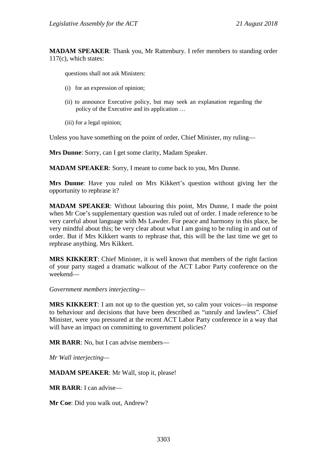**MADAM SPEAKER**: Thank you, Mr Rattenbury. I refer members to standing order 117(c), which states:

questions shall not ask Ministers:

- (i) for an expression of opinion;
- (ii) to announce Executive policy, but may seek an explanation regarding the policy of the Executive and its application …
- (iii) for a legal opinion;

Unless you have something on the point of order, Chief Minister, my ruling—

**Mrs Dunne**: Sorry, can I get some clarity, Madam Speaker.

**MADAM SPEAKER**: Sorry, I meant to come back to you, Mrs Dunne.

**Mrs Dunne**: Have you ruled on Mrs Kikkert's question without giving her the opportunity to rephrase it?

**MADAM SPEAKER**: Without labouring this point, Mrs Dunne, I made the point when Mr Coe's supplementary question was ruled out of order. I made reference to be very careful about language with Ms Lawder. For peace and harmony in this place, be very mindful about this; be very clear about what I am going to be ruling in and out of order. But if Mrs Kikkert wants to rephrase that, this will be the last time we get to rephrase anything. Mrs Kikkert.

**MRS KIKKERT**: Chief Minister, it is well known that members of the right faction of your party staged a dramatic walkout of the ACT Labor Party conference on the weekend—

*Government members interjecting—*

**MRS KIKKERT**: I am not up to the question yet, so calm your voices—in response to behaviour and decisions that have been described as "unruly and lawless". Chief Minister, were you pressured at the recent ACT Labor Party conference in a way that will have an impact on committing to government policies?

**MR BARR**: No, but I can advise members—

*Mr Wall interjecting—*

**MADAM SPEAKER**: Mr Wall, stop it, please!

**MR BARR**: I can advise—

**Mr Coe**: Did you walk out, Andrew?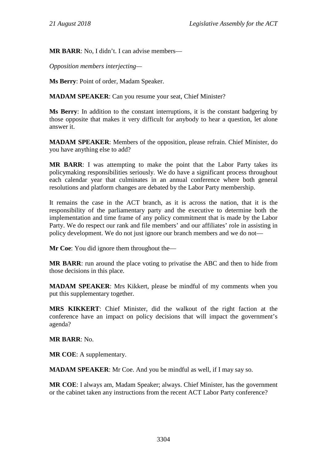**MR BARR**: No, I didn't. I can advise members—

*Opposition members interjecting—*

**Ms Berry**: Point of order, Madam Speaker.

**MADAM SPEAKER**: Can you resume your seat, Chief Minister?

**Ms Berry**: In addition to the constant interruptions, it is the constant badgering by those opposite that makes it very difficult for anybody to hear a question, let alone answer it.

**MADAM SPEAKER**: Members of the opposition, please refrain. Chief Minister, do you have anything else to add?

**MR BARR**: I was attempting to make the point that the Labor Party takes its policymaking responsibilities seriously. We do have a significant process throughout each calendar year that culminates in an annual conference where both general resolutions and platform changes are debated by the Labor Party membership.

It remains the case in the ACT branch, as it is across the nation, that it is the responsibility of the parliamentary party and the executive to determine both the implementation and time frame of any policy commitment that is made by the Labor Party. We do respect our rank and file members' and our affiliates' role in assisting in policy development. We do not just ignore our branch members and we do not—

**Mr Coe**: You did ignore them throughout the—

**MR BARR**: run around the place voting to privatise the ABC and then to hide from those decisions in this place.

**MADAM SPEAKER**: Mrs Kikkert, please be mindful of my comments when you put this supplementary together.

**MRS KIKKERT**: Chief Minister, did the walkout of the right faction at the conference have an impact on policy decisions that will impact the government's agenda?

**MR BARR**: No.

**MR COE**: A supplementary.

**MADAM SPEAKER**: Mr Coe. And you be mindful as well, if I may say so.

**MR COE**: I always am, Madam Speaker; always. Chief Minister, has the government or the cabinet taken any instructions from the recent ACT Labor Party conference?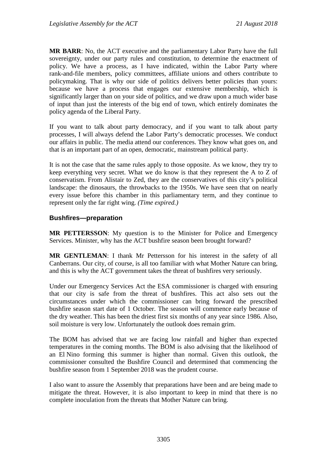**MR BARR**: No, the ACT executive and the parliamentary Labor Party have the full sovereignty, under our party rules and constitution, to determine the enactment of policy. We have a process, as I have indicated, within the Labor Party where rank-and-file members, policy committees, affiliate unions and others contribute to policymaking. That is why our side of politics delivers better policies than yours: because we have a process that engages our extensive membership, which is significantly larger than on your side of politics, and we draw upon a much wider base of input than just the interests of the big end of town, which entirely dominates the policy agenda of the Liberal Party.

If you want to talk about party democracy, and if you want to talk about party processes, I will always defend the Labor Party's democratic processes. We conduct our affairs in public. The media attend our conferences. They know what goes on, and that is an important part of an open, democratic, mainstream political party.

It is not the case that the same rules apply to those opposite. As we know, they try to keep everything very secret. What we do know is that they represent the A to Z of conservatism. From Alistair to Zed, they are the conservatives of this city's political landscape: the dinosaurs, the throwbacks to the 1950s. We have seen that on nearly every issue before this chamber in this parliamentary term, and they continue to represent only the far right wing. *(Time expired.)*

## **Bushfires—preparation**

**MR PETTERSSON**: My question is to the Minister for Police and Emergency Services. Minister, why has the ACT bushfire season been brought forward?

**MR GENTLEMAN**: I thank Mr Pettersson for his interest in the safety of all Canberrans. Our city, of course, is all too familiar with what Mother Nature can bring, and this is why the ACT government takes the threat of bushfires very seriously.

Under our Emergency Services Act the ESA commissioner is charged with ensuring that our city is safe from the threat of bushfires. This act also sets out the circumstances under which the commissioner can bring forward the prescribed bushfire season start date of 1 October. The season will commence early because of the dry weather. This has been the driest first six months of any year since 1986. Also, soil moisture is very low. Unfortunately the outlook does remain grim.

The BOM has advised that we are facing low rainfall and higher than expected temperatures in the coming months. The BOM is also advising that the likelihood of an El Nino forming this summer is higher than normal. Given this outlook, the commissioner consulted the Bushfire Council and determined that commencing the bushfire season from 1 September 2018 was the prudent course.

I also want to assure the Assembly that preparations have been and are being made to mitigate the threat. However, it is also important to keep in mind that there is no complete inoculation from the threats that Mother Nature can bring.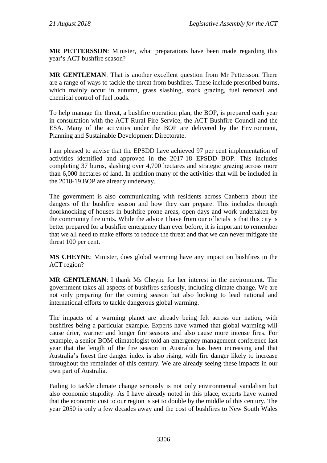**MR PETTERSSON**: Minister, what preparations have been made regarding this year's ACT bushfire season?

**MR GENTLEMAN**: That is another excellent question from Mr Pettersson. There are a range of ways to tackle the threat from bushfires. These include prescribed burns, which mainly occur in autumn, grass slashing, stock grazing, fuel removal and chemical control of fuel loads.

To help manage the threat, a bushfire operation plan, the BOP, is prepared each year in consultation with the ACT Rural Fire Service, the ACT Bushfire Council and the ESA. Many of the activities under the BOP are delivered by the Environment, Planning and Sustainable Development Directorate.

I am pleased to advise that the EPSDD have achieved 97 per cent implementation of activities identified and approved in the 2017-18 EPSDD BOP. This includes completing 37 burns, slashing over 4,700 hectares and strategic grazing across more than 6,000 hectares of land. In addition many of the activities that will be included in the 2018-19 BOP are already underway.

The government is also communicating with residents across Canberra about the dangers of the bushfire season and how they can prepare. This includes through doorknocking of houses in bushfire-prone areas, open days and work undertaken by the community fire units. While the advice I have from our officials is that this city is better prepared for a bushfire emergency than ever before, it is important to remember that we all need to make efforts to reduce the threat and that we can never mitigate the threat 100 per cent.

**MS CHEYNE**: Minister, does global warming have any impact on bushfires in the ACT region?

**MR GENTLEMAN**: I thank Ms Cheyne for her interest in the environment. The government takes all aspects of bushfires seriously, including climate change. We are not only preparing for the coming season but also looking to lead national and international efforts to tackle dangerous global warming.

The impacts of a warming planet are already being felt across our nation, with bushfires being a particular example. Experts have warned that global warming will cause drier, warmer and longer fire seasons and also cause more intense fires. For example, a senior BOM climatologist told an emergency management conference last year that the length of the fire season in Australia has been increasing and that Australia's forest fire danger index is also rising, with fire danger likely to increase throughout the remainder of this century. We are already seeing these impacts in our own part of Australia.

Failing to tackle climate change seriously is not only environmental vandalism but also economic stupidity. As I have already noted in this place, experts have warned that the economic cost to our region is set to double by the middle of this century. The year 2050 is only a few decades away and the cost of bushfires to New South Wales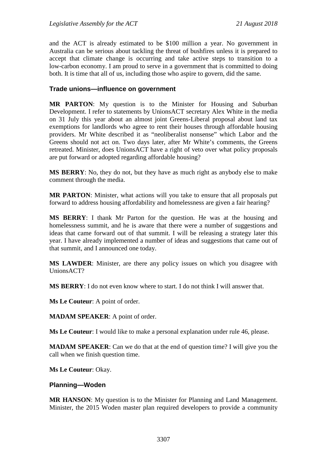and the ACT is already estimated to be \$100 million a year. No government in Australia can be serious about tackling the threat of bushfires unless it is prepared to accept that climate change is occurring and take active steps to transition to a low-carbon economy. I am proud to serve in a government that is committed to doing both. It is time that all of us, including those who aspire to govern, did the same.

#### **Trade unions—influence on government**

**MR PARTON**: My question is to the Minister for Housing and Suburban Development. I refer to statements by UnionsACT secretary Alex White in the media on 31 July this year about an almost joint Greens-Liberal proposal about land tax exemptions for landlords who agree to rent their houses through affordable housing providers. Mr White described it as "neoliberalist nonsense" which Labor and the Greens should not act on. Two days later, after Mr White's comments, the Greens retreated. Minister, does UnionsACT have a right of veto over what policy proposals are put forward or adopted regarding affordable housing?

**MS BERRY**: No, they do not, but they have as much right as anybody else to make comment through the media.

**MR PARTON**: Minister, what actions will you take to ensure that all proposals put forward to address housing affordability and homelessness are given a fair hearing?

**MS BERRY**: I thank Mr Parton for the question. He was at the housing and homelessness summit, and he is aware that there were a number of suggestions and ideas that came forward out of that summit. I will be releasing a strategy later this year. I have already implemented a number of ideas and suggestions that came out of that summit, and I announced one today.

**MS LAWDER**: Minister, are there any policy issues on which you disagree with UnionsACT?

**MS BERRY**: I do not even know where to start. I do not think I will answer that.

**Ms Le Couteur**: A point of order.

**MADAM SPEAKER**: A point of order.

**Ms Le Couteur**: I would like to make a personal explanation under rule 46, please.

**MADAM SPEAKER**: Can we do that at the end of question time? I will give you the call when we finish question time.

**Ms Le Couteur**: Okay.

#### **Planning—Woden**

**MR HANSON**: My question is to the Minister for Planning and Land Management. Minister, the 2015 Woden master plan required developers to provide a community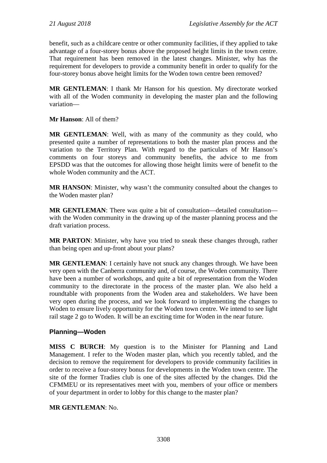benefit, such as a childcare centre or other community facilities, if they applied to take advantage of a four-storey bonus above the proposed height limits in the town centre. That requirement has been removed in the latest changes. Minister, why has the requirement for developers to provide a community benefit in order to qualify for the four-storey bonus above height limits for the Woden town centre been removed?

**MR GENTLEMAN**: I thank Mr Hanson for his question. My directorate worked with all of the Woden community in developing the master plan and the following variation—

**Mr Hanson**: All of them?

**MR GENTLEMAN**: Well, with as many of the community as they could, who presented quite a number of representations to both the master plan process and the variation to the Territory Plan. With regard to the particulars of Mr Hanson's comments on four storeys and community benefits, the advice to me from EPSDD was that the outcomes for allowing those height limits were of benefit to the whole Woden community and the ACT.

**MR HANSON**: Minister, why wasn't the community consulted about the changes to the Woden master plan?

**MR GENTLEMAN**: There was quite a bit of consultation—detailed consultation with the Woden community in the drawing up of the master planning process and the draft variation process.

**MR PARTON**: Minister, why have you tried to sneak these changes through, rather than being open and up-front about your plans?

**MR GENTLEMAN**: I certainly have not snuck any changes through. We have been very open with the Canberra community and, of course, the Woden community. There have been a number of workshops, and quite a bit of representation from the Woden community to the directorate in the process of the master plan. We also held a roundtable with proponents from the Woden area and stakeholders. We have been very open during the process, and we look forward to implementing the changes to Woden to ensure lively opportunity for the Woden town centre. We intend to see light rail stage 2 go to Woden. It will be an exciting time for Woden in the near future.

### **Planning—Woden**

**MISS C BURCH**: My question is to the Minister for Planning and Land Management. I refer to the Woden master plan, which you recently tabled, and the decision to remove the requirement for developers to provide community facilities in order to receive a four-storey bonus for developments in the Woden town centre. The site of the former Tradies club is one of the sites affected by the changes. Did the CFMMEU or its representatives meet with you, members of your office or members of your department in order to lobby for this change to the master plan?

### **MR GENTLEMAN**: No.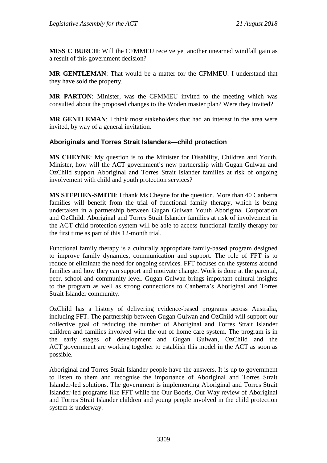**MISS C BURCH**: Will the CFMMEU receive yet another unearned windfall gain as a result of this government decision?

**MR GENTLEMAN**: That would be a matter for the CFMMEU. I understand that they have sold the property.

**MR PARTON**: Minister, was the CFMMEU invited to the meeting which was consulted about the proposed changes to the Woden master plan? Were they invited?

**MR GENTLEMAN**: I think most stakeholders that had an interest in the area were invited, by way of a general invitation.

## **Aboriginals and Torres Strait Islanders—child protection**

**MS CHEYNE**: My question is to the Minister for Disability, Children and Youth. Minister, how will the ACT government's new partnership with Gugan Gulwan and OzChild support Aboriginal and Torres Strait Islander families at risk of ongoing involvement with child and youth protection services?

**MS STEPHEN-SMITH**: I thank Ms Cheyne for the question. More than 40 Canberra families will benefit from the trial of functional family therapy, which is being undertaken in a partnership between Gugan Gulwan Youth Aboriginal Corporation and OzChild. Aboriginal and Torres Strait Islander families at risk of involvement in the ACT child protection system will be able to access functional family therapy for the first time as part of this 12-month trial.

Functional family therapy is a culturally appropriate family-based program designed to improve family dynamics, communication and support. The role of FFT is to reduce or eliminate the need for ongoing services. FFT focuses on the systems around families and how they can support and motivate change. Work is done at the parental, peer, school and community level. Gugan Gulwan brings important cultural insights to the program as well as strong connections to Canberra's Aboriginal and Torres Strait Islander community.

OzChild has a history of delivering evidence-based programs across Australia, including FFT. The partnership between Gugan Gulwan and OzChild will support our collective goal of reducing the number of Aboriginal and Torres Strait Islander children and families involved with the out of home care system. The program is in the early stages of development and Gugan Gulwan, OzChild and the ACT government are working together to establish this model in the ACT as soon as possible.

Aboriginal and Torres Strait Islander people have the answers. It is up to government to listen to them and recognise the importance of Aboriginal and Torres Strait Islander-led solutions. The government is implementing Aboriginal and Torres Strait Islander-led programs like FFT while the Our Booris, Our Way review of Aboriginal and Torres Strait Islander children and young people involved in the child protection system is underway.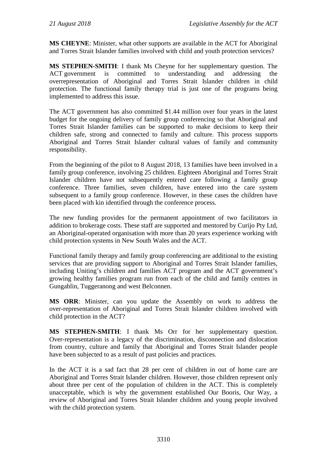**MS CHEYNE**: Minister, what other supports are available in the ACT for Aboriginal and Torres Strait Islander families involved with child and youth protection services?

**MS STEPHEN-SMITH**: I thank Ms Cheyne for her supplementary question. The ACT government is committed to understanding and addressing the overrepresentation of Aboriginal and Torres Strait Islander children in child protection. The functional family therapy trial is just one of the programs being implemented to address this issue.

The ACT government has also committed \$1.44 million over four years in the latest budget for the ongoing delivery of family group conferencing so that Aboriginal and Torres Strait Islander families can be supported to make decisions to keep their children safe, strong and connected to family and culture. This process supports Aboriginal and Torres Strait Islander cultural values of family and community responsibility.

From the beginning of the pilot to 8 August 2018, 13 families have been involved in a family group conference, involving 25 children. Eighteen Aboriginal and Torres Strait Islander children have not subsequently entered care following a family group conference. Three families, seven children, have entered into the care system subsequent to a family group conference. However, in these cases the children have been placed with kin identified through the conference process.

The new funding provides for the permanent appointment of two facilitators in addition to brokerage costs. These staff are supported and mentored by Curijo Pty Ltd, an Aboriginal-operated organisation with more than 20 years experience working with child protection systems in New South Wales and the ACT.

Functional family therapy and family group conferencing are additional to the existing services that are providing support to Aboriginal and Torres Strait Islander families, including Uniting's children and families ACT program and the ACT government's growing healthy families program run from each of the child and family centres in Gungahlin, Tuggeranong and west Belconnen.

**MS ORR**: Minister, can you update the Assembly on work to address the over-representation of Aboriginal and Torres Strait Islander children involved with child protection in the ACT?

**MS STEPHEN-SMITH**: I thank Ms Orr for her supplementary question. Over-representation is a legacy of the discrimination, disconnection and dislocation from country, culture and family that Aboriginal and Torres Strait Islander people have been subjected to as a result of past policies and practices.

In the ACT it is a sad fact that 28 per cent of children in out of home care are Aboriginal and Torres Strait Islander children. However, those children represent only about three per cent of the population of children in the ACT. This is completely unacceptable, which is why the government established Our Booris, Our Way, a review of Aboriginal and Torres Strait Islander children and young people involved with the child protection system.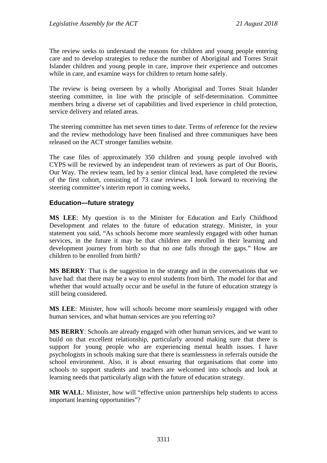The review seeks to understand the reasons for children and young people entering care and to develop strategies to reduce the number of Aboriginal and Torres Strait Islander children and young people in care, improve their experience and outcomes while in care, and examine ways for children to return home safely.

The review is being overseen by a wholly Aboriginal and Torres Strait Islander steering committee, in line with the principle of self-determination. Committee members bring a diverse set of capabilities and lived experience in child protection, service delivery and related areas.

The steering committee has met seven times to date. Terms of reference for the review and the review methodology have been finalised and three communiques have been released on the ACT stronger families website.

The case files of approximately 350 children and young people involved with CYPS will be reviewed by an independent team of reviewers as part of Our Booris, Our Way. The review team, led by a senior clinical lead, have completed the review of the first cohort, consisting of 73 case reviews. I look forward to receiving the steering committee's interim report in coming weeks.

## **Education—future strategy**

**MS LEE**: My question is to the Minister for Education and Early Childhood Development and relates to the future of education strategy. Minister, in your statement you said, "As schools become more seamlessly engaged with other human services, in the future it may be that children are enrolled in their learning and development journey from birth so that no one falls through the gaps." How are children to be enrolled from birth?

**MS BERRY**: That is the suggestion in the strategy and in the conversations that we have had: that there may be a way to enrol students from birth. The model for that and whether that would actually occur and be useful in the future of education strategy is still being considered.

**MS LEE**: Minister, how will schools become more seamlessly engaged with other human services, and what human services are you referring to?

**MS BERRY**: Schools are already engaged with other human services, and we want to build on that excellent relationship, particularly around making sure that there is support for young people who are experiencing mental health issues. I have psychologists in schools making sure that there is seamlessness in referrals outside the school environment. Also, it is about ensuring that organisations that come into schools to support students and teachers are welcomed into schools and look at learning needs that particularly align with the future of education strategy.

**MR WALL**: Minister, how will "effective union partnerships help students to access important learning opportunities"?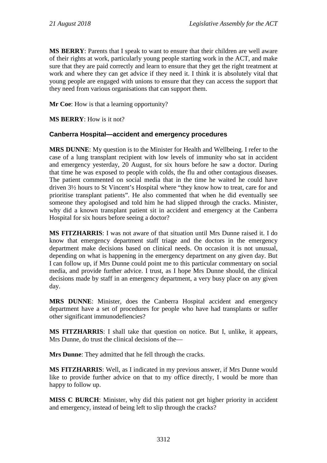**MS BERRY**: Parents that I speak to want to ensure that their children are well aware of their rights at work, particularly young people starting work in the ACT, and make sure that they are paid correctly and learn to ensure that they get the right treatment at work and where they can get advice if they need it. I think it is absolutely vital that young people are engaged with unions to ensure that they can access the support that they need from various organisations that can support them.

**Mr Coe**: How is that a learning opportunity?

**MS BERRY**: How is it not?

#### **Canberra Hospital—accident and emergency procedures**

**MRS DUNNE**: My question is to the Minister for Health and Wellbeing. I refer to the case of a lung transplant recipient with low levels of immunity who sat in accident and emergency yesterday, 20 August, for six hours before he saw a doctor. During that time he was exposed to people with colds, the flu and other contagious diseases. The patient commented on social media that in the time he waited he could have driven 3½ hours to St Vincent's Hospital where "they know how to treat, care for and prioritise transplant patients". He also commented that when he did eventually see someone they apologised and told him he had slipped through the cracks. Minister, why did a known transplant patient sit in accident and emergency at the Canberra Hospital for six hours before seeing a doctor?

**MS FITZHARRIS**: I was not aware of that situation until Mrs Dunne raised it. I do know that emergency department staff triage and the doctors in the emergency department make decisions based on clinical needs. On occasion it is not unusual, depending on what is happening in the emergency department on any given day. But I can follow up, if Mrs Dunne could point me to this particular commentary on social media, and provide further advice. I trust, as I hope Mrs Dunne should, the clinical decisions made by staff in an emergency department, a very busy place on any given day.

**MRS DUNNE**: Minister, does the Canberra Hospital accident and emergency department have a set of procedures for people who have had transplants or suffer other significant immunodefiencies?

**MS FITZHARRIS**: I shall take that question on notice. But I, unlike, it appears, Mrs Dunne, do trust the clinical decisions of the—

**Mrs Dunne**: They admitted that he fell through the cracks.

**MS FITZHARRIS**: Well, as I indicated in my previous answer, if Mrs Dunne would like to provide further advice on that to my office directly, I would be more than happy to follow up.

**MISS C BURCH**: Minister, why did this patient not get higher priority in accident and emergency, instead of being left to slip through the cracks?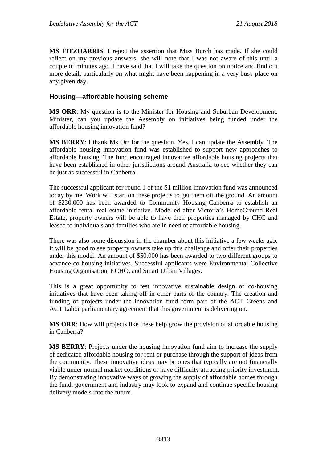**MS FITZHARRIS**: I reject the assertion that Miss Burch has made. If she could reflect on my previous answers, she will note that I was not aware of this until a couple of minutes ago. I have said that I will take the question on notice and find out more detail, particularly on what might have been happening in a very busy place on any given day.

### **Housing—affordable housing scheme**

**MS ORR**: My question is to the Minister for Housing and Suburban Development. Minister, can you update the Assembly on initiatives being funded under the affordable housing innovation fund?

**MS BERRY**: I thank Ms Orr for the question. Yes, I can update the Assembly. The affordable housing innovation fund was established to support new approaches to affordable housing. The fund encouraged innovative affordable housing projects that have been established in other jurisdictions around Australia to see whether they can be just as successful in Canberra.

The successful applicant for round 1 of the \$1 million innovation fund was announced today by me. Work will start on these projects to get them off the ground. An amount of \$230,000 has been awarded to Community Housing Canberra to establish an affordable rental real estate initiative. Modelled after Victoria's HomeGround Real Estate, property owners will be able to have their properties managed by CHC and leased to individuals and families who are in need of affordable housing.

There was also some discussion in the chamber about this initiative a few weeks ago. It will be good to see property owners take up this challenge and offer their properties under this model. An amount of \$50,000 has been awarded to two different groups to advance co-housing initiatives. Successful applicants were Environmental Collective Housing Organisation, ECHO, and Smart Urban Villages.

This is a great opportunity to test innovative sustainable design of co-housing initiatives that have been taking off in other parts of the country. The creation and funding of projects under the innovation fund form part of the ACT Greens and ACT Labor parliamentary agreement that this government is delivering on.

**MS ORR**: How will projects like these help grow the provision of affordable housing in Canberra?

**MS BERRY**: Projects under the housing innovation fund aim to increase the supply of dedicated affordable housing for rent or purchase through the support of ideas from the community. These innovative ideas may be ones that typically are not financially viable under normal market conditions or have difficulty attracting priority investment. By demonstrating innovative ways of growing the supply of affordable homes through the fund, government and industry may look to expand and continue specific housing delivery models into the future.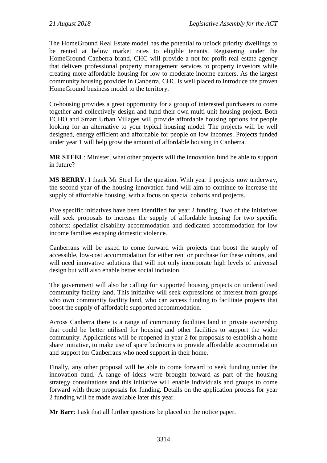The HomeGround Real Estate model has the potential to unlock priority dwellings to be rented at below market rates to eligible tenants. Registering under the HomeGround Canberra brand, CHC will provide a not-for-profit real estate agency that delivers professional property management services to property investors while creating more affordable housing for low to moderate income earners. As the largest community housing provider in Canberra, CHC is well placed to introduce the proven HomeGround business model to the territory.

Co-housing provides a great opportunity for a group of interested purchasers to come together and collectively design and fund their own multi-unit housing project. Both ECHO and Smart Urban Villages will provide affordable housing options for people looking for an alternative to your typical housing model. The projects will be well designed, energy efficient and affordable for people on low incomes. Projects funded under year 1 will help grow the amount of affordable housing in Canberra.

**MR STEEL**: Minister, what other projects will the innovation fund be able to support in future?

**MS BERRY**: I thank Mr Steel for the question. With year 1 projects now underway, the second year of the housing innovation fund will aim to continue to increase the supply of affordable housing, with a focus on special cohorts and projects.

Five specific initiatives have been identified for year 2 funding. Two of the initiatives will seek proposals to increase the supply of affordable housing for two specific cohorts: specialist disability accommodation and dedicated accommodation for low income families escaping domestic violence.

Canberrans will be asked to come forward with projects that boost the supply of accessible, low-cost accommodation for either rent or purchase for these cohorts, and will need innovative solutions that will not only incorporate high levels of universal design but will also enable better social inclusion.

The government will also be calling for supported housing projects on underutilised community facility land. This initiative will seek expressions of interest from groups who own community facility land, who can access funding to facilitate projects that boost the supply of affordable supported accommodation.

Across Canberra there is a range of community facilities land in private ownership that could be better utilised for housing and other facilities to support the wider community. Applications will be reopened in year 2 for proposals to establish a home share initiative, to make use of spare bedrooms to provide affordable accommodation and support for Canberrans who need support in their home.

Finally, any other proposal will be able to come forward to seek funding under the innovation fund. A range of ideas were brought forward as part of the housing strategy consultations and this initiative will enable individuals and groups to come forward with those proposals for funding. Details on the application process for year 2 funding will be made available later this year.

**Mr Barr**: I ask that all further questions be placed on the notice paper.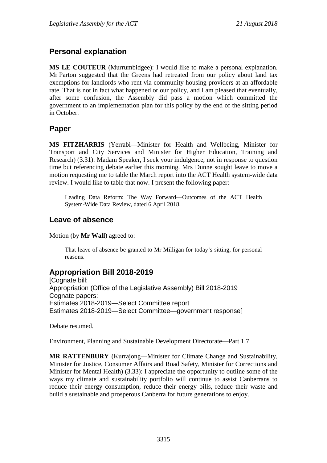## **Personal explanation**

**MS LE COUTEUR** (Murrumbidgee): I would like to make a personal explanation. Mr Parton suggested that the Greens had retreated from our policy about land tax exemptions for landlords who rent via community housing providers at an affordable rate. That is not in fact what happened or our policy, and I am pleased that eventually, after some confusion, the Assembly did pass a motion which committed the government to an implementation plan for this policy by the end of the sitting period in October.

## **Paper**

**MS FITZHARRIS** (Yerrabi—Minister for Health and Wellbeing, Minister for Transport and City Services and Minister for Higher Education, Training and Research) (3.31): Madam Speaker, I seek your indulgence, not in response to question time but referencing debate earlier this morning. Mrs Dunne sought leave to move a motion requesting me to table the March report into the ACT Health system-wide data review. I would like to table that now. I present the following paper:

Leading Data Reform: The Way Forward—Outcomes of the ACT Health System-Wide Data Review, dated 6 April 2018.

# **Leave of absence**

Motion (by **Mr Wall**) agreed to:

That leave of absence be granted to Mr Milligan for today's sitting, for personal reasons.

# **Appropriation Bill 2018-2019**

[Cognate bill: Appropriation (Office of the Legislative Assembly) Bill 2018-2019 Cognate papers: Estimates 2018-2019—Select Committee report Estimates 2018-2019—Select Committee—government response]

Debate resumed.

Environment, Planning and Sustainable Development Directorate—Part 1.7

**MR RATTENBURY** (Kurrajong—Minister for Climate Change and Sustainability, Minister for Justice, Consumer Affairs and Road Safety, Minister for Corrections and Minister for Mental Health) (3.33): I appreciate the opportunity to outline some of the ways my climate and sustainability portfolio will continue to assist Canberrans to reduce their energy consumption, reduce their energy bills, reduce their waste and build a sustainable and prosperous Canberra for future generations to enjoy.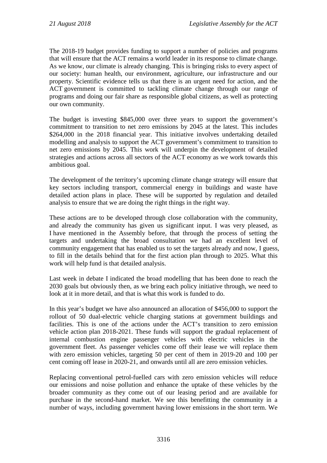The 2018-19 budget provides funding to support a number of policies and programs that will ensure that the ACT remains a world leader in its response to climate change. As we know, our climate is already changing. This is bringing risks to every aspect of our society: human health, our environment, agriculture, our infrastructure and our property. Scientific evidence tells us that there is an urgent need for action, and the ACT government is committed to tackling climate change through our range of programs and doing our fair share as responsible global citizens, as well as protecting our own community.

The budget is investing \$845,000 over three years to support the government's commitment to transition to net zero emissions by 2045 at the latest. This includes \$264,000 in the 2018 financial year. This initiative involves undertaking detailed modelling and analysis to support the ACT government's commitment to transition to net zero emissions by 2045. This work will underpin the development of detailed strategies and actions across all sectors of the ACT economy as we work towards this ambitious goal.

The development of the territory's upcoming climate change strategy will ensure that key sectors including transport, commercial energy in buildings and waste have detailed action plans in place. These will be supported by regulation and detailed analysis to ensure that we are doing the right things in the right way.

These actions are to be developed through close collaboration with the community, and already the community has given us significant input. I was very pleased, as I have mentioned in the Assembly before, that through the process of setting the targets and undertaking the broad consultation we had an excellent level of community engagement that has enabled us to set the targets already and now, I guess, to fill in the details behind that for the first action plan through to 2025. What this work will help fund is that detailed analysis.

Last week in debate I indicated the broad modelling that has been done to reach the 2030 goals but obviously then, as we bring each policy initiative through, we need to look at it in more detail, and that is what this work is funded to do.

In this year's budget we have also announced an allocation of \$456,000 to support the rollout of 50 dual-electric vehicle charging stations at government buildings and facilities. This is one of the actions under the ACT's transition to zero emission vehicle action plan 2018-2021. These funds will support the gradual replacement of internal combustion engine passenger vehicles with electric vehicles in the government fleet. As passenger vehicles come off their lease we will replace them with zero emission vehicles, targeting 50 per cent of them in 2019-20 and 100 per cent coming off lease in 2020-21, and onwards until all are zero emission vehicles.

Replacing conventional petrol-fuelled cars with zero emission vehicles will reduce our emissions and noise pollution and enhance the uptake of these vehicles by the broader community as they come out of our leasing period and are available for purchase in the second-hand market. We see this benefitting the community in a number of ways, including government having lower emissions in the short term. We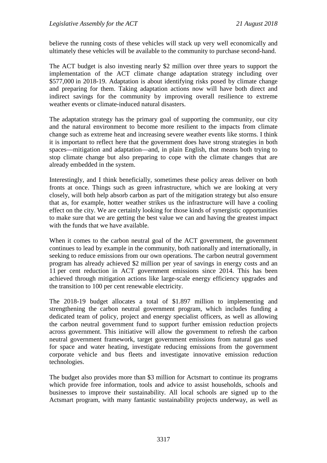believe the running costs of these vehicles will stack up very well economically and ultimately these vehicles will be available to the community to purchase second-hand.

The ACT budget is also investing nearly \$2 million over three years to support the implementation of the ACT climate change adaptation strategy including over \$577,000 in 2018-19. Adaptation is about identifying risks posed by climate change and preparing for them. Taking adaptation actions now will have both direct and indirect savings for the community by improving overall resilience to extreme weather events or climate-induced natural disasters.

The adaptation strategy has the primary goal of supporting the community, our city and the natural environment to become more resilient to the impacts from climate change such as extreme heat and increasing severe weather events like storms. I think it is important to reflect here that the government does have strong strategies in both spaces—mitigation and adaptation—and, in plain English, that means both trying to stop climate change but also preparing to cope with the climate changes that are already embedded in the system.

Interestingly, and I think beneficially, sometimes these policy areas deliver on both fronts at once. Things such as green infrastructure, which we are looking at very closely, will both help absorb carbon as part of the mitigation strategy but also ensure that as, for example, hotter weather strikes us the infrastructure will have a cooling effect on the city. We are certainly looking for those kinds of synergistic opportunities to make sure that we are getting the best value we can and having the greatest impact with the funds that we have available.

When it comes to the carbon neutral goal of the ACT government, the government continues to lead by example in the community, both nationally and internationally, in seeking to reduce emissions from our own operations. The carbon neutral government program has already achieved \$2 million per year of savings in energy costs and an 11 per cent reduction in ACT government emissions since 2014. This has been achieved through mitigation actions like large-scale energy efficiency upgrades and the transition to 100 per cent renewable electricity.

The 2018-19 budget allocates a total of \$1.897 million to implementing and strengthening the carbon neutral government program, which includes funding a dedicated team of policy, project and energy specialist officers, as well as allowing the carbon neutral government fund to support further emission reduction projects across government. This initiative will allow the government to refresh the carbon neutral government framework, target government emissions from natural gas used for space and water heating, investigate reducing emissions from the government corporate vehicle and bus fleets and investigate innovative emission reduction technologies.

The budget also provides more than \$3 million for Actsmart to continue its programs which provide free information, tools and advice to assist households, schools and businesses to improve their sustainability. All local schools are signed up to the Actsmart program, with many fantastic sustainability projects underway, as well as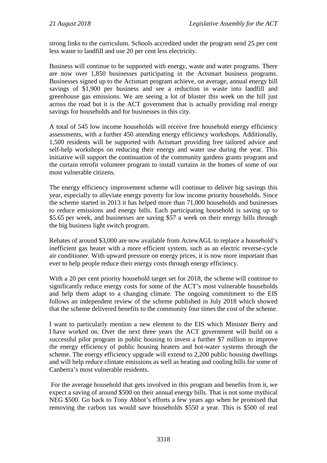strong links to the curriculum. Schools accredited under the program send 25 per cent less waste to landfill and use 20 per cent less electricity.

Business will continue to be supported with energy, waste and water programs. There are now over 1,850 businesses participating in the Actsmart business programs. Businesses signed up to the Actsmart program achieve, on average, annual energy bill savings of \$1,900 per business and see a reduction in waste into landfill and greenhouse gas emissions. We are seeing a lot of bluster this week on the hill just across the road but it is the ACT government that is actually providing real energy savings for households and for businesses in this city.

A total of 545 low income households will receive free household energy efficiency assessments, with a further 450 attending energy efficiency workshops. Additionally, 1,500 residents will be supported with Actsmart providing free tailored advice and self-help workshops on reducing their energy and water use during the year. This initiative will support the continuation of the community gardens grants program and the curtain retrofit volunteer program to install curtains in the homes of some of our most vulnerable citizens.

The energy efficiency improvement scheme will continue to deliver big savings this year, especially to alleviate energy poverty for low income priority households. Since the scheme started in 2013 it has helped more than 71,000 households and businesses to reduce emissions and energy bills. Each participating household is saving up to \$5.65 per week, and businesses are saving \$57 a week on their energy bills through the big business light switch program.

Rebates of around \$3,000 are now available from ActewAGL to replace a household's inefficient gas heater with a more efficient system, such as an electric reverse-cycle air conditioner. With upward pressure on energy prices, it is now more important than ever to help people reduce their energy costs through energy efficiency.

With a 20 per cent priority household target set for 2018, the scheme will continue to significantly reduce energy costs for some of the ACT's most vulnerable households and help them adapt to a changing climate. The ongoing commitment to the EIS follows an independent review of the scheme published in July 2018 which showed that the scheme delivered benefits to the community four times the cost of the scheme.

I want to particularly mention a new element to the EIS which Minister Berry and I have worked on. Over the next three years the ACT government will build on a successful pilot program in public housing to invest a further \$7 million to improve the energy efficiency of public housing heaters and hot-water systems through the scheme. The energy efficiency upgrade will extend to 2,200 public housing dwellings and will help reduce climate emissions as well as heating and cooling bills for some of Canberra's most vulnerable residents.

For the average household that gets involved in this program and benefits from it, we expect a saving of around \$500 on their annual energy bills. That is not some mythical NEG \$500. Go back to Tony Abbot's efforts a few years ago when he promised that removing the carbon tax would save households \$550 a year. This is \$500 of real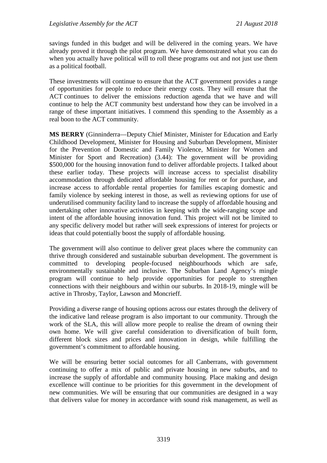savings funded in this budget and will be delivered in the coming years. We have already proved it through the pilot program. We have demonstrated what you can do when you actually have political will to roll these programs out and not just use them as a political football.

These investments will continue to ensure that the ACT government provides a range of opportunities for people to reduce their energy costs. They will ensure that the ACT continues to deliver the emissions reduction agenda that we have and will continue to help the ACT community best understand how they can be involved in a range of these important initiatives. I commend this spending to the Assembly as a real boon to the ACT community.

**MS BERRY** (Ginninderra—Deputy Chief Minister, Minister for Education and Early Childhood Development, Minister for Housing and Suburban Development, Minister for the Prevention of Domestic and Family Violence, Minister for Women and Minister for Sport and Recreation) (3.44): The government will be providing \$500,000 for the housing innovation fund to deliver affordable projects. I talked about these earlier today. These projects will increase access to specialist disability accommodation through dedicated affordable housing for rent or for purchase, and increase access to affordable rental properties for families escaping domestic and family violence by seeking interest in those, as well as reviewing options for use of underutilised community facility land to increase the supply of affordable housing and undertaking other innovative activities in keeping with the wide-ranging scope and intent of the affordable housing innovation fund. This project will not be limited to any specific delivery model but rather will seek expressions of interest for projects or ideas that could potentially boost the supply of affordable housing.

The government will also continue to deliver great places where the community can thrive through considered and sustainable suburban development. The government is committed to developing people-focused neighbourhoods which are safe, environmentally sustainable and inclusive. The Suburban Land Agency's mingle program will continue to help provide opportunities for people to strengthen connections with their neighbours and within our suburbs. In 2018-19, mingle will be active in Throsby, Taylor, Lawson and Moncrieff.

Providing a diverse range of housing options across our estates through the delivery of the indicative land release program is also important to our community. Through the work of the SLA, this will allow more people to realise the dream of owning their own home. We will give careful consideration to diversification of built form, different block sizes and prices and innovation in design, while fulfilling the government's commitment to affordable housing.

We will be ensuring better social outcomes for all Canberrans, with government continuing to offer a mix of public and private housing in new suburbs, and to increase the supply of affordable and community housing. Place making and design excellence will continue to be priorities for this government in the development of new communities. We will be ensuring that our communities are designed in a way that delivers value for money in accordance with sound risk management, as well as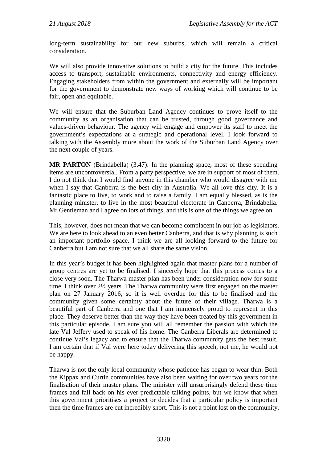long-term sustainability for our new suburbs, which will remain a critical consideration.

We will also provide innovative solutions to build a city for the future. This includes access to transport, sustainable environments, connectivity and energy efficiency. Engaging stakeholders from within the government and externally will be important for the government to demonstrate new ways of working which will continue to be fair, open and equitable.

We will ensure that the Suburban Land Agency continues to prove itself to the community as an organisation that can be trusted, through good governance and values-driven behaviour. The agency will engage and empower its staff to meet the government's expectations at a strategic and operational level. I look forward to talking with the Assembly more about the work of the Suburban Land Agency over the next couple of years.

**MR PARTON** (Brindabella) (3.47): In the planning space, most of these spending items are uncontroversial. From a party perspective, we are in support of most of them. I do not think that I would find anyone in this chamber who would disagree with me when I say that Canberra is the best city in Australia. We all love this city. It is a fantastic place to live, to work and to raise a family. I am equally blessed, as is the planning minister, to live in the most beautiful electorate in Canberra, Brindabella. Mr Gentleman and I agree on lots of things, and this is one of the things we agree on.

This, however, does not mean that we can become complacent in our job as legislators. We are here to look ahead to an even better Canberra, and that is why planning is such an important portfolio space. I think we are all looking forward to the future for Canberra but I am not sure that we all share the same vision.

In this year's budget it has been highlighted again that master plans for a number of group centres are yet to be finalised. I sincerely hope that this process comes to a close very soon. The Tharwa master plan has been under consideration now for some time, I think over 2½ years. The Tharwa community were first engaged on the master plan on 27 January 2016, so it is well overdue for this to be finalised and the community given some certainty about the future of their village. Tharwa is a beautiful part of Canberra and one that I am immensely proud to represent in this place. They deserve better than the way they have been treated by this government in this particular episode. I am sure you will all remember the passion with which the late Val Jeffery used to speak of his home. The Canberra Liberals are determined to continue Val's legacy and to ensure that the Tharwa community gets the best result. I am certain that if Val were here today delivering this speech, not me, he would not be happy.

Tharwa is not the only local community whose patience has begun to wear thin. Both the Kippax and Curtin communities have also been waiting for over two years for the finalisation of their master plans. The minister will unsurprisingly defend these time frames and fall back on his ever-predictable talking points, but we know that when this government prioritises a project or decides that a particular policy is important then the time frames are cut incredibly short. This is not a point lost on the community.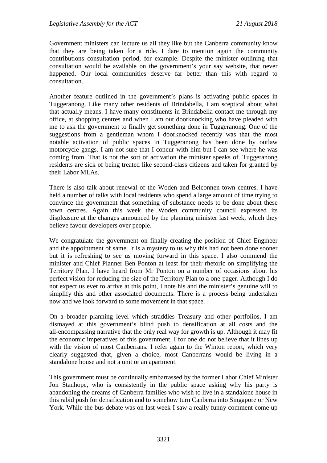Government ministers can lecture us all they like but the Canberra community know that they are being taken for a ride. I dare to mention again the community contributions consultation period, for example. Despite the minister outlining that consultation would be available on the government's your say website, that never happened. Our local communities deserve far better than this with regard to consultation.

Another feature outlined in the government's plans is activating public spaces in Tuggeranong. Like many other residents of Brindabella, I am sceptical about what that actually means. I have many constituents in Brindabella contact me through my office, at shopping centres and when I am out doorknocking who have pleaded with me to ask the government to finally get something done in Tuggeranong. One of the suggestions from a gentleman whom I doorknocked recently was that the most notable activation of public spaces in Tuggeranong has been done by outlaw motorcycle gangs. I am not sure that I concur with him but I can see where he was coming from. That is not the sort of activation the minister speaks of. Tuggeranong residents are sick of being treated like second-class citizens and taken for granted by their Labor MLAs.

There is also talk about renewal of the Woden and Belconnen town centres. I have held a number of talks with local residents who spend a large amount of time trying to convince the government that something of substance needs to be done about these town centres. Again this week the Woden community council expressed its displeasure at the changes announced by the planning minister last week, which they believe favour developers over people.

We congratulate the government on finally creating the position of Chief Engineer and the appointment of same. It is a mystery to us why this had not been done sooner but it is refreshing to see us moving forward in this space. I also commend the minister and Chief Planner Ben Ponton at least for their rhetoric on simplifying the Territory Plan. I have heard from Mr Ponton on a number of occasions about his perfect vision for reducing the size of the Territory Plan to a one-pager. Although I do not expect us ever to arrive at this point, I note his and the minister's genuine will to simplify this and other associated documents. There is a process being undertaken now and we look forward to some movement in that space.

On a broader planning level which straddles Treasury and other portfolios, I am dismayed at this government's blind push to densification at all costs and the all-encompassing narrative that the only real way for growth is up. Although it may fit the economic imperatives of this government, I for one do not believe that it lines up with the vision of most Canberrans. I refer again to the Winton report, which very clearly suggested that, given a choice, most Canberrans would be living in a standalone house and not a unit or an apartment.

This government must be continually embarrassed by the former Labor Chief Minister Jon Stanhope, who is consistently in the public space asking why his party is abandoning the dreams of Canberra families who wish to live in a standalone house in this rabid push for densification and to somehow turn Canberra into Singapore or New York. While the bus debate was on last week I saw a really funny comment come up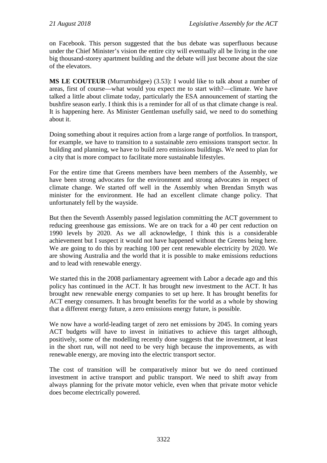on Facebook. This person suggested that the bus debate was superfluous because under the Chief Minister's vision the entire city will eventually all be living in the one big thousand-storey apartment building and the debate will just become about the size of the elevators.

**MS LE COUTEUR** (Murrumbidgee) (3.53): I would like to talk about a number of areas, first of course—what would you expect me to start with?—climate. We have talked a little about climate today, particularly the ESA announcement of starting the bushfire season early. I think this is a reminder for all of us that climate change is real. It is happening here. As Minister Gentleman usefully said, we need to do something about it.

Doing something about it requires action from a large range of portfolios. In transport, for example, we have to transition to a sustainable zero emissions transport sector. In building and planning, we have to build zero emissions buildings. We need to plan for a city that is more compact to facilitate more sustainable lifestyles.

For the entire time that Greens members have been members of the Assembly, we have been strong advocates for the environment and strong advocates in respect of climate change. We started off well in the Assembly when Brendan Smyth was minister for the environment. He had an excellent climate change policy. That unfortunately fell by the wayside.

But then the Seventh Assembly passed legislation committing the ACT government to reducing greenhouse gas emissions. We are on track for a 40 per cent reduction on 1990 levels by 2020. As we all acknowledge, I think this is a considerable achievement but I suspect it would not have happened without the Greens being here. We are going to do this by reaching 100 per cent renewable electricity by 2020. We are showing Australia and the world that it is possible to make emissions reductions and to lead with renewable energy.

We started this in the 2008 parliamentary agreement with Labor a decade ago and this policy has continued in the ACT. It has brought new investment to the ACT. It has brought new renewable energy companies to set up here. It has brought benefits for ACT energy consumers. It has brought benefits for the world as a whole by showing that a different energy future, a zero emissions energy future, is possible.

We now have a world-leading target of zero net emissions by 2045. In coming years ACT budgets will have to invest in initiatives to achieve this target although, positively, some of the modelling recently done suggests that the investment, at least in the short run, will not need to be very high because the improvements, as with renewable energy, are moving into the electric transport sector.

The cost of transition will be comparatively minor but we do need continued investment in active transport and public transport. We need to shift away from always planning for the private motor vehicle, even when that private motor vehicle does become electrically powered.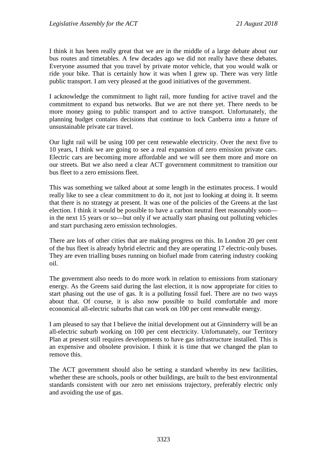I think it has been really great that we are in the middle of a large debate about our bus routes and timetables. A few decades ago we did not really have these debates. Everyone assumed that you travel by private motor vehicle, that you would walk or ride your bike. That is certainly how it was when I grew up. There was very little public transport. I am very pleased at the good initiatives of the government.

I acknowledge the commitment to light rail, more funding for active travel and the commitment to expand bus networks. But we are not there yet. There needs to be more money going to public transport and to active transport. Unfortunately, the planning budget contains decisions that continue to lock Canberra into a future of unsustainable private car travel.

Our light rail will be using 100 per cent renewable electricity. Over the next five to 10 years, I think we are going to see a real expansion of zero emission private cars. Electric cars are becoming more affordable and we will see them more and more on our streets. But we also need a clear ACT government commitment to transition our bus fleet to a zero emissions fleet.

This was something we talked about at some length in the estimates process. I would really like to see a clear commitment to do it, not just to looking at doing it. It seems that there is no strategy at present. It was one of the policies of the Greens at the last election. I think it would be possible to have a carbon neutral fleet reasonably soon in the next 15 years or so—but only if we actually start phasing out polluting vehicles and start purchasing zero emission technologies.

There are lots of other cities that are making progress on this. In London 20 per cent of the bus fleet is already hybrid electric and they are operating 17 electric-only buses. They are even trialling buses running on biofuel made from catering industry cooking oil.

The government also needs to do more work in relation to emissions from stationary energy. As the Greens said during the last election, it is now appropriate for cities to start phasing out the use of gas. It is a polluting fossil fuel. There are no two ways about that. Of course, it is also now possible to build comfortable and more economical all-electric suburbs that can work on 100 per cent renewable energy.

I am pleased to say that I believe the initial development out at Ginninderry will be an all-electric suburb working on 100 per cent electricity. Unfortunately, our Territory Plan at present still requires developments to have gas infrastructure installed. This is an expensive and obsolete provision. I think it is time that we changed the plan to remove this.

The ACT government should also be setting a standard whereby its new facilities, whether these are schools, pools or other buildings, are built to the best environmental standards consistent with our zero net emissions trajectory, preferably electric only and avoiding the use of gas.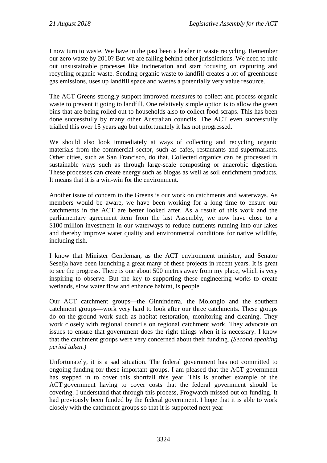I now turn to waste. We have in the past been a leader in waste recycling. Remember our zero waste by 2010? But we are falling behind other jurisdictions. We need to rule out unsustainable processes like incineration and start focusing on capturing and recycling organic waste. Sending organic waste to landfill creates a lot of greenhouse gas emissions, uses up landfill space and wastes a potentially very value resource.

The ACT Greens strongly support improved measures to collect and process organic waste to prevent it going to landfill. One relatively simple option is to allow the green bins that are being rolled out to households also to collect food scraps. This has been done successfully by many other Australian councils. The ACT even successfully trialled this over 15 years ago but unfortunately it has not progressed.

We should also look immediately at ways of collecting and recycling organic materials from the commercial sector, such as cafes, restaurants and supermarkets. Other cities, such as San Francisco, do that. Collected organics can be processed in sustainable ways such as through large-scale composting or anaerobic digestion. These processes can create energy such as biogas as well as soil enrichment products. It means that it is a win-win for the environment.

Another issue of concern to the Greens is our work on catchments and waterways. As members would be aware, we have been working for a long time to ensure our catchments in the ACT are better looked after. As a result of this work and the parliamentary agreement item from the last Assembly, we now have close to a \$100 million investment in our waterways to reduce nutrients running into our lakes and thereby improve water quality and environmental conditions for native wildlife, including fish.

I know that Minister Gentleman, as the ACT environment minister, and Senator Seselja have been launching a great many of these projects in recent years. It is great to see the progress. There is one about 500 metres away from my place, which is very inspiring to observe. But the key to supporting these engineering works to create wetlands, slow water flow and enhance habitat, is people.

Our ACT catchment groups—the Ginninderra, the Molonglo and the southern catchment groups—work very hard to look after our three catchments. These groups do on-the-ground work such as habitat restoration, monitoring and cleaning. They work closely with regional councils on regional catchment work. They advocate on issues to ensure that government does the right things when it is necessary. I know that the catchment groups were very concerned about their funding. *(Second speaking period taken.)* 

Unfortunately, it is a sad situation. The federal government has not committed to ongoing funding for these important groups. I am pleased that the ACT government has stepped in to cover this shortfall this year. This is another example of the ACT government having to cover costs that the federal government should be covering. I understand that through this process, Frogwatch missed out on funding. It had previously been funded by the federal government. I hope that it is able to work closely with the catchment groups so that it is supported next year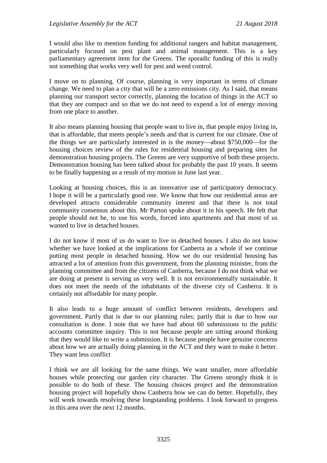I would also like to mention funding for additional rangers and habitat management, particularly focused on pest plant and animal management. This is a key parliamentary agreement item for the Greens. The sporadic funding of this is really not something that works very well for pest and weed control.

I move on to planning. Of course, planning is very important in terms of climate change. We need to plan a city that will be a zero emissions city. As I said, that means planning our transport sector correctly, planning the location of things in the ACT so that they are compact and so that we do not need to expend a lot of energy moving from one place to another.

It also means planning housing that people want to live in, that people enjoy living in, that is affordable, that meets people's needs and that is current for our climate. One of the things we are particularly interested in is the money—about \$750,000—for the housing choices review of the rules for residential housing and preparing sites for demonstration housing projects. The Greens are very supportive of both these projects. Demonstration housing has been talked about for probably the past 10 years. It seems to be finally happening as a result of my motion in June last year.

Looking at housing choices, this is an innovative use of participatory democracy. I hope it will be a particularly good one. We know that how our residential areas are developed attracts considerable community interest and that there is not total community consensus about this. Mr Parton spoke about it in his speech. He felt that people should not be, to use his words, forced into apartments and that most of us wanted to live in detached houses.

I do not know if most of us do want to live in detached houses. I also do not know whether we have looked at the implications for Canberra as a whole if we continue putting most people in detached housing. How we do our residential housing has attracted a lot of attention from this government, from the planning minister, from the planning committee and from the citizens of Canberra, because I do not think what we are doing at present is serving us very well. It is not environmentally sustainable. It does not meet the needs of the inhabitants of the diverse city of Canberra. It is certainly not affordable for many people.

It also leads to a huge amount of conflict between residents, developers and government. Partly that is due to our planning rules; partly that is due to how our consultation is done. I note that we have had about 60 submissions to the public accounts committee inquiry. This is not because people are sitting around thinking that they would like to write a submission. It is because people have genuine concerns about how we are actually doing planning in the ACT and they want to make it better. They want less conflict

I think we are all looking for the same things. We want smaller, more affordable houses while protecting our garden city character. The Greens strongly think it is possible to do both of these. The housing choices project and the demonstration housing project will hopefully show Canberra how we can do better. Hopefully, they will work towards resolving these longstanding problems. I look forward to progress in this area over the next 12 months.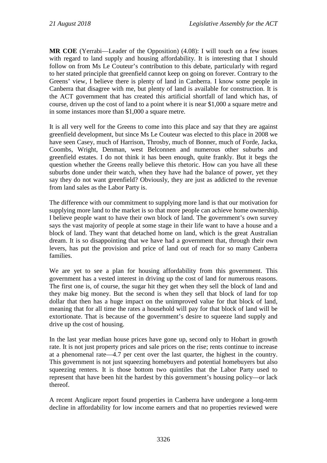**MR COE** (Yerrabi—Leader of the Opposition) (4.08): I will touch on a few issues with regard to land supply and housing affordability. It is interesting that I should follow on from Ms Le Couteur's contribution to this debate, particularly with regard to her stated principle that greenfield cannot keep on going on forever. Contrary to the Greens' view, I believe there is plenty of land in Canberra. I know some people in Canberra that disagree with me, but plenty of land is available for construction. It is the ACT government that has created this artificial shortfall of land which has, of course, driven up the cost of land to a point where it is near \$1,000 a square metre and in some instances more than \$1,000 a square metre.

It is all very well for the Greens to come into this place and say that they are against greenfield development, but since Ms Le Couteur was elected to this place in 2008 we have seen Casey, much of Harrison, Throsby, much of Bonner, much of Forde, Jacka, Coombs, Wright, Denman, west Belconnen and numerous other suburbs and greenfield estates. I do not think it has been enough, quite frankly. But it begs the question whether the Greens really believe this rhetoric. How can you have all these suburbs done under their watch, when they have had the balance of power, yet they say they do not want greenfield? Obviously, they are just as addicted to the revenue from land sales as the Labor Party is.

The difference with our commitment to supplying more land is that our motivation for supplying more land to the market is so that more people can achieve home ownership. I believe people want to have their own block of land. The government's own survey says the vast majority of people at some stage in their life want to have a house and a block of land. They want that detached home on land, which is the great Australian dream. It is so disappointing that we have had a government that, through their own levers, has put the provision and price of land out of reach for so many Canberra families.

We are yet to see a plan for housing affordability from this government. This government has a vested interest in driving up the cost of land for numerous reasons. The first one is, of course, the sugar hit they get when they sell the block of land and they make big money. But the second is when they sell that block of land for top dollar that then has a huge impact on the unimproved value for that block of land, meaning that for all time the rates a household will pay for that block of land will be extortionate. That is because of the government's desire to squeeze land supply and drive up the cost of housing.

In the last year median house prices have gone up, second only to Hobart in growth rate. It is not just property prices and sale prices on the rise; rents continue to increase at a phenomenal rate—4.7 per cent over the last quarter, the highest in the country. This government is not just squeezing homebuyers and potential homebuyers but also squeezing renters. It is those bottom two quintiles that the Labor Party used to represent that have been hit the hardest by this government's housing policy—or lack thereof.

A recent Anglicare report found properties in Canberra have undergone a long-term decline in affordability for low income earners and that no properties reviewed were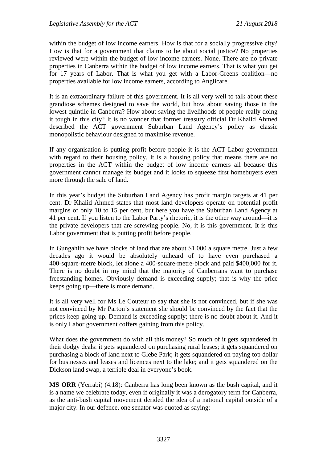within the budget of low income earners. How is that for a socially progressive city? How is that for a government that claims to be about social justice? No properties reviewed were within the budget of low income earners. None. There are no private properties in Canberra within the budget of low income earners. That is what you get for 17 years of Labor. That is what you get with a Labor-Greens coalition—no properties available for low income earners, according to Anglicare.

It is an extraordinary failure of this government. It is all very well to talk about these grandiose schemes designed to save the world, but how about saving those in the lowest quintile in Canberra? How about saving the livelihoods of people really doing it tough in this city? It is no wonder that former treasury official Dr Khalid Ahmed described the ACT government Suburban Land Agency's policy as classic monopolistic behaviour designed to maximise revenue.

If any organisation is putting profit before people it is the ACT Labor government with regard to their housing policy. It is a housing policy that means there are no properties in the ACT within the budget of low income earners all because this government cannot manage its budget and it looks to squeeze first homebuyers even more through the sale of land.

In this year's budget the Suburban Land Agency has profit margin targets at 41 per cent. Dr Khalid Ahmed states that most land developers operate on potential profit margins of only 10 to 15 per cent, but here you have the Suburban Land Agency at 41 per cent. If you listen to the Labor Party's rhetoric, it is the other way around—it is the private developers that are screwing people. No, it is this government. It is this Labor government that is putting profit before people.

In Gungahlin we have blocks of land that are about \$1,000 a square metre. Just a few decades ago it would be absolutely unheard of to have even purchased a 400-square-metre block, let alone a 400-square-metre-block and paid \$400,000 for it. There is no doubt in my mind that the majority of Canberrans want to purchase freestanding homes. Obviously demand is exceeding supply; that is why the price keeps going up—there is more demand.

It is all very well for Ms Le Couteur to say that she is not convinced, but if she was not convinced by Mr Parton's statement she should be convinced by the fact that the prices keep going up. Demand is exceeding supply; there is no doubt about it. And it is only Labor government coffers gaining from this policy.

What does the government do with all this money? So much of it gets squandered in their dodgy deals: it gets squandered on purchasing rural leases; it gets squandered on purchasing a block of land next to Glebe Park; it gets squandered on paying top dollar for businesses and leases and licences next to the lake; and it gets squandered on the Dickson land swap, a terrible deal in everyone's book.

**MS ORR** (Yerrabi) (4.18): Canberra has long been known as the bush capital, and it is a name we celebrate today, even if originally it was a derogatory term for Canberra, as the anti-bush capital movement derided the idea of a national capital outside of a major city. In our defence, one senator was quoted as saying: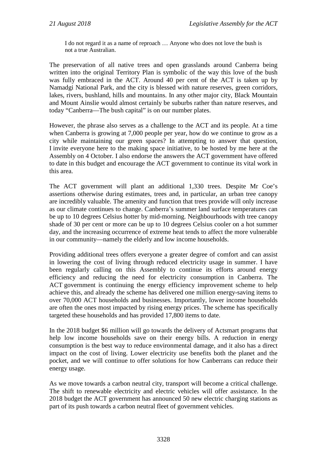I do not regard it as a name of reproach … Anyone who does not love the bush is not a true Australian.

The preservation of all native trees and open grasslands around Canberra being written into the original Territory Plan is symbolic of the way this love of the bush was fully embraced in the ACT. Around 40 per cent of the ACT is taken up by Namadgi National Park, and the city is blessed with nature reserves, green corridors, lakes, rivers, bushland, hills and mountains. In any other major city, Black Mountain and Mount Ainslie would almost certainly be suburbs rather than nature reserves, and today "Canberra—The bush capital" is on our number plates.

However, the phrase also serves as a challenge to the ACT and its people. At a time when Canberra is growing at 7,000 people per year, how do we continue to grow as a city while maintaining our green spaces? In attempting to answer that question, I invite everyone here to the making space initiative, to be hosted by me here at the Assembly on 4 October. I also endorse the answers the ACT government have offered to date in this budget and encourage the ACT government to continue its vital work in this area.

The ACT government will plant an additional 1,330 trees. Despite Mr Coe's assertions otherwise during estimates, trees and, in particular, an urban tree canopy are incredibly valuable. The amenity and function that trees provide will only increase as our climate continues to change. Canberra's summer land surface temperatures can be up to 10 degrees Celsius hotter by mid-morning. Neighbourhoods with tree canopy shade of 30 per cent or more can be up to 10 degrees Celsius cooler on a hot summer day, and the increasing occurrence of extreme heat tends to affect the more vulnerable in our community—namely the elderly and low income households.

Providing additional trees offers everyone a greater degree of comfort and can assist in lowering the cost of living through reduced electricity usage in summer. I have been regularly calling on this Assembly to continue its efforts around energy efficiency and reducing the need for electricity consumption in Canberra. The ACT government is continuing the energy efficiency improvement scheme to help achieve this, and already the scheme has delivered one million energy-saving items to over 70,000 ACT households and businesses. Importantly, lower income households are often the ones most impacted by rising energy prices. The scheme has specifically targeted these households and has provided 17,800 items to date.

In the 2018 budget \$6 million will go towards the delivery of Actsmart programs that help low income households save on their energy bills. A reduction in energy consumption is the best way to reduce environmental damage, and it also has a direct impact on the cost of living. Lower electricity use benefits both the planet and the pocket, and we will continue to offer solutions for how Canberrans can reduce their energy usage.

As we move towards a carbon neutral city, transport will become a critical challenge. The shift to renewable electricity and electric vehicles will offer assistance. In the 2018 budget the ACT government has announced 50 new electric charging stations as part of its push towards a carbon neutral fleet of government vehicles.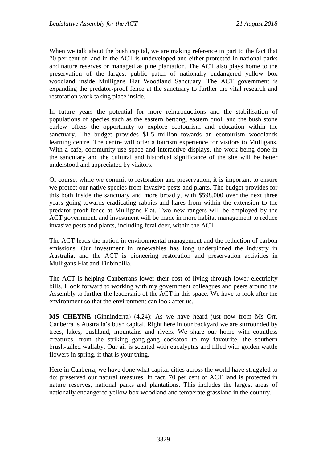When we talk about the bush capital, we are making reference in part to the fact that 70 per cent of land in the ACT is undeveloped and either protected in national parks and nature reserves or managed as pine plantation. The ACT also plays home to the preservation of the largest public patch of nationally endangered yellow box woodland inside Mulligans Flat Woodland Sanctuary. The ACT government is expanding the predator-proof fence at the sanctuary to further the vital research and restoration work taking place inside.

In future years the potential for more reintroductions and the stabilisation of populations of species such as the eastern bettong, eastern quoll and the bush stone curlew offers the opportunity to explore ecotourism and education within the sanctuary. The budget provides \$1.5 million towards an ecotourism woodlands learning centre. The centre will offer a tourism experience for visitors to Mulligans. With a cafe, community-use space and interactive displays, the work being done in the sanctuary and the cultural and historical significance of the site will be better understood and appreciated by visitors.

Of course, while we commit to restoration and preservation, it is important to ensure we protect our native species from invasive pests and plants. The budget provides for this both inside the sanctuary and more broadly, with \$598,000 over the next three years going towards eradicating rabbits and hares from within the extension to the predator-proof fence at Mulligans Flat. Two new rangers will be employed by the ACT government, and investment will be made in more habitat management to reduce invasive pests and plants, including feral deer, within the ACT.

The ACT leads the nation in environmental management and the reduction of carbon emissions. Our investment in renewables has long underpinned the industry in Australia, and the ACT is pioneering restoration and preservation activities in Mulligans Flat and Tidbinbilla.

The ACT is helping Canberrans lower their cost of living through lower electricity bills. I look forward to working with my government colleagues and peers around the Assembly to further the leadership of the ACT in this space. We have to look after the environment so that the environment can look after us.

**MS CHEYNE** (Ginninderra) (4.24): As we have heard just now from Ms Orr, Canberra is Australia's bush capital. Right here in our backyard we are surrounded by trees, lakes, bushland, mountains and rivers. We share our home with countless creatures, from the striking gang-gang cockatoo to my favourite, the southern brush-tailed wallaby. Our air is scented with eucalyptus and filled with golden wattle flowers in spring, if that is your thing.

Here in Canberra, we have done what capital cities across the world have struggled to do: preserved our natural treasures. In fact, 70 per cent of ACT land is protected in nature reserves, national parks and plantations. This includes the largest areas of nationally endangered yellow box woodland and temperate grassland in the country.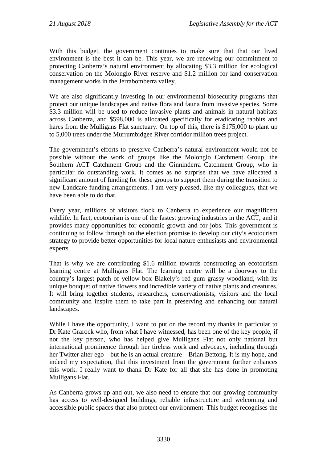With this budget, the government continues to make sure that that our lived environment is the best it can be. This year, we are renewing our commitment to protecting Canberra's natural environment by allocating \$3.3 million for ecological conservation on the Molonglo River reserve and \$1.2 million for land conservation management works in the Jerrabomberra valley.

We are also significantly investing in our environmental biosecurity programs that protect our unique landscapes and native flora and fauna from invasive species. Some \$3.3 million will be used to reduce invasive plants and animals in natural habitats across Canberra, and \$598,000 is allocated specifically for eradicating rabbits and hares from the Mulligans Flat sanctuary. On top of this, there is \$175,000 to plant up to 5,000 trees under the Murrumbidgee River corridor million trees project.

The government's efforts to preserve Canberra's natural environment would not be possible without the work of groups like the Molonglo Catchment Group, the Southern ACT Catchment Group and the Ginninderra Catchment Group, who in particular do outstanding work. It comes as no surprise that we have allocated a significant amount of funding for these groups to support them during the transition to new Landcare funding arrangements. I am very pleased, like my colleagues, that we have been able to do that.

Every year, millions of visitors flock to Canberra to experience our magnificent wildlife. In fact, ecotourism is one of the fastest growing industries in the ACT, and it provides many opportunities for economic growth and for jobs. This government is continuing to follow through on the election promise to develop our city's ecotourism strategy to provide better opportunities for local nature enthusiasts and environmental experts.

That is why we are contributing \$1.6 million towards constructing an ecotourism learning centre at Mulligans Flat. The learning centre will be a doorway to the country's largest patch of yellow box Blakely's red gum grassy woodland, with its unique bouquet of native flowers and incredible variety of native plants and creatures. It will bring together students, researchers, conservationists, visitors and the local community and inspire them to take part in preserving and enhancing our natural landscapes.

While I have the opportunity, I want to put on the record my thanks in particular to Dr Kate Grarock who, from what I have witnessed, has been one of the key people, if not the key person, who has helped give Mulligans Flat not only national but international prominence through her tireless work and advocacy, including through her Twitter alter ego—but he is an actual creature—Brian Bettong. It is my hope, and indeed my expectation, that this investment from the government further enhances this work. I really want to thank Dr Kate for all that she has done in promoting Mulligans Flat.

As Canberra grows up and out, we also need to ensure that our growing community has access to well-designed buildings, reliable infrastructure and welcoming and accessible public spaces that also protect our environment. This budget recognises the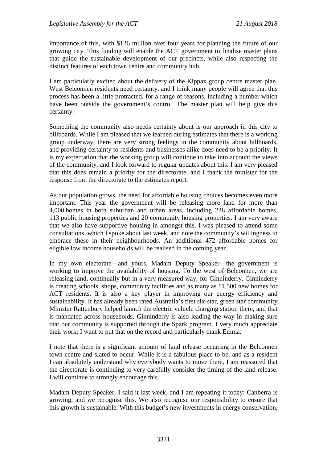importance of this, with \$126 million over four years for planning the future of our growing city. This funding will enable the ACT government to finalise master plans that guide the sustainable development of our precincts, while also respecting the distinct features of each town centre and community hub.

I am particularly excited about the delivery of the Kippax group centre master plan. West Belconnen residents need certainty, and I think many people will agree that this process has been a little protracted, for a range of reasons, including a number which have been outside the government's control. The master plan will help give this certainty.

Something the community also needs certainty about is our approach in this city to billboards. While I am pleased that we learned during estimates that there is a working group underway, there are very strong feelings in the community about billboards, and providing certainty to residents and businesses alike does need to be a priority. It is my expectation that the working group will continue to take into account the views of the community, and I look forward to regular updates about this. I am very pleased that this does remain a priority for the directorate, and I thank the minister for the response from the directorate to the estimates report.

As our population grows, the need for affordable housing choices becomes even more important. This year the government will be releasing more land for more than 4,000 homes in both suburban and urban areas, including 228 affordable homes, 113 public housing properties and 20 community housing properties. I am very aware that we also have supportive housing in amongst this. I was pleased to attend some consultations, which I spoke about last week, and note the community's willingness to embrace these in their neighbourhoods. An additional 472 affordable homes for eligible low income households will be realised in the coming year.

In my own electorate—and yours, Madam Deputy Speaker—the government is working to improve the availability of housing. To the west of Belconnen, we are releasing land, continually but in a very measured way, for Ginninderry. Ginninderry is creating schools, shops, community facilities and as many as 11,500 new homes for ACT residents. It is also a key player in improving our energy efficiency and sustainability. It has already been rated Australia's first six-star, green star community. Minister Rattenbury helped launch the electric vehicle charging station there, and that is mandated across households. Ginninderry is also leading the way in making sure that our community is supported through the Spark program. I very much appreciate their work; I want to put that on the record and particularly thank Emma.

I note that there is a significant amount of land release occurring in the Belconnen town centre and slated to occur. While it is a fabulous place to be, and as a resident I can absolutely understand why everybody wants to move there, I am reassured that the directorate is continuing to very carefully consider the timing of the land release. I will continue to strongly encourage this.

Madam Deputy Speaker, I said it last week, and I am repeating it today: Canberra is growing, and we recognise this. We also recognise our responsibility to ensure that this growth is sustainable. With this budget's new investments in energy conservation,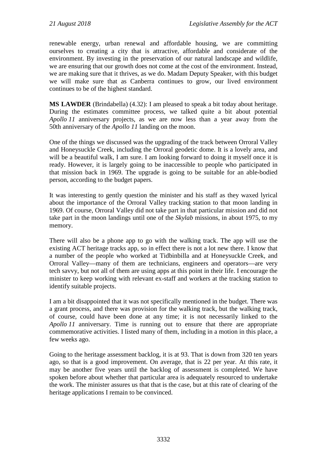renewable energy, urban renewal and affordable housing, we are committing ourselves to creating a city that is attractive, affordable and considerate of the environment. By investing in the preservation of our natural landscape and wildlife, we are ensuring that our growth does not come at the cost of the environment. Instead, we are making sure that it thrives, as we do. Madam Deputy Speaker, with this budget we will make sure that as Canberra continues to grow, our lived environment continues to be of the highest standard.

**MS LAWDER** (Brindabella) (4.32): I am pleased to speak a bit today about heritage. During the estimates committee process, we talked quite a bit about potential *Apollo 11* anniversary projects, as we are now less than a year away from the 50th anniversary of the *Apollo 11* landing on the moon.

One of the things we discussed was the upgrading of the track between Orroral Valley and Honeysuckle Creek, including the Orroral geodetic dome. It is a lovely area, and will be a beautiful walk, I am sure. I am looking forward to doing it myself once it is ready. However, it is largely going to be inaccessible to people who participated in that mission back in 1969. The upgrade is going to be suitable for an able-bodied person, according to the budget papers.

It was interesting to gently question the minister and his staff as they waxed lyrical about the importance of the Orroral Valley tracking station to that moon landing in 1969. Of course, Orroral Valley did not take part in that particular mission and did not take part in the moon landings until one of the *Skylab* missions, in about 1975, to my memory.

There will also be a phone app to go with the walking track. The app will use the existing ACT heritage tracks app, so in effect there is not a lot new there. I know that a number of the people who worked at Tidbinbilla and at Honeysuckle Creek, and Orroral Valley—many of them are technicians, engineers and operators—are very tech savvy, but not all of them are using apps at this point in their life. I encourage the minister to keep working with relevant ex-staff and workers at the tracking station to identify suitable projects.

I am a bit disappointed that it was not specifically mentioned in the budget. There was a grant process, and there was provision for the walking track, but the walking track, of course, could have been done at any time; it is not necessarily linked to the *Apollo 11* anniversary. Time is running out to ensure that there are appropriate commemorative activities. I listed many of them, including in a motion in this place, a few weeks ago.

Going to the heritage assessment backlog, it is at 93. That is down from 320 ten years ago, so that is a good improvement. On average, that is 22 per year. At this rate, it may be another five years until the backlog of assessment is completed. We have spoken before about whether that particular area is adequately resourced to undertake the work. The minister assures us that that is the case, but at this rate of clearing of the heritage applications I remain to be convinced.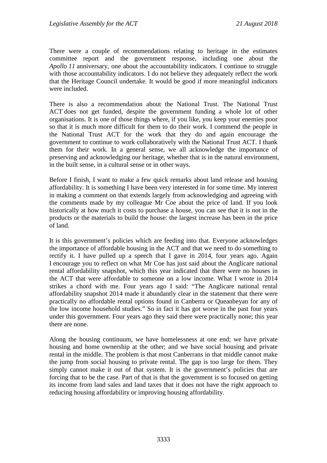There were a couple of recommendations relating to heritage in the estimates committee report and the government response, including one about the *Apollo 11* anniversary, one about the accountability indicators. I continue to struggle with those accountability indicators. I do not believe they adequately reflect the work that the Heritage Council undertake. It would be good if more meaningful indicators were included.

There is also a recommendation about the National Trust. The National Trust ACT does not get funded, despite the government funding a whole lot of other organisations. It is one of those things where, if you like, you keep your enemies poor so that it is much more difficult for them to do their work. I commend the people in the National Trust ACT for the work that they do and again encourage the government to continue to work collaboratively with the National Trust ACT. I thank them for their work. In a general sense, we all acknowledge the importance of preserving and acknowledging our heritage, whether that is in the natural environment, in the built sense, in a cultural sense or in other ways.

Before I finish, I want to make a few quick remarks about land release and housing affordability. It is something I have been very interested in for some time. My interest in making a comment on that extends largely from acknowledging and agreeing with the comments made by my colleague Mr Coe about the price of land. If you look historically at how much it costs to purchase a house, you can see that it is not in the products or the materials to build the house: the largest increase has been in the price of land.

It is this government's policies which are feeding into that. Everyone acknowledges the importance of affordable housing in the ACT and that we need to do something to rectify it. I have pulled up a speech that I gave in 2014, four years ago. Again I encourage you to reflect on what Mr Coe has just said about the Anglicare national rental affordability snapshot, which this year indicated that there were no houses in the ACT that were affordable to someone on a low income. What I wrote in 2014 strikes a chord with me. Four years ago I said: "The Anglicare national rental affordability snapshot 2014 made it abundantly clear in the statement that there were practically no affordable rental options found in Canberra or Queanbeyan for any of the low income household studies." So in fact it has got worse in the past four years under this government. Four years ago they said there were practically none; this year there are none.

Along the housing continuum, we have homelessness at one end; we have private housing and home ownership at the other; and we have social housing and private rental in the middle. The problem is that most Canberrans in that middle cannot make the jump from social housing to private rental. The gap is too large for them. They simply cannot make it out of that system. It is the government's policies that are forcing that to be the case. Part of that is that the government is so focused on getting its income from land sales and land taxes that it does not have the right approach to reducing housing affordability or improving housing affordability.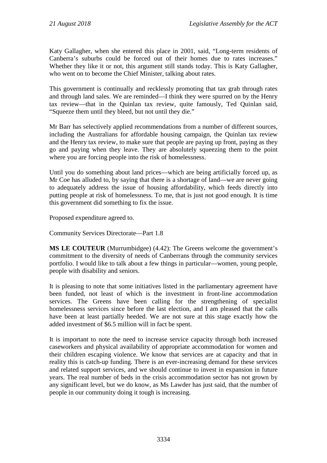Katy Gallagher, when she entered this place in 2001, said, "Long-term residents of Canberra's suburbs could be forced out of their homes due to rates increases." Whether they like it or not, this argument still stands today. This is Katy Gallagher, who went on to become the Chief Minister, talking about rates.

This government is continually and recklessly promoting that tax grab through rates and through land sales. We are reminded—I think they were spurred on by the Henry tax review—that in the Quinlan tax review, quite famously, Ted Quinlan said, "Squeeze them until they bleed, but not until they die."

Mr Barr has selectively applied recommendations from a number of different sources, including the Australians for affordable housing campaign, the Quinlan tax review and the Henry tax review, to make sure that people are paying up front, paying as they go and paying when they leave. They are absolutely squeezing them to the point where you are forcing people into the risk of homelessness.

Until you do something about land prices—which are being artificially forced up, as Mr Coe has alluded to, by saying that there is a shortage of land—we are never going to adequately address the issue of housing affordability, which feeds directly into putting people at risk of homelessness. To me, that is just not good enough. It is time this government did something to fix the issue.

Proposed expenditure agreed to.

Community Services Directorate—Part 1.8

**MS LE COUTEUR** (Murrumbidgee) (4.42): The Greens welcome the government's commitment to the diversity of needs of Canberrans through the community services portfolio. I would like to talk about a few things in particular—women, young people, people with disability and seniors.

It is pleasing to note that some initiatives listed in the parliamentary agreement have been funded, not least of which is the investment in front-line accommodation services. The Greens have been calling for the strengthening of specialist homelessness services since before the last election, and I am pleased that the calls have been at least partially heeded. We are not sure at this stage exactly how the added investment of \$6.5 million will in fact be spent.

It is important to note the need to increase service capacity through both increased caseworkers and physical availability of appropriate accommodation for women and their children escaping violence. We know that services are at capacity and that in reality this is catch-up funding. There is an ever-increasing demand for these services and related support services, and we should continue to invest in expansion in future years. The real number of beds in the crisis accommodation sector has not grown by any significant level, but we do know, as Ms Lawder has just said, that the number of people in our community doing it tough is increasing.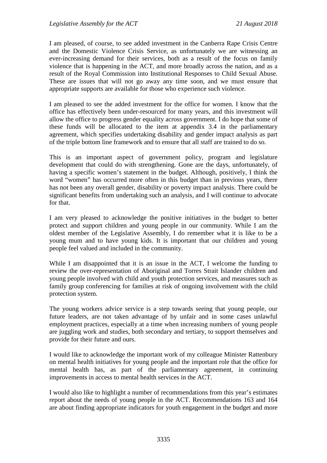I am pleased, of course, to see added investment in the Canberra Rape Crisis Centre and the Domestic Violence Crisis Service, as unfortunately we are witnessing an ever-increasing demand for their services, both as a result of the focus on family violence that is happening in the ACT, and more broadly across the nation, and as a result of the Royal Commission into Institutional Responses to Child Sexual Abuse. These are issues that will not go away any time soon, and we must ensure that appropriate supports are available for those who experience such violence.

I am pleased to see the added investment for the office for women. I know that the office has effectively been under-resourced for many years, and this investment will allow the office to progress gender equality across government. I do hope that some of these funds will be allocated to the item at appendix 3.4 in the parliamentary agreement, which specifies undertaking disability and gender impact analysis as part of the triple bottom line framework and to ensure that all staff are trained to do so.

This is an important aspect of government policy, program and legislature development that could do with strengthening. Gone are the days, unfortunately, of having a specific women's statement in the budget. Although, positively, I think the word "women" has occurred more often in this budget than in previous years, there has not been any overall gender, disability or poverty impact analysis. There could be significant benefits from undertaking such an analysis, and I will continue to advocate for that.

I am very pleased to acknowledge the positive initiatives in the budget to better protect and support children and young people in our community. While I am the oldest member of the Legislative Assembly, I do remember what it is like to be a young mum and to have young kids. It is important that our children and young people feel valued and included in the community.

While I am disappointed that it is an issue in the ACT, I welcome the funding to review the over-representation of Aboriginal and Torres Strait Islander children and young people involved with child and youth protection services, and measures such as family group conferencing for families at risk of ongoing involvement with the child protection system.

The young workers advice service is a step towards seeing that young people, our future leaders, are not taken advantage of by unfair and in some cases unlawful employment practices, especially at a time when increasing numbers of young people are juggling work and studies, both secondary and tertiary, to support themselves and provide for their future and ours.

I would like to acknowledge the important work of my colleague Minister Rattenbury on mental health initiatives for young people and the important role that the office for mental health has, as part of the parliamentary agreement, in continuing improvements in access to mental health services in the ACT.

I would also like to highlight a number of recommendations from this year's estimates report about the needs of young people in the ACT. Recommendations 163 and 164 are about finding appropriate indicators for youth engagement in the budget and more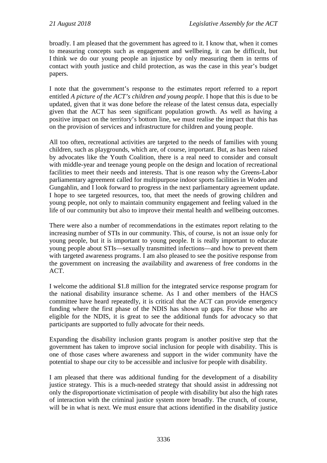broadly. I am pleased that the government has agreed to it. I know that, when it comes to measuring concepts such as engagement and wellbeing, it can be difficult, but I think we do our young people an injustice by only measuring them in terms of contact with youth justice and child protection, as was the case in this year's budget papers.

I note that the government's response to the estimates report referred to a report entitled *A picture of the ACT's children and young people*. I hope that this is due to be updated, given that it was done before the release of the latest census data, especially given that the ACT has seen significant population growth. As well as having a positive impact on the territory's bottom line, we must realise the impact that this has on the provision of services and infrastructure for children and young people.

All too often, recreational activities are targeted to the needs of families with young children, such as playgrounds, which are, of course, important. But, as has been raised by advocates like the Youth Coalition, there is a real need to consider and consult with middle-year and teenage young people on the design and location of recreational facilities to meet their needs and interests. That is one reason why the Greens-Labor parliamentary agreement called for multipurpose indoor sports facilities in Woden and Gungahlin, and I look forward to progress in the next parliamentary agreement update. I hope to see targeted resources, too, that meet the needs of growing children and young people, not only to maintain community engagement and feeling valued in the life of our community but also to improve their mental health and wellbeing outcomes.

There were also a number of recommendations in the estimates report relating to the increasing number of STIs in our community. This, of course, is not an issue only for young people, but it is important to young people. It is really important to educate young people about STIs—sexually transmitted infections—and how to prevent them with targeted awareness programs. I am also pleased to see the positive response from the government on increasing the availability and awareness of free condoms in the ACT.

I welcome the additional \$1.8 million for the integrated service response program for the national disability insurance scheme. As I and other members of the HACS committee have heard repeatedly, it is critical that the ACT can provide emergency funding where the first phase of the NDIS has shown up gaps. For those who are eligible for the NDIS, it is great to see the additional funds for advocacy so that participants are supported to fully advocate for their needs.

Expanding the disability inclusion grants program is another positive step that the government has taken to improve social inclusion for people with disability. This is one of those cases where awareness and support in the wider community have the potential to shape our city to be accessible and inclusive for people with disability.

I am pleased that there was additional funding for the development of a disability justice strategy. This is a much-needed strategy that should assist in addressing not only the disproportionate victimisation of people with disability but also the high rates of interaction with the criminal justice system more broadly. The crunch, of course, will be in what is next. We must ensure that actions identified in the disability justice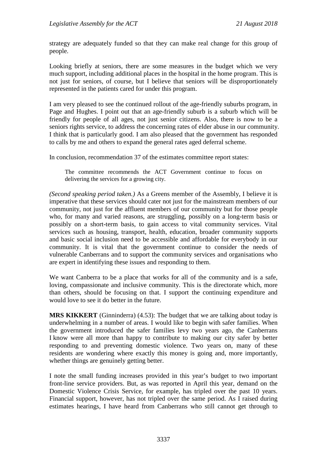strategy are adequately funded so that they can make real change for this group of people.

Looking briefly at seniors, there are some measures in the budget which we very much support, including additional places in the hospital in the home program. This is not just for seniors, of course, but I believe that seniors will be disproportionately represented in the patients cared for under this program.

I am very pleased to see the continued rollout of the age-friendly suburbs program, in Page and Hughes. I point out that an age-friendly suburb is a suburb which will be friendly for people of all ages, not just senior citizens. Also, there is now to be a seniors rights service, to address the concerning rates of elder abuse in our community. I think that is particularly good. I am also pleased that the government has responded to calls by me and others to expand the general rates aged deferral scheme.

In conclusion, recommendation 37 of the estimates committee report states:

The committee recommends the ACT Government continue to focus on delivering the services for a growing city.

*(Second speaking period taken.)* As a Greens member of the Assembly, I believe it is imperative that these services should cater not just for the mainstream members of our community, not just for the affluent members of our community but for those people who, for many and varied reasons, are struggling, possibly on a long-term basis or possibly on a short-term basis, to gain access to vital community services. Vital services such as housing, transport, health, education, broader community supports and basic social inclusion need to be accessible and affordable for everybody in our community. It is vital that the government continue to consider the needs of vulnerable Canberrans and to support the community services and organisations who are expert in identifying these issues and responding to them.

We want Canberra to be a place that works for all of the community and is a safe, loving, compassionate and inclusive community. This is the directorate which, more than others, should be focusing on that. I support the continuing expenditure and would love to see it do better in the future.

**MRS KIKKERT** (Ginninderra) (4.53): The budget that we are talking about today is underwhelming in a number of areas. I would like to begin with safer families. When the government introduced the safer families levy two years ago, the Canberrans I know were all more than happy to contribute to making our city safer by better responding to and preventing domestic violence. Two years on, many of these residents are wondering where exactly this money is going and, more importantly, whether things are genuinely getting better.

I note the small funding increases provided in this year's budget to two important front-line service providers. But, as was reported in April this year, demand on the Domestic Violence Crisis Service, for example, has tripled over the past 10 years. Financial support, however, has not tripled over the same period. As I raised during estimates hearings, I have heard from Canberrans who still cannot get through to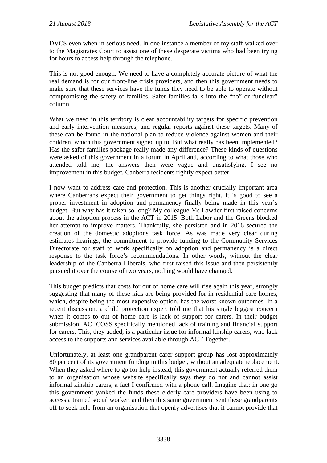DVCS even when in serious need. In one instance a member of my staff walked over to the Magistrates Court to assist one of these desperate victims who had been trying for hours to access help through the telephone.

This is not good enough. We need to have a completely accurate picture of what the real demand is for our front-line crisis providers, and then this government needs to make sure that these services have the funds they need to be able to operate without compromising the safety of families. Safer families falls into the "no" or "unclear" column.

What we need in this territory is clear accountability targets for specific prevention and early intervention measures, and regular reports against these targets. Many of these can be found in the national plan to reduce violence against women and their children, which this government signed up to. But what really has been implemented? Has the safer families package really made any difference? These kinds of questions were asked of this government in a forum in April and, according to what those who attended told me, the answers then were vague and unsatisfying. I see no improvement in this budget. Canberra residents rightly expect better.

I now want to address care and protection. This is another crucially important area where Canberrans expect their government to get things right. It is good to see a proper investment in adoption and permanency finally being made in this year's budget. But why has it taken so long? My colleague Ms Lawder first raised concerns about the adoption process in the ACT in 2015. Both Labor and the Greens blocked her attempt to improve matters. Thankfully, she persisted and in 2016 secured the creation of the domestic adoptions task force. As was made very clear during estimates hearings, the commitment to provide funding to the Community Services Directorate for staff to work specifically on adoption and permanency is a direct response to the task force's recommendations. In other words, without the clear leadership of the Canberra Liberals, who first raised this issue and then persistently pursued it over the course of two years, nothing would have changed.

This budget predicts that costs for out of home care will rise again this year, strongly suggesting that many of these kids are being provided for in residential care homes, which, despite being the most expensive option, has the worst known outcomes. In a recent discussion, a child protection expert told me that his single biggest concern when it comes to out of home care is lack of support for carers. In their budget submission, ACTCOSS specifically mentioned lack of training and financial support for carers. This, they added, is a particular issue for informal kinship carers, who lack access to the supports and services available through ACT Together.

Unfortunately, at least one grandparent carer support group has lost approximately 80 per cent of its government funding in this budget, without an adequate replacement. When they asked where to go for help instead, this government actually referred them to an organisation whose website specifically says they do not and cannot assist informal kinship carers, a fact I confirmed with a phone call. Imagine that: in one go this government yanked the funds these elderly care providers have been using to access a trained social worker, and then this same government sent these grandparents off to seek help from an organisation that openly advertises that it cannot provide that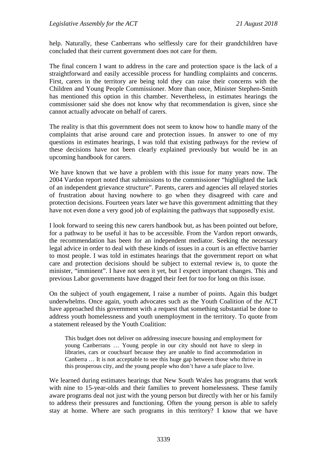help. Naturally, these Canberrans who selflessly care for their grandchildren have concluded that their current government does not care for them.

The final concern I want to address in the care and protection space is the lack of a straightforward and easily accessible process for handling complaints and concerns. First, carers in the territory are being told they can raise their concerns with the Children and Young People Commissioner. More than once, Minister Stephen-Smith has mentioned this option in this chamber. Nevertheless, in estimates hearings the commissioner said she does not know why that recommendation is given, since she cannot actually advocate on behalf of carers.

The reality is that this government does not seem to know how to handle many of the complaints that arise around care and protection issues. In answer to one of my questions in estimates hearings, I was told that existing pathways for the review of these decisions have not been clearly explained previously but would be in an upcoming handbook for carers.

We have known that we have a problem with this issue for many years now. The 2004 Vardon report noted that submissions to the commissioner "highlighted the lack of an independent grievance structure". Parents, carers and agencies all relayed stories of frustration about having nowhere to go when they disagreed with care and protection decisions. Fourteen years later we have this government admitting that they have not even done a very good job of explaining the pathways that supposedly exist.

I look forward to seeing this new carers handbook but, as has been pointed out before, for a pathway to be useful it has to be accessible. From the Vardon report onwards, the recommendation has been for an independent mediator. Seeking the necessary legal advice in order to deal with these kinds of issues in a court is an effective barrier to most people. I was told in estimates hearings that the government report on what care and protection decisions should be subject to external review is, to quote the minister, "imminent". I have not seen it yet, but I expect important changes. This and previous Labor governments have dragged their feet for too for long on this issue.

On the subject of youth engagement, I raise a number of points. Again this budget underwhelms. Once again, youth advocates such as the Youth Coalition of the ACT have approached this government with a request that something substantial be done to address youth homelessness and youth unemployment in the territory. To quote from a statement released by the Youth Coalition:

This budget does not deliver on addressing insecure housing and employment for young Canberrans … Young people in our city should not have to sleep in libraries, cars or couchsurf because they are unable to find accommodation in Canberra … It is not acceptable to see this huge gap between those who thrive in this prosperous city, and the young people who don't have a safe place to live.

We learned during estimates hearings that New South Wales has programs that work with nine to 15-year-olds and their families to prevent homelessness. These family aware programs deal not just with the young person but directly with her or his family to address their pressures and functioning. Often the young person is able to safely stay at home. Where are such programs in this territory? I know that we have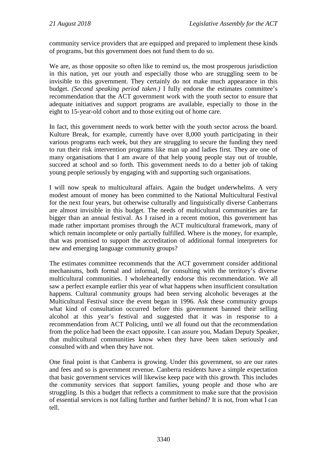community service providers that are equipped and prepared to implement these kinds of programs, but this government does not fund them to do so.

We are, as those opposite so often like to remind us, the most prosperous jurisdiction in this nation, yet our youth and especially those who are struggling seem to be invisible to this government. They certainly do not make much appearance in this budget. *(Second speaking period taken.)* I fully endorse the estimates committee's recommendation that the ACT government work with the youth sector to ensure that adequate initiatives and support programs are available, especially to those in the eight to 15-year-old cohort and to those exiting out of home care.

In fact, this government needs to work better with the youth sector across the board. Kulture Break, for example, currently have over 8,000 youth participating in their various programs each week, but they are struggling to secure the funding they need to run their risk intervention programs like man up and ladies first. They are one of many organisations that I am aware of that help young people stay out of trouble, succeed at school and so forth. This government needs to do a better job of taking young people seriously by engaging with and supporting such organisations.

I will now speak to multicultural affairs. Again the budget underwhelms. A very modest amount of money has been committed to the National Multicultural Festival for the next four years, but otherwise culturally and linguistically diverse Canberrans are almost invisible in this budget. The needs of multicultural communities are far bigger than an annual festival. As I raised in a recent motion, this government has made rather important promises through the ACT multicultural framework, many of which remain incomplete or only partially fulfilled. Where is the money, for example, that was promised to support the accreditation of additional formal interpreters for new and emerging language community groups?

The estimates committee recommends that the ACT government consider additional mechanisms, both formal and informal, for consulting with the territory's diverse multicultural communities. I wholeheartedly endorse this recommendation. We all saw a perfect example earlier this year of what happens when insufficient consultation happens. Cultural community groups had been serving alcoholic beverages at the Multicultural Festival since the event began in 1996. Ask these community groups what kind of consultation occurred before this government banned their selling alcohol at this year's festival and suggested that it was in response to a recommendation from ACT Policing, until we all found out that the recommendation from the police had been the exact opposite. I can assure you, Madam Deputy Speaker, that multicultural communities know when they have been taken seriously and consulted with and when they have not.

One final point is that Canberra is growing. Under this government, so are our rates and fees and so is government revenue. Canberra residents have a simple expectation that basic government services will likewise keep pace with this growth. This includes the community services that support families, young people and those who are struggling. Is this a budget that reflects a commitment to make sure that the provision of essential services is not falling further and further behind? It is not, from what I can tell.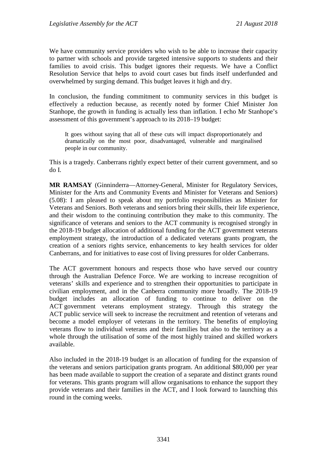We have community service providers who wish to be able to increase their capacity to partner with schools and provide targeted intensive supports to students and their families to avoid crisis. This budget ignores their requests. We have a Conflict Resolution Service that helps to avoid court cases but finds itself underfunded and overwhelmed by surging demand. This budget leaves it high and dry.

In conclusion, the funding commitment to community services in this budget is effectively a reduction because, as recently noted by former Chief Minister Jon Stanhope, the growth in funding is actually less than inflation. I echo Mr Stanhope's assessment of this government's approach to its 2018–19 budget:

It goes without saying that all of these cuts will impact disproportionately and dramatically on the most poor, disadvantaged, vulnerable and marginalised people in our community.

This is a tragedy. Canberrans rightly expect better of their current government, and so do I.

**MR RAMSAY** (Ginninderra—Attorney-General, Minister for Regulatory Services, Minister for the Arts and Community Events and Minister for Veterans and Seniors) (5.08): I am pleased to speak about my portfolio responsibilities as Minister for Veterans and Seniors. Both veterans and seniors bring their skills, their life experience, and their wisdom to the continuing contribution they make to this community. The significance of veterans and seniors to the ACT community is recognised strongly in the 2018-19 budget allocation of additional funding for the ACT government veterans employment strategy, the introduction of a dedicated veterans grants program, the creation of a seniors rights service, enhancements to key health services for older Canberrans, and for initiatives to ease cost of living pressures for older Canberrans.

The ACT government honours and respects those who have served our country through the Australian Defence Force. We are working to increase recognition of veterans' skills and experience and to strengthen their opportunities to participate in civilian employment, and in the Canberra community more broadly. The 2018-19 budget includes an allocation of funding to continue to deliver on the ACT government veterans employment strategy. Through this strategy the ACT public service will seek to increase the recruitment and retention of veterans and become a model employer of veterans in the territory. The benefits of employing veterans flow to individual veterans and their families but also to the territory as a whole through the utilisation of some of the most highly trained and skilled workers available.

Also included in the 2018-19 budget is an allocation of funding for the expansion of the veterans and seniors participation grants program. An additional \$80,000 per year has been made available to support the creation of a separate and distinct grants round for veterans. This grants program will allow organisations to enhance the support they provide veterans and their families in the ACT, and I look forward to launching this round in the coming weeks.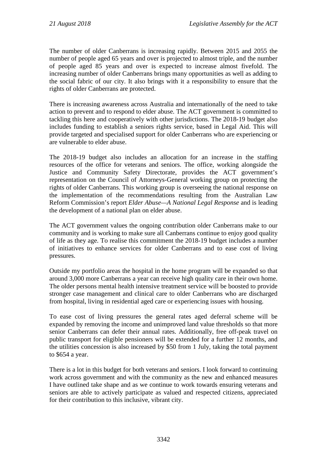The number of older Canberrans is increasing rapidly. Between 2015 and 2055 the number of people aged 65 years and over is projected to almost triple, and the number of people aged 85 years and over is expected to increase almost fivefold. The increasing number of older Canberrans brings many opportunities as well as adding to the social fabric of our city. It also brings with it a responsibility to ensure that the rights of older Canberrans are protected.

There is increasing awareness across Australia and internationally of the need to take action to prevent and to respond to elder abuse. The ACT government is committed to tackling this here and cooperatively with other jurisdictions. The 2018-19 budget also includes funding to establish a seniors rights service, based in Legal Aid. This will provide targeted and specialised support for older Canberrans who are experiencing or are vulnerable to elder abuse.

The 2018-19 budget also includes an allocation for an increase in the staffing resources of the office for veterans and seniors. The office, working alongside the Justice and Community Safety Directorate, provides the ACT government's representation on the Council of Attorneys-General working group on protecting the rights of older Canberrans. This working group is overseeing the national response on the implementation of the recommendations resulting from the Australian Law Reform Commission's report *Elder Abuse—A National Legal Response* and is leading the development of a national plan on elder abuse.

The ACT government values the ongoing contribution older Canberrans make to our community and is working to make sure all Canberrans continue to enjoy good quality of life as they age. To realise this commitment the 2018-19 budget includes a number of initiatives to enhance services for older Canberrans and to ease cost of living pressures.

Outside my portfolio areas the hospital in the home program will be expanded so that around 3,000 more Canberrans a year can receive high quality care in their own home. The older persons mental health intensive treatment service will be boosted to provide stronger case management and clinical care to older Canberrans who are discharged from hospital, living in residential aged care or experiencing issues with housing.

To ease cost of living pressures the general rates aged deferral scheme will be expanded by removing the income and unimproved land value thresholds so that more senior Canberrans can defer their annual rates. Additionally, free off-peak travel on public transport for eligible pensioners will be extended for a further 12 months, and the utilities concession is also increased by \$50 from 1 July, taking the total payment to \$654 a year.

There is a lot in this budget for both veterans and seniors. I look forward to continuing work across government and with the community as the new and enhanced measures I have outlined take shape and as we continue to work towards ensuring veterans and seniors are able to actively participate as valued and respected citizens, appreciated for their contribution to this inclusive, vibrant city.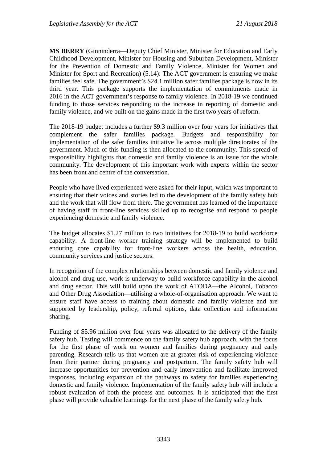**MS BERRY** (Ginninderra—Deputy Chief Minister, Minister for Education and Early Childhood Development, Minister for Housing and Suburban Development, Minister for the Prevention of Domestic and Family Violence, Minister for Women and Minister for Sport and Recreation) (5.14): The ACT government is ensuring we make families feel safe. The government's \$24.1 million safer families package is now in its third year. This package supports the implementation of commitments made in 2016 in the ACT government's response to family violence. In 2018-19 we continued funding to those services responding to the increase in reporting of domestic and family violence, and we built on the gains made in the first two years of reform.

The 2018-19 budget includes a further \$9.3 million over four years for initiatives that complement the safer families package. Budgets and responsibility for implementation of the safer families initiative lie across multiple directorates of the government. Much of this funding is then allocated to the community. This spread of responsibility highlights that domestic and family violence is an issue for the whole community. The development of this important work with experts within the sector has been front and centre of the conversation.

People who have lived experienced were asked for their input, which was important to ensuring that their voices and stories led to the development of the family safety hub and the work that will flow from there. The government has learned of the importance of having staff in front-line services skilled up to recognise and respond to people experiencing domestic and family violence.

The budget allocates \$1.27 million to two initiatives for 2018-19 to build workforce capability. A front-line worker training strategy will be implemented to build enduring core capability for front-line workers across the health, education, community services and justice sectors.

In recognition of the complex relationships between domestic and family violence and alcohol and drug use, work is underway to build workforce capability in the alcohol and drug sector. This will build upon the work of ATODA—the Alcohol, Tobacco and Other Drug Association—utilising a whole-of-organisation approach. We want to ensure staff have access to training about domestic and family violence and are supported by leadership, policy, referral options, data collection and information sharing.

Funding of \$5.96 million over four years was allocated to the delivery of the family safety hub. Testing will commence on the family safety hub approach, with the focus for the first phase of work on women and families during pregnancy and early parenting. Research tells us that women are at greater risk of experiencing violence from their partner during pregnancy and postpartum. The family safety hub will increase opportunities for prevention and early intervention and facilitate improved responses, including expansion of the pathways to safety for families experiencing domestic and family violence. Implementation of the family safety hub will include a robust evaluation of both the process and outcomes. It is anticipated that the first phase will provide valuable learnings for the next phase of the family safety hub.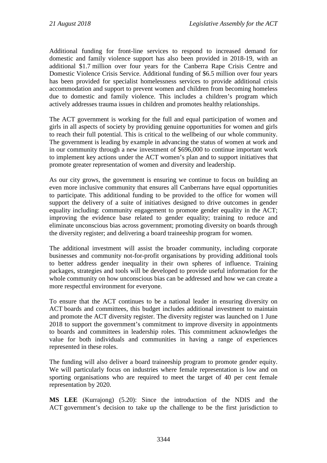Additional funding for front-line services to respond to increased demand for domestic and family violence support has also been provided in 2018-19, with an additional \$1.7 million over four years for the Canberra Rape Crisis Centre and Domestic Violence Crisis Service. Additional funding of \$6.5 million over four years has been provided for specialist homelessness services to provide additional crisis accommodation and support to prevent women and children from becoming homeless due to domestic and family violence. This includes a children's program which actively addresses trauma issues in children and promotes healthy relationships.

The ACT government is working for the full and equal participation of women and girls in all aspects of society by providing genuine opportunities for women and girls to reach their full potential. This is critical to the wellbeing of our whole community. The government is leading by example in advancing the status of women at work and in our community through a new investment of \$696,000 to continue important work to implement key actions under the ACT women's plan and to support initiatives that promote greater representation of women and diversity and leadership.

As our city grows, the government is ensuring we continue to focus on building an even more inclusive community that ensures all Canberrans have equal opportunities to participate. This additional funding to be provided to the office for women will support the delivery of a suite of initiatives designed to drive outcomes in gender equality including: community engagement to promote gender equality in the ACT; improving the evidence base related to gender equality; training to reduce and eliminate unconscious bias across government; promoting diversity on boards through the diversity register; and delivering a board traineeship program for women.

The additional investment will assist the broader community, including corporate businesses and community not-for-profit organisations by providing additional tools to better address gender inequality in their own spheres of influence. Training packages, strategies and tools will be developed to provide useful information for the whole community on how unconscious bias can be addressed and how we can create a more respectful environment for everyone.

To ensure that the ACT continues to be a national leader in ensuring diversity on ACT boards and committees, this budget includes additional investment to maintain and promote the ACT diversity register. The diversity register was launched on 1 June 2018 to support the government's commitment to improve diversity in appointments to boards and committees in leadership roles. This commitment acknowledges the value for both individuals and communities in having a range of experiences represented in these roles.

The funding will also deliver a board traineeship program to promote gender equity. We will particularly focus on industries where female representation is low and on sporting organisations who are required to meet the target of 40 per cent female representation by 2020.

**MS LEE** (Kurrajong) (5.20): Since the introduction of the NDIS and the ACT government's decision to take up the challenge to be the first jurisdiction to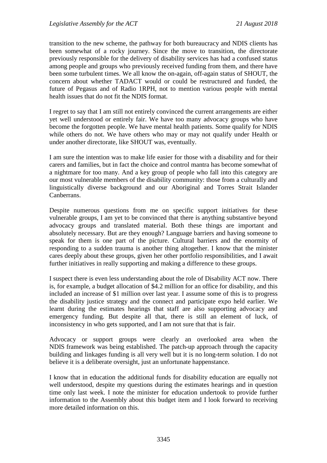transition to the new scheme, the pathway for both bureaucracy and NDIS clients has been somewhat of a rocky journey. Since the move to transition, the directorate previously responsible for the delivery of disability services has had a confused status among people and groups who previously received funding from them, and there have been some turbulent times. We all know the on-again, off-again status of SHOUT, the concern about whether TADACT would or could be restructured and funded, the future of Pegasus and of Radio 1RPH, not to mention various people with mental health issues that do not fit the NDIS format.

I regret to say that I am still not entirely convinced the current arrangements are either yet well understood or entirely fair. We have too many advocacy groups who have become the forgotten people. We have mental health patients. Some qualify for NDIS while others do not. We have others who may or may not qualify under Health or under another directorate, like SHOUT was, eventually.

I am sure the intention was to make life easier for those with a disability and for their carers and families, but in fact the choice and control mantra has become somewhat of a nightmare for too many. And a key group of people who fall into this category are our most vulnerable members of the disability community: those from a culturally and linguistically diverse background and our Aboriginal and Torres Strait Islander Canberrans.

Despite numerous questions from me on specific support initiatives for these vulnerable groups, I am yet to be convinced that there is anything substantive beyond advocacy groups and translated material. Both these things are important and absolutely necessary. But are they enough? Language barriers and having someone to speak for them is one part of the picture. Cultural barriers and the enormity of responding to a sudden trauma is another thing altogether. I know that the minister cares deeply about these groups, given her other portfolio responsibilities, and I await further initiatives in really supporting and making a difference to these groups.

I suspect there is even less understanding about the role of Disability ACT now. There is, for example, a budget allocation of \$4.2 million for an office for disability, and this included an increase of \$1 million over last year. I assume some of this is to progress the disability justice strategy and the connect and participate expo held earlier. We learnt during the estimates hearings that staff are also supporting advocacy and emergency funding. But despite all that, there is still an element of luck, of inconsistency in who gets supported, and I am not sure that that is fair.

Advocacy or support groups were clearly an overlooked area when the NDIS framework was being established. The patch-up approach through the capacity building and linkages funding is all very well but it is no long-term solution. I do not believe it is a deliberate oversight, just an unfortunate happenstance.

I know that in education the additional funds for disability education are equally not well understood, despite my questions during the estimates hearings and in question time only last week. I note the minister for education undertook to provide further information to the Assembly about this budget item and I look forward to receiving more detailed information on this.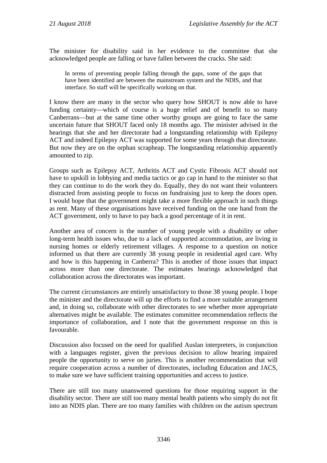The minister for disability said in her evidence to the committee that she acknowledged people are falling or have fallen between the cracks. She said:

In terms of preventing people falling through the gaps, some of the gaps that have been identified are between the mainstream system and the NDIS, and that interface. So staff will be specifically working on that.

I know there are many in the sector who query how SHOUT is now able to have funding certainty—which of course is a huge relief and of benefit to so many Canberrans—but at the same time other worthy groups are going to face the same uncertain future that SHOUT faced only 18 months ago. The minister advised in the hearings that she and her directorate had a longstanding relationship with Epilepsy ACT and indeed Epilepsy ACT was supported for some years through that directorate. But now they are on the orphan scrapheap. The longstanding relationship apparently amounted to zip.

Groups such as Epilepsy ACT, Arthritis ACT and Cystic Fibrosis ACT should not have to upskill in lobbying and media tactics or go cap in hand to the minister so that they can continue to do the work they do. Equally, they do not want their volunteers distracted from assisting people to focus on fundraising just to keep the doors open. I would hope that the government might take a more flexible approach in such things as rent. Many of these organisations have received funding on the one hand from the ACT government, only to have to pay back a good percentage of it in rent.

Another area of concern is the number of young people with a disability or other long-term health issues who, due to a lack of supported accommodation, are living in nursing homes or elderly retirement villages. A response to a question on notice informed us that there are currently 38 young people in residential aged care. Why and how is this happening in Canberra? This is another of those issues that impact across more than one directorate. The estimates hearings acknowledged that collaboration across the directorates was important.

The current circumstances are entirely unsatisfactory to those 38 young people. I hope the minister and the directorate will up the efforts to find a more suitable arrangement and, in doing so, collaborate with other directorates to see whether more appropriate alternatives might be available. The estimates committee recommendation reflects the importance of collaboration, and I note that the government response on this is favourable.

Discussion also focused on the need for qualified Auslan interpreters, in conjunction with a languages register, given the previous decision to allow hearing impaired people the opportunity to serve on juries. This is another recommendation that will require cooperation across a number of directorates, including Education and JACS, to make sure we have sufficient training opportunities and access to justice.

There are still too many unanswered questions for those requiring support in the disability sector. There are still too many mental health patients who simply do not fit into an NDIS plan. There are too many families with children on the autism spectrum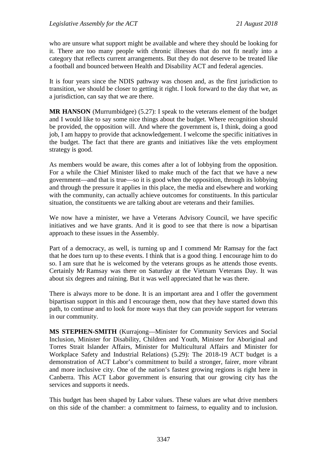who are unsure what support might be available and where they should be looking for it. There are too many people with chronic illnesses that do not fit neatly into a category that reflects current arrangements. But they do not deserve to be treated like a football and bounced between Health and Disability ACT and federal agencies.

It is four years since the NDIS pathway was chosen and, as the first jurisdiction to transition, we should be closer to getting it right. I look forward to the day that we, as a jurisdiction, can say that we are there.

**MR HANSON** (Murrumbidgee) (5.27): I speak to the veterans element of the budget and I would like to say some nice things about the budget. Where recognition should be provided, the opposition will. And where the government is, I think, doing a good job, I am happy to provide that acknowledgement. I welcome the specific initiatives in the budget. The fact that there are grants and initiatives like the vets employment strategy is good.

As members would be aware, this comes after a lot of lobbying from the opposition. For a while the Chief Minister liked to make much of the fact that we have a new government—and that is true—so it is good when the opposition, through its lobbying and through the pressure it applies in this place, the media and elsewhere and working with the community, can actually achieve outcomes for constituents. In this particular situation, the constituents we are talking about are veterans and their families.

We now have a minister, we have a Veterans Advisory Council, we have specific initiatives and we have grants. And it is good to see that there is now a bipartisan approach to these issues in the Assembly.

Part of a democracy, as well, is turning up and I commend Mr Ramsay for the fact that he does turn up to these events. I think that is a good thing. I encourage him to do so. I am sure that he is welcomed by the veterans groups as he attends those events. Certainly Mr Ramsay was there on Saturday at the Vietnam Veterans Day. It was about six degrees and raining. But it was well appreciated that he was there.

There is always more to be done. It is an important area and I offer the government bipartisan support in this and I encourage them, now that they have started down this path, to continue and to look for more ways that they can provide support for veterans in our community.

**MS STEPHEN-SMITH** (Kurrajong—Minister for Community Services and Social Inclusion, Minister for Disability, Children and Youth, Minister for Aboriginal and Torres Strait Islander Affairs, Minister for Multicultural Affairs and Minister for Workplace Safety and Industrial Relations) (5.29): The 2018-19 ACT budget is a demonstration of ACT Labor's commitment to build a stronger, fairer, more vibrant and more inclusive city. One of the nation's fastest growing regions is right here in Canberra. This ACT Labor government is ensuring that our growing city has the services and supports it needs.

This budget has been shaped by Labor values. These values are what drive members on this side of the chamber: a commitment to fairness, to equality and to inclusion.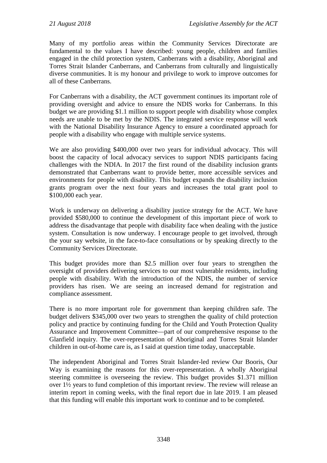Many of my portfolio areas within the Community Services Directorate are fundamental to the values I have described: young people, children and families engaged in the child protection system, Canberrans with a disability, Aboriginal and Torres Strait Islander Canberrans, and Canberrans from culturally and linguistically diverse communities. It is my honour and privilege to work to improve outcomes for all of these Canberrans.

For Canberrans with a disability, the ACT government continues its important role of providing oversight and advice to ensure the NDIS works for Canberrans. In this budget we are providing \$1.1 million to support people with disability whose complex needs are unable to be met by the NDIS. The integrated service response will work with the National Disability Insurance Agency to ensure a coordinated approach for people with a disability who engage with multiple service systems.

We are also providing \$400,000 over two years for individual advocacy. This will boost the capacity of local advocacy services to support NDIS participants facing challenges with the NDIA. In 2017 the first round of the disability inclusion grants demonstrated that Canberrans want to provide better, more accessible services and environments for people with disability. This budget expands the disability inclusion grants program over the next four years and increases the total grant pool to \$100,000 each year.

Work is underway on delivering a disability justice strategy for the ACT. We have provided \$580,000 to continue the development of this important piece of work to address the disadvantage that people with disability face when dealing with the justice system. Consultation is now underway. I encourage people to get involved, through the your say website, in the face-to-face consultations or by speaking directly to the Community Services Directorate.

This budget provides more than \$2.5 million over four years to strengthen the oversight of providers delivering services to our most vulnerable residents, including people with disability. With the introduction of the NDIS, the number of service providers has risen. We are seeing an increased demand for registration and compliance assessment.

There is no more important role for government than keeping children safe. The budget delivers \$345,000 over two years to strengthen the quality of child protection policy and practice by continuing funding for the Child and Youth Protection Quality Assurance and Improvement Committee—part of our comprehensive response to the Glanfield inquiry. The over-representation of Aboriginal and Torres Strait Islander children in out-of-home care is, as I said at question time today, unacceptable.

The independent Aboriginal and Torres Strait Islander-led review Our Booris, Our Way is examining the reasons for this over-representation. A wholly Aboriginal steering committee is overseeing the review. This budget provides \$1.371 million over 1½ years to fund completion of this important review. The review will release an interim report in coming weeks, with the final report due in late 2019. I am pleased that this funding will enable this important work to continue and to be completed.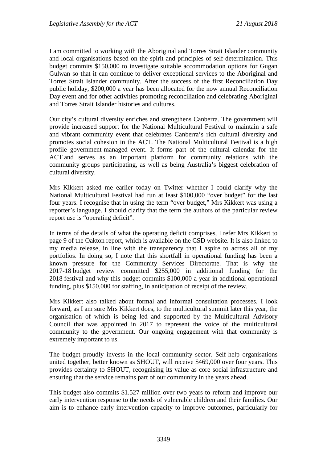I am committed to working with the Aboriginal and Torres Strait Islander community and local organisations based on the spirit and principles of self-determination. This budget commits \$150,000 to investigate suitable accommodation options for Gugan Gulwan so that it can continue to deliver exceptional services to the Aboriginal and Torres Strait Islander community. After the success of the first Reconciliation Day public holiday, \$200,000 a year has been allocated for the now annual Reconciliation Day event and for other activities promoting reconciliation and celebrating Aboriginal and Torres Strait Islander histories and cultures.

Our city's cultural diversity enriches and strengthens Canberra. The government will provide increased support for the National Multicultural Festival to maintain a safe and vibrant community event that celebrates Canberra's rich cultural diversity and promotes social cohesion in the ACT. The National Multicultural Festival is a high profile government-managed event. It forms part of the cultural calendar for the ACT and serves as an important platform for community relations with the community groups participating, as well as being Australia's biggest celebration of cultural diversity.

Mrs Kikkert asked me earlier today on Twitter whether I could clarify why the National Multicultural Festival had run at least \$100,000 "over budget" for the last four years. I recognise that in using the term "over budget," Mrs Kikkert was using a reporter's language. I should clarify that the term the authors of the particular review report use is "operating deficit".

In terms of the details of what the operating deficit comprises, I refer Mrs Kikkert to page 9 of the Oakton report, which is available on the CSD website. It is also linked to my media release, in line with the transparency that I aspire to across all of my portfolios. In doing so, I note that this shortfall in operational funding has been a known pressure for the Community Services Directorate. That is why the 2017-18 budget review committed \$255,000 in additional funding for the 2018 festival and why this budget commits \$100,000 a year in additional operational funding, plus \$150,000 for staffing, in anticipation of receipt of the review.

Mrs Kikkert also talked about formal and informal consultation processes. I look forward, as I am sure Mrs Kikkert does, to the multicultural summit later this year, the organisation of which is being led and supported by the Multicultural Advisory Council that was appointed in 2017 to represent the voice of the multicultural community to the government. Our ongoing engagement with that community is extremely important to us.

The budget proudly invests in the local community sector. Self-help organisations united together, better known as SHOUT, will receive \$469,000 over four years. This provides certainty to SHOUT, recognising its value as core social infrastructure and ensuring that the service remains part of our community in the years ahead.

This budget also commits \$1.527 million over two years to reform and improve our early intervention response to the needs of vulnerable children and their families. Our aim is to enhance early intervention capacity to improve outcomes, particularly for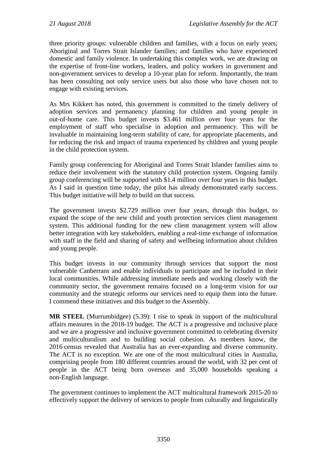three priority groups: vulnerable children and families, with a focus on early years; Aboriginal and Torres Strait Islander families; and families who have experienced domestic and family violence. In undertaking this complex work, we are drawing on the expertise of front-line workers, leaders, and policy workers in government and non-government services to develop a 10-year plan for reform. Importantly, the team has been consulting not only service users but also those who have chosen not to engage with existing services.

As Mrs Kikkert has noted, this government is committed to the timely delivery of adoption services and permanency planning for children and young people in out-of-home care. This budget invests \$3.461 million over four years for the employment of staff who specialise in adoption and permanency. This will be invaluable in maintaining long-term stability of care, for appropriate placements, and for reducing the risk and impact of trauma experienced by children and young people in the child protection system.

Family group conferencing for Aboriginal and Torres Strait Islander families aims to reduce their involvement with the statutory child protection system. Ongoing family group conferencing will be supported with \$1.4 million over four years in this budget. As I said in question time today, the pilot has already demonstrated early success. This budget initiative will help to build on that success.

The government invests \$2.729 million over four years, through this budget, to expand the scope of the new child and youth protection services client management system. This additional funding for the new client management system will allow better integration with key stakeholders, enabling a real-time exchange of information with staff in the field and sharing of safety and wellbeing information about children and young people.

This budget invests in our community through services that support the most vulnerable Canberrans and enable individuals to participate and be included in their local communities. While addressing immediate needs and working closely with the community sector, the government remains focused on a long-term vision for our community and the strategic reforms our services need to equip them into the future. I commend these initiatives and this budget to the Assembly.

**MR STEEL** (Murrumbidgee) (5.39): I rise to speak in support of the multicultural affairs measures in the 2018-19 budget. The ACT is a progressive and inclusive place and we are a progressive and inclusive government committed to celebrating diversity and multiculturalism and to building social cohesion. As members know, the 2016 census revealed that Australia has an ever-expanding and diverse community. The ACT is no exception. We are one of the most multicultural cities in Australia, comprising people from 180 different countries around the world, with 32 per cent of people in the ACT being born overseas and 35,000 households speaking a non-English language.

The government continues to implement the ACT multicultural framework 2015-20 to effectively support the delivery of services to people from culturally and linguistically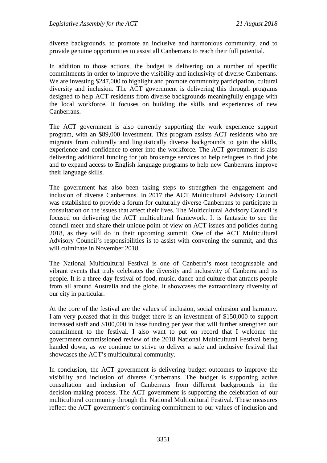diverse backgrounds, to promote an inclusive and harmonious community, and to provide genuine opportunities to assist all Canberrans to reach their full potential.

In addition to those actions, the budget is delivering on a number of specific commitments in order to improve the visibility and inclusivity of diverse Canberrans. We are investing \$247,000 to highlight and promote community participation, cultural diversity and inclusion. The ACT government is delivering this through programs designed to help ACT residents from diverse backgrounds meaningfully engage with the local workforce. It focuses on building the skills and experiences of new Canberrans.

The ACT government is also currently supporting the work experience support program, with an \$89,000 investment. This program assists ACT residents who are migrants from culturally and linguistically diverse backgrounds to gain the skills, experience and confidence to enter into the workforce. The ACT government is also delivering additional funding for job brokerage services to help refugees to find jobs and to expand access to English language programs to help new Canberrans improve their language skills.

The government has also been taking steps to strengthen the engagement and inclusion of diverse Canberrans. In 2017 the ACT Multicultural Advisory Council was established to provide a forum for culturally diverse Canberrans to participate in consultation on the issues that affect their lives. The Multicultural Advisory Council is focused on delivering the ACT multicultural framework. It is fantastic to see the council meet and share their unique point of view on ACT issues and policies during 2018, as they will do in their upcoming summit. One of the ACT Multicultural Advisory Council's responsibilities is to assist with convening the summit, and this will culminate in November 2018.

The National Multicultural Festival is one of Canberra's most recognisable and vibrant events that truly celebrates the diversity and inclusivity of Canberra and its people. It is a three-day festival of food, music, dance and culture that attracts people from all around Australia and the globe. It showcases the extraordinary diversity of our city in particular.

At the core of the festival are the values of inclusion, social cohesion and harmony. I am very pleased that in this budget there is an investment of \$150,000 to support increased staff and \$100,000 in base funding per year that will further strengthen our commitment to the festival. I also want to put on record that I welcome the government commissioned review of the 2018 National Multicultural Festival being handed down, as we continue to strive to deliver a safe and inclusive festival that showcases the ACT's multicultural community.

In conclusion, the ACT government is delivering budget outcomes to improve the visibility and inclusion of diverse Canberrans. The budget is supporting active consultation and inclusion of Canberrans from different backgrounds in the decision-making process. The ACT government is supporting the celebration of our multicultural community through the National Multicultural Festival. These measures reflect the ACT government's continuing commitment to our values of inclusion and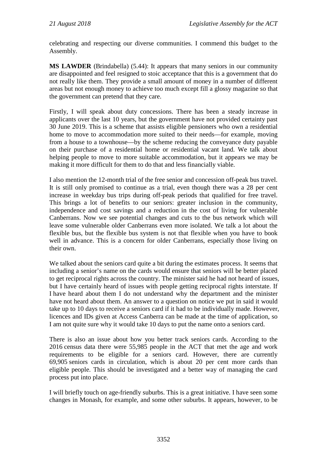celebrating and respecting our diverse communities. I commend this budget to the Assembly.

**MS LAWDER** (Brindabella) (5.44): It appears that many seniors in our community are disappointed and feel resigned to stoic acceptance that this is a government that do not really like them. They provide a small amount of money in a number of different areas but not enough money to achieve too much except fill a glossy magazine so that the government can pretend that they care.

Firstly, I will speak about duty concessions. There has been a steady increase in applicants over the last 10 years, but the government have not provided certainty past 30 June 2019. This is a scheme that assists eligible pensioners who own a residential home to move to accommodation more suited to their needs—for example, moving from a house to a townhouse—by the scheme reducing the conveyance duty payable on their purchase of a residential home or residential vacant land. We talk about helping people to move to more suitable accommodation, but it appears we may be making it more difficult for them to do that and less financially viable.

I also mention the 12-month trial of the free senior and concession off-peak bus travel. It is still only promised to continue as a trial, even though there was a 28 per cent increase in weekday bus trips during off-peak periods that qualified for free travel. This brings a lot of benefits to our seniors: greater inclusion in the community, independence and cost savings and a reduction in the cost of living for vulnerable Canberrans. Now we see potential changes and cuts to the bus network which will leave some vulnerable older Canberrans even more isolated. We talk a lot about the flexible bus, but the flexible bus system is not that flexible when you have to book well in advance. This is a concern for older Canberrans, especially those living on their own.

We talked about the seniors card quite a bit during the estimates process. It seems that including a senior's name on the cards would ensure that seniors will be better placed to get reciprocal rights across the country. The minister said he had not heard of issues, but I have certainly heard of issues with people getting reciprocal rights interstate. If I have heard about them I do not understand why the department and the minister have not heard about them. An answer to a question on notice we put in said it would take up to 10 days to receive a seniors card if it had to be individually made. However, licences and IDs given at Access Canberra can be made at the time of application, so I am not quite sure why it would take 10 days to put the name onto a seniors card.

There is also an issue about how you better track seniors cards. According to the 2016 census data there were 55,985 people in the ACT that met the age and work requirements to be eligible for a seniors card. However, there are currently 69,905 seniors cards in circulation, which is about 20 per cent more cards than eligible people. This should be investigated and a better way of managing the card process put into place.

I will briefly touch on age-friendly suburbs. This is a great initiative. I have seen some changes in Monash, for example, and some other suburbs. It appears, however, to be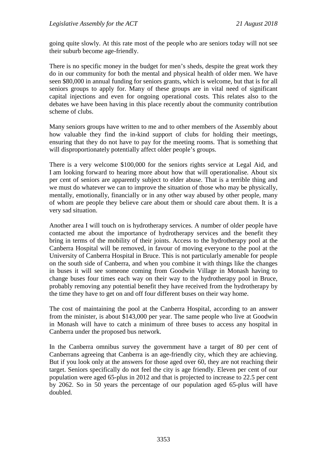going quite slowly. At this rate most of the people who are seniors today will not see their suburb become age-friendly.

There is no specific money in the budget for men's sheds, despite the great work they do in our community for both the mental and physical health of older men. We have seen \$80,000 in annual funding for seniors grants, which is welcome, but that is for all seniors groups to apply for. Many of these groups are in vital need of significant capital injections and even for ongoing operational costs. This relates also to the debates we have been having in this place recently about the community contribution scheme of clubs.

Many seniors groups have written to me and to other members of the Assembly about how valuable they find the in-kind support of clubs for holding their meetings, ensuring that they do not have to pay for the meeting rooms. That is something that will disproportionately potentially affect older people's groups.

There is a very welcome \$100,000 for the seniors rights service at Legal Aid, and I am looking forward to hearing more about how that will operationalise. About six per cent of seniors are apparently subject to elder abuse. That is a terrible thing and we must do whatever we can to improve the situation of those who may be physically, mentally, emotionally, financially or in any other way abused by other people, many of whom are people they believe care about them or should care about them. It is a very sad situation.

Another area I will touch on is hydrotherapy services. A number of older people have contacted me about the importance of hydrotherapy services and the benefit they bring in terms of the mobility of their joints. Access to the hydrotherapy pool at the Canberra Hospital will be removed, in favour of moving everyone to the pool at the University of Canberra Hospital in Bruce. This is not particularly amenable for people on the south side of Canberra, and when you combine it with things like the changes in buses it will see someone coming from Goodwin Village in Monash having to change buses four times each way on their way to the hydrotherapy pool in Bruce, probably removing any potential benefit they have received from the hydrotherapy by the time they have to get on and off four different buses on their way home.

The cost of maintaining the pool at the Canberra Hospital, according to an answer from the minister, is about \$143,000 per year. The same people who live at Goodwin in Monash will have to catch a minimum of three buses to access any hospital in Canberra under the proposed bus network.

In the Canberra omnibus survey the government have a target of 80 per cent of Canberrans agreeing that Canberra is an age-friendly city, which they are achieving. But if you look only at the answers for those aged over 60, they are not reaching their target. Seniors specifically do not feel the city is age friendly. Eleven per cent of our population were aged 65-plus in 2012 and that is projected to increase to 22.5 per cent by 2062. So in 50 years the percentage of our population aged 65-plus will have doubled.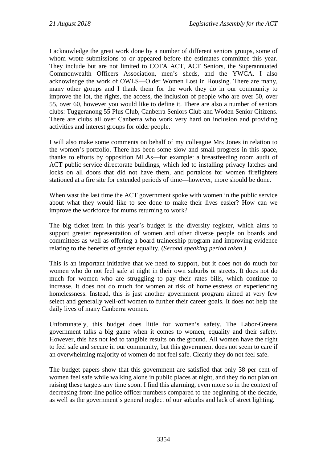I acknowledge the great work done by a number of different seniors groups, some of whom wrote submissions to or appeared before the estimates committee this year. They include but are not limited to COTA ACT, ACT Seniors, the Superannuated Commonwealth Officers Association, men's sheds, and the YWCA. I also acknowledge the work of OWLS—Older Women Lost in Housing. There are many, many other groups and I thank them for the work they do in our community to improve the lot, the rights, the access, the inclusion of people who are over 50, over 55, over 60, however you would like to define it. There are also a number of seniors clubs: Tuggeranong 55 Plus Club, Canberra Seniors Club and Woden Senior Citizens. There are clubs all over Canberra who work very hard on inclusion and providing activities and interest groups for older people.

I will also make some comments on behalf of my colleague Mrs Jones in relation to the women's portfolio. There has been some slow and small progress in this space, thanks to efforts by opposition MLAs—for example: a breastfeeding room audit of ACT public service directorate buildings, which led to installing privacy latches and locks on all doors that did not have them, and portaloos for women firefighters stationed at a fire site for extended periods of time—however, more should be done.

When wast the last time the ACT government spoke with women in the public service about what they would like to see done to make their lives easier? How can we improve the workforce for mums returning to work?

The big ticket item in this year's budget is the diversity register, which aims to support greater representation of women and other diverse people on boards and committees as well as offering a board traineeship program and improving evidence relating to the benefits of gender equality. (*Second speaking period taken.)*

This is an important initiative that we need to support, but it does not do much for women who do not feel safe at night in their own suburbs or streets. It does not do much for women who are struggling to pay their rates bills, which continue to increase. It does not do much for women at risk of homelessness or experiencing homelessness. Instead, this is just another government program aimed at very few select and generally well-off women to further their career goals. It does not help the daily lives of many Canberra women.

Unfortunately, this budget does little for women's safety. The Labor-Greens government talks a big game when it comes to women, equality and their safety. However, this has not led to tangible results on the ground. All women have the right to feel safe and secure in our community, but this government does not seem to care if an overwhelming majority of women do not feel safe. Clearly they do not feel safe.

The budget papers show that this government are satisfied that only 38 per cent of women feel safe while walking alone in public places at night, and they do not plan on raising these targets any time soon. I find this alarming, even more so in the context of decreasing front-line police officer numbers compared to the beginning of the decade, as well as the government's general neglect of our suburbs and lack of street lighting.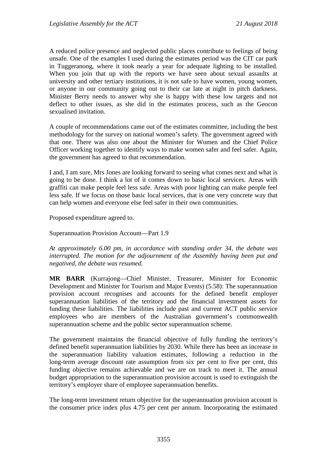A reduced police presence and neglected public places contribute to feelings of being unsafe. One of the examples I used during the estimates period was the CIT car park in Tuggeranong, where it took nearly a year for adequate lighting to be installed. When you join that up with the reports we have seen about sexual assaults at university and other tertiary institutions, it is not safe to have women, young women, or anyone in our community going out to their car late at night in pitch darkness. Minister Berry needs to answer why she is happy with these low targets and not deflect to other issues, as she did in the estimates process, such as the Geocon sexualised invitation.

A couple of recommendations came out of the estimates committee, including the best methodology for the survey on national women's safety. The government agreed with that one. There was also one about the Minister for Women and the Chief Police Officer working together to identify ways to make women safer and feel safer. Again, the government has agreed to that recommendation.

I and, I am sure, Mrs Jones are looking forward to seeing what comes next and what is going to be done. I think a lot of it comes down to basic local services. Areas with graffiti can make people feel less safe. Areas with poor lighting can make people feel less safe. If we focus on those basic local services, that is one very concrete way that can help women and everyone else feel safer in their own communities.

Proposed expenditure agreed to.

Superannuation Provision Account—Part 1.9

*At approximately 6.00 pm, in accordance with standing order 34, the debate was interrupted. The motion for the adjournment of the Assembly having been put and negatived, the debate was resumed.*

**MR BARR** (Kurrajong—Chief Minister, Treasurer, Minister for Economic Development and Minister for Tourism and Major Events) (5.58): The superannuation provision account recognises and accounts for the defined benefit employer superannuation liabilities of the territory and the financial investment assets for funding these liabilities. The liabilities include past and current ACT public service employees who are members of the Australian government's commonwealth superannuation scheme and the public sector superannuation scheme.

The government maintains the financial objective of fully funding the territory's defined benefit superannuation liabilities by 2030. While there has been an increase in the superannuation liability valuation estimates, following a reduction in the long-term average discount rate assumption from six per cent to five per cent, this funding objective remains achievable and we are on track to meet it. The annual budget appropriation to the superannuation provision account is used to extinguish the territory's employer share of employee superannuation benefits.

The long-term investment return objective for the superannuation provision account is the consumer price index plus 4.75 per cent per annum. Incorporating the estimated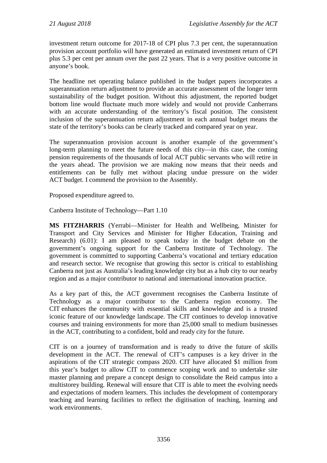investment return outcome for 2017-18 of CPI plus 7.3 per cent, the superannuation provision account portfolio will have generated an estimated investment return of CPI plus 5.3 per cent per annum over the past 22 years. That is a very positive outcome in anyone's book.

The headline net operating balance published in the budget papers incorporates a superannuation return adjustment to provide an accurate assessment of the longer term sustainability of the budget position. Without this adjustment, the reported budget bottom line would fluctuate much more widely and would not provide Canberrans with an accurate understanding of the territory's fiscal position. The consistent inclusion of the superannuation return adjustment in each annual budget means the state of the territory's books can be clearly tracked and compared year on year.

The superannuation provision account is another example of the government's long-term planning to meet the future needs of this city—in this case, the coming pension requirements of the thousands of local ACT public servants who will retire in the years ahead. The provision we are making now means that their needs and entitlements can be fully met without placing undue pressure on the wider ACT budget. I commend the provision to the Assembly.

Proposed expenditure agreed to.

Canberra Institute of Technology—Part 1.10

**MS FITZHARRIS** (Yerrabi—Minister for Health and Wellbeing, Minister for Transport and City Services and Minister for Higher Education, Training and Research) (6.01): I am pleased to speak today in the budget debate on the government's ongoing support for the Canberra Institute of Technology. The government is committed to supporting Canberra's vocational and tertiary education and research sector. We recognise that growing this sector is critical to establishing Canberra not just as Australia's leading knowledge city but as a hub city to our nearby region and as a major contributor to national and international innovation practice.

As a key part of this, the ACT government recognises the Canberra Institute of Technology as a major contributor to the Canberra region economy. The CIT enhances the community with essential skills and knowledge and is a trusted iconic feature of our knowledge landscape. The CIT continues to develop innovative courses and training environments for more than 25,000 small to medium businesses in the ACT, contributing to a confident, bold and ready city for the future.

CIT is on a journey of transformation and is ready to drive the future of skills development in the ACT. The renewal of CIT's campuses is a key driver in the aspirations of the CIT strategic compass 2020. CIT have allocated \$1 million from this year's budget to allow CIT to commence scoping work and to undertake site master planning and prepare a concept design to consolidate the Reid campus into a multistorey building. Renewal will ensure that CIT is able to meet the evolving needs and expectations of modern learners. This includes the development of contemporary teaching and learning facilities to reflect the digitisation of teaching, learning and work environments.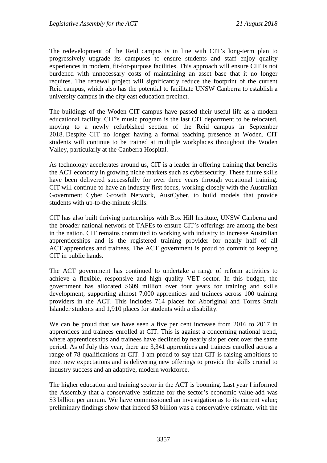The redevelopment of the Reid campus is in line with CIT's long-term plan to progressively upgrade its campuses to ensure students and staff enjoy quality experiences in modern, fit-for-purpose facilities. This approach will ensure CIT is not burdened with unnecessary costs of maintaining an asset base that it no longer requires. The renewal project will significantly reduce the footprint of the current Reid campus, which also has the potential to facilitate UNSW Canberra to establish a university campus in the city east education precinct.

The buildings of the Woden CIT campus have passed their useful life as a modern educational facility. CIT's music program is the last CIT department to be relocated, moving to a newly refurbished section of the Reid campus in September 2018. Despite CIT no longer having a formal teaching presence at Woden, CIT students will continue to be trained at multiple workplaces throughout the Woden Valley, particularly at the Canberra Hospital.

As technology accelerates around us, CIT is a leader in offering training that benefits the ACT economy in growing niche markets such as cybersecurity. These future skills have been delivered successfully for over three years through vocational training. CIT will continue to have an industry first focus, working closely with the Australian Government Cyber Growth Network, AustCyber, to build models that provide students with up-to-the-minute skills.

CIT has also built thriving partnerships with Box Hill Institute, UNSW Canberra and the broader national network of TAFEs to ensure CIT's offerings are among the best in the nation. CIT remains committed to working with industry to increase Australian apprenticeships and is the registered training provider for nearly half of all ACT apprentices and trainees. The ACT government is proud to commit to keeping CIT in public hands.

The ACT government has continued to undertake a range of reform activities to achieve a flexible, responsive and high quality VET sector. In this budget, the government has allocated \$609 million over four years for training and skills development, supporting almost 7,000 apprentices and trainees across 100 training providers in the ACT. This includes 714 places for Aboriginal and Torres Strait Islander students and 1,910 places for students with a disability.

We can be proud that we have seen a five per cent increase from 2016 to 2017 in apprentices and trainees enrolled at CIT. This is against a concerning national trend, where apprenticeships and trainees have declined by nearly six per cent over the same period. As of July this year, there are 3,341 apprentices and trainees enrolled across a range of 78 qualifications at CIT. I am proud to say that CIT is raising ambitions to meet new expectations and is delivering new offerings to provide the skills crucial to industry success and an adaptive, modern workforce.

The higher education and training sector in the ACT is booming. Last year I informed the Assembly that a conservative estimate for the sector's economic value-add was \$3 billion per annum. We have commissioned an investigation as to its current value; preliminary findings show that indeed \$3 billion was a conservative estimate, with the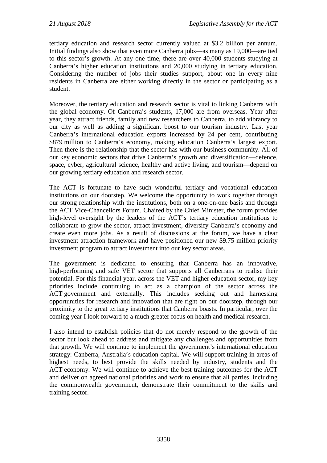tertiary education and research sector currently valued at \$3.2 billion per annum. Initial findings also show that even more Canberra jobs—as many as 19,000—are tied to this sector's growth. At any one time, there are over 40,000 students studying at Canberra's higher education institutions and 20,000 studying in tertiary education. Considering the number of jobs their studies support, about one in every nine residents in Canberra are either working directly in the sector or participating as a student.

Moreover, the tertiary education and research sector is vital to linking Canberra with the global economy. Of Canberra's students, 17,000 are from overseas. Year after year, they attract friends, family and new researchers to Canberra, to add vibrancy to our city as well as adding a significant boost to our tourism industry. Last year Canberra's international education exports increased by 24 per cent, contributing \$879 million to Canberra's economy, making education Canberra's largest export. Then there is the relationship that the sector has with our business community. All of our key economic sectors that drive Canberra's growth and diversification—defence, space, cyber, agricultural science, healthy and active living, and tourism—depend on our growing tertiary education and research sector.

The ACT is fortunate to have such wonderful tertiary and vocational education institutions on our doorstep. We welcome the opportunity to work together through our strong relationship with the institutions, both on a one-on-one basis and through the ACT Vice-Chancellors Forum. Chaired by the Chief Minister, the forum provides high-level oversight by the leaders of the ACT's tertiary education institutions to collaborate to grow the sector, attract investment, diversify Canberra's economy and create even more jobs. As a result of discussions at the forum, we have a clear investment attraction framework and have positioned our new \$9.75 million priority investment program to attract investment into our key sector areas.

The government is dedicated to ensuring that Canberra has an innovative, high-performing and safe VET sector that supports all Canberrans to realise their potential. For this financial year, across the VET and higher education sector, my key priorities include continuing to act as a champion of the sector across the ACT government and externally. This includes seeking out and harnessing opportunities for research and innovation that are right on our doorstep, through our proximity to the great tertiary institutions that Canberra boasts. In particular, over the coming year I look forward to a much greater focus on health and medical research.

I also intend to establish policies that do not merely respond to the growth of the sector but look ahead to address and mitigate any challenges and opportunities from that growth. We will continue to implement the government's international education strategy: Canberra, Australia's education capital. We will support training in areas of highest needs, to best provide the skills needed by industry, students and the ACT economy. We will continue to achieve the best training outcomes for the ACT and deliver on agreed national priorities and work to ensure that all parties, including the commonwealth government, demonstrate their commitment to the skills and training sector.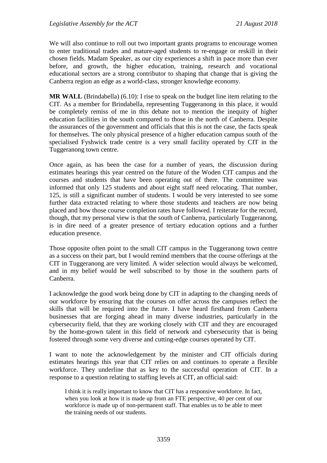We will also continue to roll out two important grants programs to encourage women to enter traditional trades and mature-aged students to re-engage or reskill in their chosen fields. Madam Speaker, as our city experiences a shift in pace more than ever before, and growth, the higher education, training, research and vocational educational sectors are a strong contributor to shaping that change that is giving the Canberra region an edge as a world-class, stronger knowledge economy.

**MR WALL** (Brindabella) (6.10): I rise to speak on the budget line item relating to the CIT. As a member for Brindabella, representing Tuggeranong in this place, it would be completely remiss of me in this debate not to mention the inequity of higher education facilities in the south compared to those in the north of Canberra. Despite the assurances of the government and officials that this is not the case, the facts speak for themselves. The only physical presence of a higher education campus south of the specialised Fyshwick trade centre is a very small facility operated by CIT in the Tuggeranong town centre.

Once again, as has been the case for a number of years, the discussion during estimates hearings this year centred on the future of the Woden CIT campus and the courses and students that have been operating out of there. The committee was informed that only 125 students and about eight staff need relocating. That number, 125, is still a significant number of students. I would be very interested to see some further data extracted relating to where those students and teachers are now being placed and how those course completion rates have followed. I reiterate for the record, though, that my personal view is that the south of Canberra, particularly Tuggeranong, is in dire need of a greater presence of tertiary education options and a further education presence.

Those opposite often point to the small CIT campus in the Tuggeranong town centre as a success on their part, but I would remind members that the course offerings at the CIT in Tuggeranong are very limited. A wider selection would always be welcomed, and in my belief would be well subscribed to by those in the southern parts of Canberra.

I acknowledge the good work being done by CIT in adapting to the changing needs of our workforce by ensuring that the courses on offer across the campuses reflect the skills that will be required into the future. I have heard firsthand from Canberra businesses that are forging ahead in many diverse industries, particularly in the cybersecurity field, that they are working closely with CIT and they are encouraged by the home-grown talent in this field of network and cybersecurity that is being fostered through some very diverse and cutting-edge courses operated by CIT.

I want to note the acknowledgement by the minister and CIT officials during estimates hearings this year that CIT relies on and continues to operate a flexible workforce. They underline that as key to the successful operation of CIT. In a response to a question relating to staffing levels at CIT, an official said:

I think it is really important to know that CIT has a responsive workforce. In fact, when you look at how it is made up from an FTE perspective, 40 per cent of our workforce is made up of non-permanent staff. That enables us to be able to meet the training needs of our students.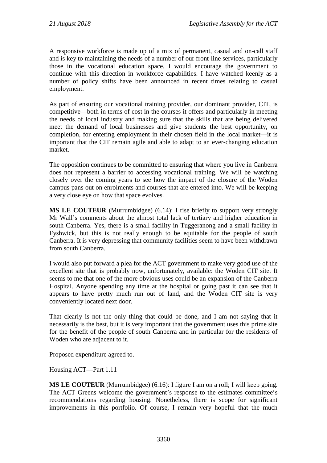A responsive workforce is made up of a mix of permanent, casual and on-call staff and is key to maintaining the needs of a number of our front-line services, particularly those in the vocational education space. I would encourage the government to continue with this direction in workforce capabilities. I have watched keenly as a number of policy shifts have been announced in recent times relating to casual employment.

As part of ensuring our vocational training provider, our dominant provider, CIT, is competitive—both in terms of cost in the courses it offers and particularly in meeting the needs of local industry and making sure that the skills that are being delivered meet the demand of local businesses and give students the best opportunity, on completion, for entering employment in their chosen field in the local market—it is important that the CIT remain agile and able to adapt to an ever-changing education market.

The opposition continues to be committed to ensuring that where you live in Canberra does not represent a barrier to accessing vocational training. We will be watching closely over the coming years to see how the impact of the closure of the Woden campus pans out on enrolments and courses that are entered into. We will be keeping a very close eye on how that space evolves.

**MS LE COUTEUR** (Murrumbidgee) (6.14): I rise briefly to support very strongly Mr Wall's comments about the almost total lack of tertiary and higher education in south Canberra. Yes, there is a small facility in Tuggeranong and a small facility in Fyshwick, but this is not really enough to be equitable for the people of south Canberra. It is very depressing that community facilities seem to have been withdrawn from south Canberra.

I would also put forward a plea for the ACT government to make very good use of the excellent site that is probably now, unfortunately, available: the Woden CIT site. It seems to me that one of the more obvious uses could be an expansion of the Canberra Hospital. Anyone spending any time at the hospital or going past it can see that it appears to have pretty much run out of land, and the Woden CIT site is very conveniently located next door.

That clearly is not the only thing that could be done, and I am not saying that it necessarily is the best, but it is very important that the government uses this prime site for the benefit of the people of south Canberra and in particular for the residents of Woden who are adjacent to it.

Proposed expenditure agreed to.

Housing ACT—Part 1.11

**MS LE COUTEUR** (Murrumbidgee) (6.16): I figure I am on a roll; I will keep going. The ACT Greens welcome the government's response to the estimates committee's recommendations regarding housing. Nonetheless, there is scope for significant improvements in this portfolio. Of course, I remain very hopeful that the much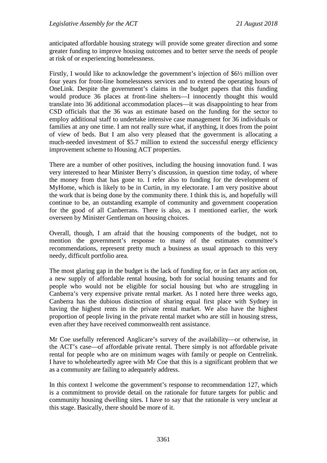anticipated affordable housing strategy will provide some greater direction and some greater funding to improve housing outcomes and to better serve the needs of people at risk of or experiencing homelessness.

Firstly, I would like to acknowledge the government's injection of \$6½ million over four years for front-line homelessness services and to extend the operating hours of OneLink. Despite the government's claims in the budget papers that this funding would produce 36 places at front-line shelters—I innocently thought this would translate into 36 additional accommodation places—it was disappointing to hear from CSD officials that the 36 was an estimate based on the funding for the sector to employ additional staff to undertake intensive case management for 36 individuals or families at any one time. I am not really sure what, if anything, it does from the point of view of beds. But I am also very pleased that the government is allocating a much-needed investment of \$5.7 million to extend the successful energy efficiency improvement scheme to Housing ACT properties.

There are a number of other positives, including the housing innovation fund. I was very interested to hear Minister Berry's discussion, in question time today, of where the money from that has gone to. I refer also to funding for the development of MyHome, which is likely to be in Curtin, in my electorate. I am very positive about the work that is being done by the community there. I think this is, and hopefully will continue to be, an outstanding example of community and government cooperation for the good of all Canberrans. There is also, as I mentioned earlier, the work overseen by Minister Gentleman on housing choices.

Overall, though, I am afraid that the housing components of the budget, not to mention the government's response to many of the estimates committee's recommendations, represent pretty much a business as usual approach to this very needy, difficult portfolio area.

The most glaring gap in the budget is the lack of funding for, or in fact any action on, a new supply of affordable rental housing, both for social housing tenants and for people who would not be eligible for social housing but who are struggling in Canberra's very expensive private rental market. As I noted here three weeks ago, Canberra has the dubious distinction of sharing equal first place with Sydney in having the highest rents in the private rental market. We also have the highest proportion of people living in the private rental market who are still in housing stress, even after they have received commonwealth rent assistance.

Mr Coe usefully referenced Anglicare's survey of the availability—or otherwise, in the ACT's case—of affordable private rental. There simply is not affordable private rental for people who are on minimum wages with family or people on Centrelink. I have to wholeheartedly agree with Mr Coe that this is a significant problem that we as a community are failing to adequately address.

In this context I welcome the government's response to recommendation 127, which is a commitment to provide detail on the rationale for future targets for public and community housing dwelling sites. I have to say that the rationale is very unclear at this stage. Basically, there should be more of it.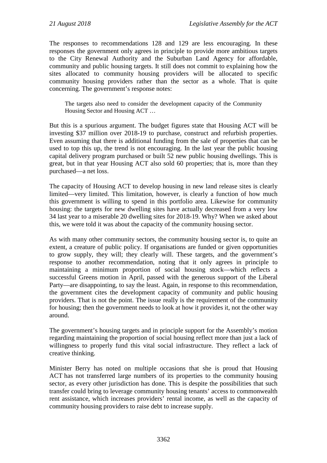The responses to recommendations 128 and 129 are less encouraging. In these responses the government only agrees in principle to provide more ambitious targets to the City Renewal Authority and the Suburban Land Agency for affordable, community and public housing targets. It still does not commit to explaining how the sites allocated to community housing providers will be allocated to specific community housing providers rather than the sector as a whole. That is quite concerning. The government's response notes:

The targets also need to consider the development capacity of the Community Housing Sector and Housing ACT …

But this is a spurious argument. The budget figures state that Housing ACT will be investing \$37 million over 2018-19 to purchase, construct and refurbish properties. Even assuming that there is additional funding from the sale of properties that can be used to top this up, the trend is not encouraging. In the last year the public housing capital delivery program purchased or built 52 new public housing dwellings. This is great, but in that year Housing ACT also sold 60 properties; that is, more than they purchased—a net loss.

The capacity of Housing ACT to develop housing in new land release sites is clearly limited—very limited. This limitation, however, is clearly a function of how much this government is willing to spend in this portfolio area. Likewise for community housing: the targets for new dwelling sites have actually decreased from a very low 34 last year to a miserable 20 dwelling sites for 2018-19. Why? When we asked about this, we were told it was about the capacity of the community housing sector.

As with many other community sectors, the community housing sector is, to quite an extent, a creature of public policy. If organisations are funded or given opportunities to grow supply, they will; they clearly will. These targets, and the government's response to another recommendation, noting that it only agrees in principle to maintaining a minimum proportion of social housing stock—which reflects a successful Greens motion in April, passed with the generous support of the Liberal Party—are disappointing, to say the least. Again, in response to this recommendation, the government cites the development capacity of community and public housing providers. That is not the point. The issue really is the requirement of the community for housing; then the government needs to look at how it provides it, not the other way around.

The government's housing targets and in principle support for the Assembly's motion regarding maintaining the proportion of social housing reflect more than just a lack of willingness to properly fund this vital social infrastructure. They reflect a lack of creative thinking.

Minister Berry has noted on multiple occasions that she is proud that Housing ACT has not transferred large numbers of its properties to the community housing sector, as every other jurisdiction has done. This is despite the possibilities that such transfer could bring to leverage community housing tenants' access to commonwealth rent assistance, which increases providers' rental income, as well as the capacity of community housing providers to raise debt to increase supply.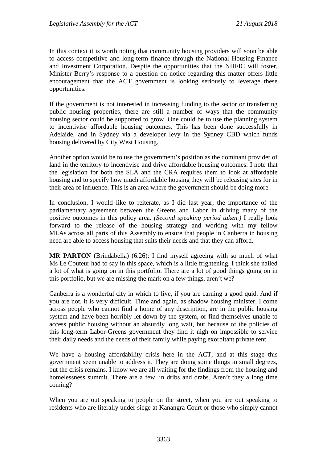In this context it is worth noting that community housing providers will soon be able to access competitive and long-term finance through the National Housing Finance and Investment Corporation. Despite the opportunities that the NHFIC will foster, Minister Berry's response to a question on notice regarding this matter offers little encouragement that the ACT government is looking seriously to leverage these opportunities.

If the government is not interested in increasing funding to the sector or transferring public housing properties, there are still a number of ways that the community housing sector could be supported to grow. One could be to use the planning system to incentivise affordable housing outcomes. This has been done successfully in Adelaide, and in Sydney via a developer levy in the Sydney CBD which funds housing delivered by City West Housing.

Another option would be to use the government's position as the dominant provider of land in the territory to incentivise and drive affordable housing outcomes. I note that the legislation for both the SLA and the CRA requires them to look at affordable housing and to specify how much affordable housing they will be releasing sites for in their area of influence. This is an area where the government should be doing more.

In conclusion, I would like to reiterate, as I did last year, the importance of the parliamentary agreement between the Greens and Labor in driving many of the positive outcomes in this policy area. *(Second speaking period taken.)* I really look forward to the release of the housing strategy and working with my fellow MLAs across all parts of this Assembly to ensure that people in Canberra in housing need are able to access housing that suits their needs and that they can afford.

**MR PARTON** (Brindabella) (6.26): I find myself agreeing with so much of what Ms Le Couteur had to say in this space, which is a little frightening. I think she nailed a lot of what is going on in this portfolio. There are a lot of good things going on in this portfolio, but we are missing the mark on a few things, aren't we?

Canberra is a wonderful city in which to live, if you are earning a good quid. And if you are not, it is very difficult. Time and again, as shadow housing minister, I come across people who cannot find a home of any description, are in the public housing system and have been horribly let down by the system, or find themselves unable to access public housing without an absurdly long wait, but because of the policies of this long-term Labor-Greens government they find it nigh on impossible to service their daily needs and the needs of their family while paying exorbitant private rent.

We have a housing affordability crisis here in the ACT, and at this stage this government seem unable to address it. They are doing some things in small degrees, but the crisis remains. I know we are all waiting for the findings from the housing and homelessness summit. There are a few, in dribs and drabs. Aren't they a long time coming?

When you are out speaking to people on the street, when you are out speaking to residents who are literally under siege at Kanangra Court or those who simply cannot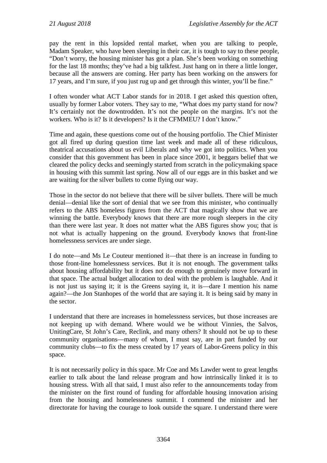pay the rent in this lopsided rental market, when you are talking to people, Madam Speaker, who have been sleeping in their car, it is tough to say to these people, "Don't worry, the housing minister has got a plan. She's been working on something for the last 18 months; they've had a big talkfest. Just hang on in there a little longer, because all the answers are coming. Her party has been working on the answers for 17 years, and I'm sure, if you just rug up and get through this winter, you'll be fine."

I often wonder what ACT Labor stands for in 2018. I get asked this question often, usually by former Labor voters. They say to me, "What does my party stand for now? It's certainly not the downtrodden. It's not the people on the margins. It's not the workers. Who is it? Is it developers? Is it the CFMMEU? I don't know."

Time and again, these questions come out of the housing portfolio. The Chief Minister got all fired up during question time last week and made all of these ridiculous, theatrical accusations about us evil Liberals and why we got into politics. When you consider that this government has been in place since 2001, it beggars belief that we cleared the policy decks and seemingly started from scratch in the policymaking space in housing with this summit last spring. Now all of our eggs are in this basket and we are waiting for the silver bullets to come flying our way.

Those in the sector do not believe that there will be silver bullets. There will be much denial—denial like the sort of denial that we see from this minister, who continually refers to the ABS homeless figures from the ACT that magically show that we are winning the battle. Everybody knows that there are more rough sleepers in the city than there were last year. It does not matter what the ABS figures show you; that is not what is actually happening on the ground. Everybody knows that front-line homelessness services are under siege.

I do note—and Ms Le Couteur mentioned it—that there is an increase in funding to those front-line homelessness services. But it is not enough. The government talks about housing affordability but it does not do enough to genuinely move forward in that space. The actual budget allocation to deal with the problem is laughable. And it is not just us saying it; it is the Greens saying it, it is—dare I mention his name again?—the Jon Stanhopes of the world that are saying it. It is being said by many in the sector.

I understand that there are increases in homelessness services, but those increases are not keeping up with demand. Where would we be without Vinnies, the Salvos, UnitingCare, St John's Care, Reclink, and many others? It should not be up to these community organisations—many of whom, I must say, are in part funded by our community clubs—to fix the mess created by 17 years of Labor-Greens policy in this space.

It is not necessarily policy in this space. Mr Coe and Ms Lawder went to great lengths earlier to talk about the land release program and how intrinsically linked it is to housing stress. With all that said, I must also refer to the announcements today from the minister on the first round of funding for affordable housing innovation arising from the housing and homelessness summit. I commend the minister and her directorate for having the courage to look outside the square. I understand there were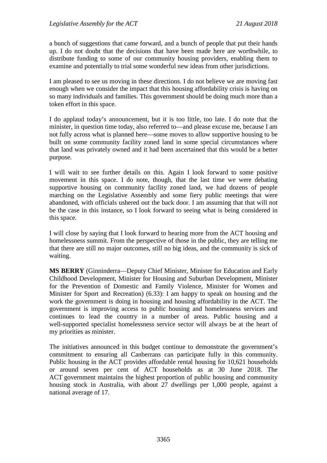a bunch of suggestions that came forward, and a bunch of people that put their hands up. I do not doubt that the decisions that have been made here are worthwhile, to distribute funding to some of our community housing providers, enabling them to examine and potentially to trial some wonderful new ideas from other jurisdictions.

I am pleased to see us moving in these directions. I do not believe we are moving fast enough when we consider the impact that this housing affordability crisis is having on so many individuals and families. This government should be doing much more than a token effort in this space.

I do applaud today's announcement, but it is too little, too late. I do note that the minister, in question time today, also referred to—and please excuse me, because I am not fully across what is planned here—some moves to allow supportive housing to be built on some community facility zoned land in some special circumstances where that land was privately owned and it had been ascertained that this would be a better purpose.

I will wait to see further details on this. Again I look forward to some positive movement in this space. I do note, though, that the last time we were debating supportive housing on community facility zoned land, we had dozens of people marching on the Legislative Assembly and some fiery public meetings that were abandoned, with officials ushered out the back door. I am assuming that that will not be the case in this instance, so I look forward to seeing what is being considered in this space.

I will close by saying that I look forward to hearing more from the ACT housing and homelessness summit. From the perspective of those in the public, they are telling me that there are still no major outcomes, still no big ideas, and the community is sick of waiting.

**MS BERRY** (Ginninderra—Deputy Chief Minister, Minister for Education and Early Childhood Development, Minister for Housing and Suburban Development, Minister for the Prevention of Domestic and Family Violence, Minister for Women and Minister for Sport and Recreation) (6.33): I am happy to speak on housing and the work the government is doing in housing and housing affordability in the ACT. The government is improving access to public housing and homelessness services and continues to lead the country in a number of areas. Public housing and a well-supported specialist homelessness service sector will always be at the heart of my priorities as minister.

The initiatives announced in this budget continue to demonstrate the government's commitment to ensuring all Canberrans can participate fully in this community. Public housing in the ACT provides affordable rental housing for 10,621 households or around seven per cent of ACT households as at 30 June 2018. The ACT government maintains the highest proportion of public housing and community housing stock in Australia, with about 27 dwellings per 1,000 people, against a national average of 17.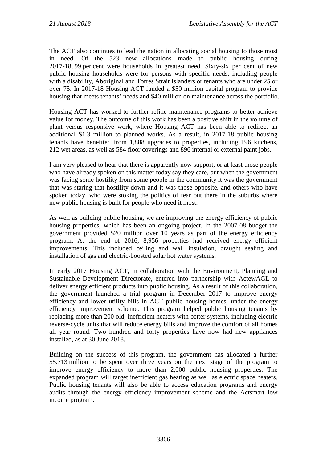The ACT also continues to lead the nation in allocating social housing to those most in need. Of the 523 new allocations made to public housing during 2017-18, 99 per cent were households in greatest need. Sixty-six per cent of new public housing households were for persons with specific needs, including people with a disability, Aboriginal and Torres Strait Islanders or tenants who are under 25 or over 75. In 2017-18 Housing ACT funded a \$50 million capital program to provide housing that meets tenants' needs and \$40 million on maintenance across the portfolio.

Housing ACT has worked to further refine maintenance programs to better achieve value for money. The outcome of this work has been a positive shift in the volume of plant versus responsive work, where Housing ACT has been able to redirect an additional \$1.3 million to planned works. As a result, in 2017-18 public housing tenants have benefited from 1,888 upgrades to properties, including 196 kitchens, 212 wet areas, as well as 584 floor coverings and 896 internal or external paint jobs.

I am very pleased to hear that there is apparently now support, or at least those people who have already spoken on this matter today say they care, but when the government was facing some hostility from some people in the community it was the government that was staring that hostility down and it was those opposite, and others who have spoken today, who were stoking the politics of fear out there in the suburbs where new public housing is built for people who need it most.

As well as building public housing, we are improving the energy efficiency of public housing properties, which has been an ongoing project. In the 2007-08 budget the government provided \$20 million over 10 years as part of the energy efficiency program. At the end of 2016, 8,956 properties had received energy efficient improvements. This included ceiling and wall insulation, draught sealing and installation of gas and electric-boosted solar hot water systems.

In early 2017 Housing ACT, in collaboration with the Environment, Planning and Sustainable Development Directorate, entered into partnership with ActewAGL to deliver energy efficient products into public housing. As a result of this collaboration, the government launched a trial program in December 2017 to improve energy efficiency and lower utility bills in ACT public housing homes, under the energy efficiency improvement scheme. This program helped public housing tenants by replacing more than 200 old, inefficient heaters with better systems, including electric reverse-cycle units that will reduce energy bills and improve the comfort of all homes all year round. Two hundred and forty properties have now had new appliances installed, as at 30 June 2018.

Building on the success of this program, the government has allocated a further \$5.713 million to be spent over three years on the next stage of the program to improve energy efficiency to more than 2,000 public housing properties. The expanded program will target inefficient gas heating as well as electric space heaters. Public housing tenants will also be able to access education programs and energy audits through the energy efficiency improvement scheme and the Actsmart low income program.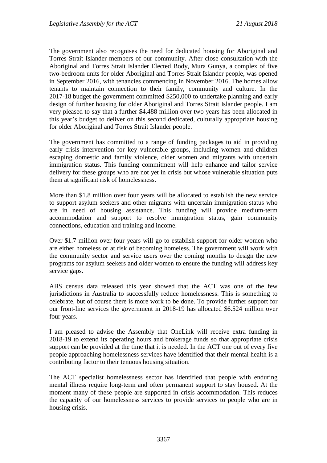The government also recognises the need for dedicated housing for Aboriginal and Torres Strait Islander members of our community. After close consultation with the Aboriginal and Torres Strait Islander Elected Body, Mura Gunya, a complex of five two-bedroom units for older Aboriginal and Torres Strait Islander people, was opened in September 2016, with tenancies commencing in November 2016. The homes allow tenants to maintain connection to their family, community and culture. In the 2017-18 budget the government committed \$250,000 to undertake planning and early design of further housing for older Aboriginal and Torres Strait Islander people. I am very pleased to say that a further \$4.488 million over two years has been allocated in this year's budget to deliver on this second dedicated, culturally appropriate housing for older Aboriginal and Torres Strait Islander people.

The government has committed to a range of funding packages to aid in providing early crisis intervention for key vulnerable groups, including women and children escaping domestic and family violence, older women and migrants with uncertain immigration status. This funding commitment will help enhance and tailor service delivery for these groups who are not yet in crisis but whose vulnerable situation puts them at significant risk of homelessness.

More than \$1.8 million over four years will be allocated to establish the new service to support asylum seekers and other migrants with uncertain immigration status who are in need of housing assistance. This funding will provide medium-term accommodation and support to resolve immigration status, gain community connections, education and training and income.

Over \$1.7 million over four years will go to establish support for older women who are either homeless or at risk of becoming homeless. The government will work with the community sector and service users over the coming months to design the new programs for asylum seekers and older women to ensure the funding will address key service gaps.

ABS census data released this year showed that the ACT was one of the few jurisdictions in Australia to successfully reduce homelessness. This is something to celebrate, but of course there is more work to be done. To provide further support for our front-line services the government in 2018-19 has allocated \$6.524 million over four years.

I am pleased to advise the Assembly that OneLink will receive extra funding in 2018-19 to extend its operating hours and brokerage funds so that appropriate crisis support can be provided at the time that it is needed. In the ACT one out of every five people approaching homelessness services have identified that their mental health is a contributing factor to their tenuous housing situation.

The ACT specialist homelessness sector has identified that people with enduring mental illness require long-term and often permanent support to stay housed. At the moment many of these people are supported in crisis accommodation. This reduces the capacity of our homelessness services to provide services to people who are in housing crisis.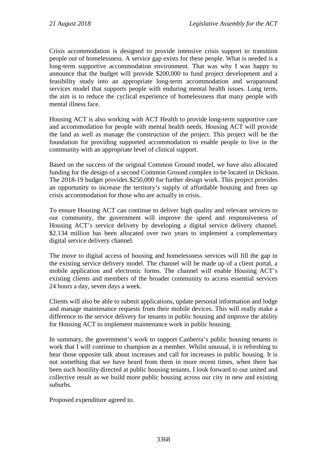Crisis accommodation is designed to provide intensive crisis support to transition people out of homelessness. A service gap exists for these people. What is needed is a long-term supportive accommodation environment. That was why I was happy to announce that the budget will provide \$200,000 to fund project development and a feasibility study into an appropriate long-term accommodation and wraparound services model that supports people with enduring mental health issues. Long term, the aim is to reduce the cyclical experience of homelessness that many people with mental illness face.

Housing ACT is also working with ACT Health to provide long-term supportive care and accommodation for people with mental health needs. Housing ACT will provide the land as well as manage the construction of the project. This project will be the foundation for providing supported accommodation to enable people to live in the community with an appropriate level of clinical support.

Based on the success of the original Common Ground model, we have also allocated funding for the design of a second Common Ground complex to be located in Dickson. The 2018-19 budget provides \$250,000 for further design work. This project provides an opportunity to increase the territory's supply of affordable housing and frees up crisis accommodation for those who are actually in crisis.

To ensure Housing ACT can continue to deliver high quality and relevant services to our community, the government will improve the speed and responsiveness of Housing ACT's service delivery by developing a digital service delivery channel. \$2.134 million has been allocated over two years to implement a complementary digital service delivery channel.

The move to digital access of housing and homelessness services will fill the gap in the existing service delivery model. The channel will be made up of a client portal, a mobile application and electronic forms. The channel will enable Housing ACT's existing clients and members of the broader community to access essential services 24 hours a day, seven days a week.

Clients will also be able to submit applications, update personal information and lodge and manage maintenance requests from their mobile devices. This will really make a difference to the service delivery for tenants in public housing and improve the ability for Housing ACT to implement maintenance work in public housing.

In summary, the government's work to support Canberra's public housing tenants is work that I will continue to champion as a member. Whilst unusual, it is refreshing to hear those opposite talk about increases and call for increases in public housing. It is not something that we have heard from them in more recent times, when there has been such hostility directed at public housing tenants. I look forward to our united and collective result as we build more public housing across our city in new and existing suburbs.

Proposed expenditure agreed to.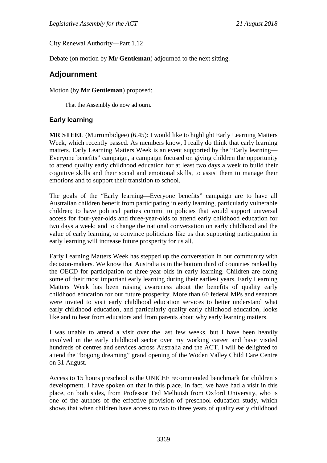City Renewal Authority—Part 1.12

Debate (on motion by **Mr Gentleman**) adjourned to the next sitting.

# **Adjournment**

Motion (by **Mr Gentleman**) proposed:

That the Assembly do now adjourn.

## **Early learning**

**MR STEEL** (Murrumbidgee) (6.45): I would like to highlight Early Learning Matters Week, which recently passed. As members know, I really do think that early learning matters. Early Learning Matters Week is an event supported by the "Early learning— Everyone benefits" campaign, a campaign focused on giving children the opportunity to attend quality early childhood education for at least two days a week to build their cognitive skills and their social and emotional skills, to assist them to manage their emotions and to support their transition to school.

The goals of the "Early learning—Everyone benefits" campaign are to have all Australian children benefit from participating in early learning, particularly vulnerable children; to have political parties commit to policies that would support universal access for four-year-olds and three-year-olds to attend early childhood education for two days a week; and to change the national conversation on early childhood and the value of early learning, to convince politicians like us that supporting participation in early learning will increase future prosperity for us all.

Early Learning Matters Week has stepped up the conversation in our community with decision-makers. We know that Australia is in the bottom third of countries ranked by the OECD for participation of three-year-olds in early learning. Children are doing some of their most important early learning during their earliest years. Early Learning Matters Week has been raising awareness about the benefits of quality early childhood education for our future prosperity. More than 60 federal MPs and senators were invited to visit early childhood education services to better understand what early childhood education, and particularly quality early childhood education, looks like and to hear from educators and from parents about why early learning matters.

I was unable to attend a visit over the last few weeks, but I have been heavily involved in the early childhood sector over my working career and have visited hundreds of centres and services across Australia and the ACT. I will be delighted to attend the "bogong dreaming" grand opening of the Woden Valley Child Care Centre on 31 August.

Access to 15 hours preschool is the UNICEF recommended benchmark for children's development. I have spoken on that in this place. In fact, we have had a visit in this place, on both sides, from Professor Ted Melhuish from Oxford University, who is one of the authors of the effective provision of preschool education study, which shows that when children have access to two to three years of quality early childhood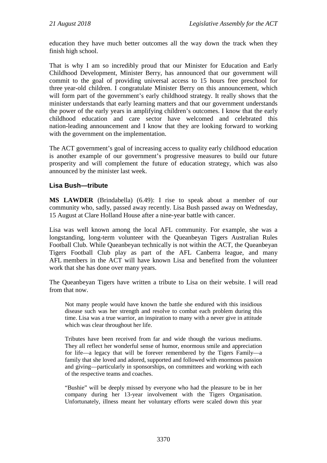education they have much better outcomes all the way down the track when they finish high school.

That is why I am so incredibly proud that our Minister for Education and Early Childhood Development, Minister Berry, has announced that our government will commit to the goal of providing universal access to 15 hours free preschool for three year-old children. I congratulate Minister Berry on this announcement, which will form part of the government's early childhood strategy. It really shows that the minister understands that early learning matters and that our government understands the power of the early years in amplifying children's outcomes. I know that the early childhood education and care sector have welcomed and celebrated this nation-leading announcement and I know that they are looking forward to working with the government on the implementation.

The ACT government's goal of increasing access to quality early childhood education is another example of our government's progressive measures to build our future prosperity and will complement the future of education strategy, which was also announced by the minister last week.

#### **Lisa Bush—tribute**

**MS LAWDER** (Brindabella) (6.49): I rise to speak about a member of our community who, sadly, passed away recently. Lisa Bush passed away on Wednesday, 15 August at Clare Holland House after a nine-year battle with cancer.

Lisa was well known among the local AFL community. For example, she was a longstanding, long-term volunteer with the Queanbeyan Tigers Australian Rules Football Club. While Queanbeyan technically is not within the ACT, the Queanbeyan Tigers Football Club play as part of the AFL Canberra league, and many AFL members in the ACT will have known Lisa and benefited from the volunteer work that she has done over many years.

The Queanbeyan Tigers have written a tribute to Lisa on their website. I will read from that now.

Not many people would have known the battle she endured with this insidious disease such was her strength and resolve to combat each problem during this time. Lisa was a true warrior, an inspiration to many with a never give in attitude which was clear throughout her life.

Tributes have been received from far and wide though the various mediums. They all reflect her wonderful sense of humor, enormous smile and appreciation for life—a legacy that will be forever remembered by the Tigers Family—a family that she loved and adored, supported and followed with enormous passion and giving—particularly in sponsorships, on committees and working with each of the respective teams and coaches.

"Bushie" will be deeply missed by everyone who had the pleasure to be in her company during her 13-year involvement with the Tigers Organisation. Unfortunately, illness meant her voluntary efforts were scaled down this year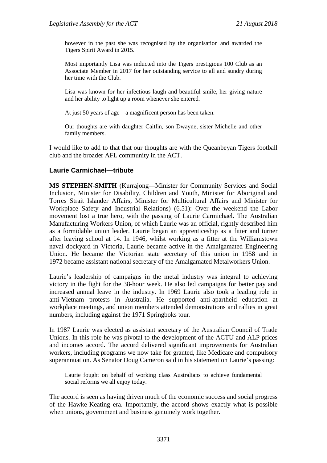however in the past she was recognised by the organisation and awarded the Tigers Spirit Award in 2015.

Most importantly Lisa was inducted into the Tigers prestigious 100 Club as an Associate Member in 2017 for her outstanding service to all and sundry during her time with the Club.

Lisa was known for her infectious laugh and beautiful smile, her giving nature and her ability to light up a room whenever she entered.

At just 50 years of age—a magnificent person has been taken.

Our thoughts are with daughter Caitlin, son Dwayne, sister Michelle and other family members.

I would like to add to that that our thoughts are with the Queanbeyan Tigers football club and the broader AFL community in the ACT.

#### **Laurie Carmichael—tribute**

**MS STEPHEN-SMITH** (Kurrajong—Minister for Community Services and Social Inclusion, Minister for Disability, Children and Youth, Minister for Aboriginal and Torres Strait Islander Affairs, Minister for Multicultural Affairs and Minister for Workplace Safety and Industrial Relations) (6.51): Over the weekend the Labor movement lost a true hero, with the passing of Laurie Carmichael. The Australian Manufacturing Workers Union, of which Laurie was an official, rightly described him as a formidable union leader. Laurie began an apprenticeship as a fitter and turner after leaving school at 14. In 1946, whilst working as a fitter at the Williamstown naval dockyard in Victoria, Laurie became active in the Amalgamated Engineering Union. He became the Victorian state secretary of this union in 1958 and in 1972 became assistant national secretary of the Amalgamated Metalworkers Union.

Laurie's leadership of campaigns in the metal industry was integral to achieving victory in the fight for the 38-hour week. He also led campaigns for better pay and increased annual leave in the industry. In 1969 Laurie also took a leading role in anti-Vietnam protests in Australia. He supported anti-apartheid education at workplace meetings, and union members attended demonstrations and rallies in great numbers, including against the 1971 Springboks tour.

In 1987 Laurie was elected as assistant secretary of the Australian Council of Trade Unions. In this role he was pivotal to the development of the ACTU and ALP prices and incomes accord. The accord delivered significant improvements for Australian workers, including programs we now take for granted, like Medicare and compulsory superannuation. As Senator Doug Cameron said in his statement on Laurie's passing:

Laurie fought on behalf of working class Australians to achieve fundamental social reforms we all enjoy today.

The accord is seen as having driven much of the economic success and social progress of the Hawke-Keating era. Importantly, the accord shows exactly what is possible when unions, government and business genuinely work together.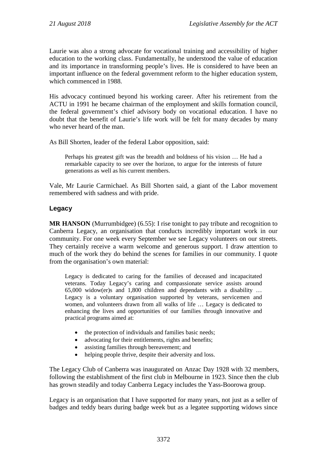Laurie was also a strong advocate for vocational training and accessibility of higher education to the working class. Fundamentally, he understood the value of education and its importance in transforming people's lives. He is considered to have been an important influence on the federal government reform to the higher education system, which commenced in 1988.

His advocacy continued beyond his working career. After his retirement from the ACTU in 1991 he became chairman of the employment and skills formation council, the federal government's chief advisory body on vocational education. I have no doubt that the benefit of Laurie's life work will be felt for many decades by many who never heard of the man.

As Bill Shorten, leader of the federal Labor opposition, said:

Perhaps his greatest gift was the breadth and boldness of his vision … He had a remarkable capacity to see over the horizon, to argue for the interests of future generations as well as his current members.

Vale, Mr Laurie Carmichael. As Bill Shorten said, a giant of the Labor movement remembered with sadness and with pride.

## **Legacy**

**MR HANSON** (Murrumbidgee) (6.55): I rise tonight to pay tribute and recognition to Canberra Legacy, an organisation that conducts incredibly important work in our community. For one week every September we see Legacy volunteers on our streets. They certainly receive a warm welcome and generous support. I draw attention to much of the work they do behind the scenes for families in our community. I quote from the organisation's own material:

Legacy is dedicated to caring for the families of deceased and incapacitated veterans. Today Legacy's caring and compassionate service assists around 65,000 widow(er)s and 1,800 children and dependants with a disability … Legacy is a voluntary organisation supported by veterans, servicemen and women, and volunteers drawn from all walks of life … Legacy is dedicated to enhancing the lives and opportunities of our families through innovative and practical programs aimed at:

- the protection of individuals and families basic needs;
- advocating for their entitlements, rights and benefits;
- assisting families through bereavement; and
- helping people thrive, despite their adversity and loss.

The Legacy Club of Canberra was inaugurated on Anzac Day 1928 with 32 members, following the establishment of the first club in Melbourne in 1923. Since then the club has grown steadily and today Canberra Legacy includes the Yass-Boorowa group.

Legacy is an organisation that I have supported for many years, not just as a seller of badges and teddy bears during badge week but as a legatee supporting widows since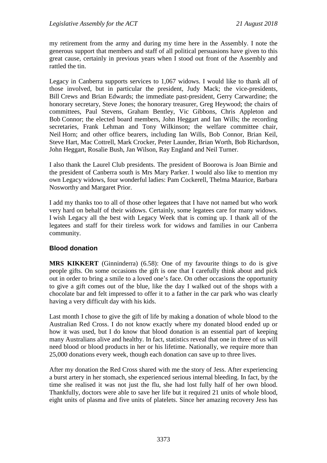my retirement from the army and during my time here in the Assembly. I note the generous support that members and staff of all political persuasions have given to this great cause, certainly in previous years when I stood out front of the Assembly and rattled the tin.

Legacy in Canberra supports services to 1,067 widows. I would like to thank all of those involved, but in particular the president, Judy Mack; the vice-presidents, Bill Crews and Brian Edwards; the immediate past-president, Gerry Carwardine; the honorary secretary, Steve Jones; the honorary treasurer, Greg Heywood; the chairs of committees, Paul Stevens, Graham Bentley, Vic Gibbons, Chris Appleton and Bob Connor; the elected board members, John Heggart and Ian Wills; the recording secretaries, Frank Lehman and Tony Wilkinson; the welfare committee chair, Neil Horn; and other office bearers, including Ian Wills, Bob Connor, Brian Keil, Steve Hart, Mac Cottrell, Mark Crocker, Peter Launder, Brian Worth, Bob Richardson, John Heggart, Rosalie Bush, Jan Wilson, Ray England and Neil Turner.

I also thank the Laurel Club presidents. The president of Boorowa is Joan Birnie and the president of Canberra south is Mrs Mary Parker. I would also like to mention my own Legacy widows, four wonderful ladies: Pam Cockerell, Thelma Maurice, Barbara Nosworthy and Margaret Prior.

I add my thanks too to all of those other legatees that I have not named but who work very hard on behalf of their widows. Certainly, some legatees care for many widows. I wish Legacy all the best with Legacy Week that is coming up. I thank all of the legatees and staff for their tireless work for widows and families in our Canberra community.

## **Blood donation**

**MRS KIKKERT** (Ginninderra) (6.58): One of my favourite things to do is give people gifts. On some occasions the gift is one that I carefully think about and pick out in order to bring a smile to a loved one's face. On other occasions the opportunity to give a gift comes out of the blue, like the day I walked out of the shops with a chocolate bar and felt impressed to offer it to a father in the car park who was clearly having a very difficult day with his kids.

Last month I chose to give the gift of life by making a donation of whole blood to the Australian Red Cross. I do not know exactly where my donated blood ended up or how it was used, but I do know that blood donation is an essential part of keeping many Australians alive and healthy. In fact, statistics reveal that one in three of us will need blood or blood products in her or his lifetime. Nationally, we require more than 25,000 donations every week, though each donation can save up to three lives.

After my donation the Red Cross shared with me the story of Jess. After experiencing a burst artery in her stomach, she experienced serious internal bleeding. In fact, by the time she realised it was not just the flu, she had lost fully half of her own blood. Thankfully, doctors were able to save her life but it required 21 units of whole blood, eight units of plasma and five units of platelets. Since her amazing recovery Jess has